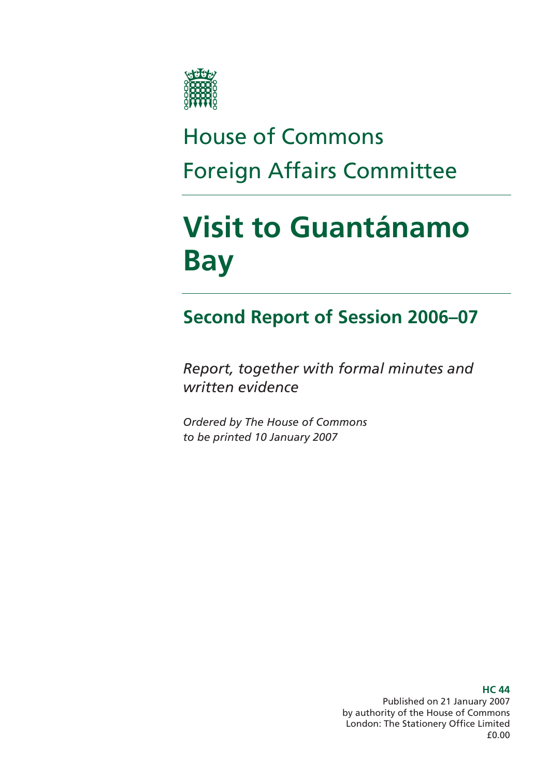

# House of Commons Foreign Affairs Committee

# **Visit to Guantánamo Bay**

### **Second Report of Session 2006–07**

*Report, together with formal minutes and written evidence* 

*Ordered by The House of Commons to be printed 10 January 2007* 

> **HC 44**  Published on 21 January 2007 by authority of the House of Commons London: The Stationery Office Limited £0.00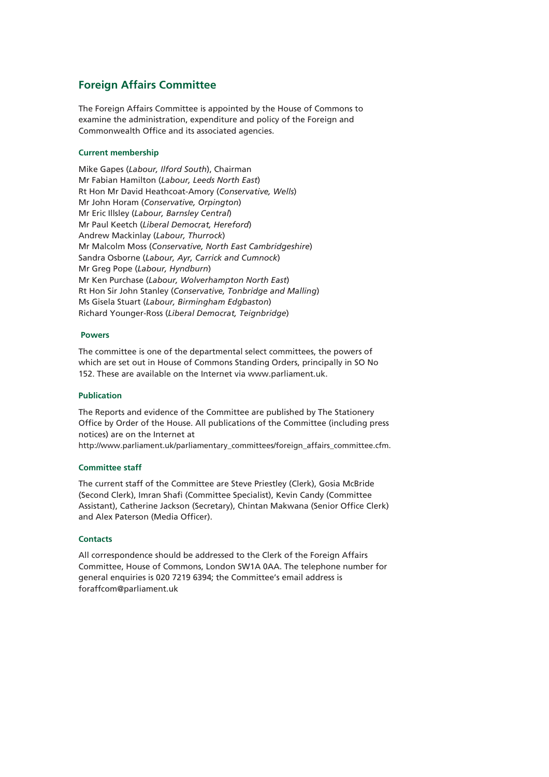#### **Foreign Affairs Committee**

The Foreign Affairs Committee is appointed by the House of Commons to examine the administration, expenditure and policy of the Foreign and Commonwealth Office and its associated agencies.

#### **Current membership**

Mike Gapes (*Labour, Ilford South*), Chairman Mr Fabian Hamilton (*Labour, Leeds North East*) Rt Hon Mr David Heathcoat-Amory (*Conservative, Wells*) Mr John Horam (*Conservative, Orpington*) Mr Eric Illsley (*Labour, Barnsley Central*) Mr Paul Keetch (*Liberal Democrat, Hereford*) Andrew Mackinlay (*Labour, Thurrock*) Mr Malcolm Moss (*Conservative, North East Cambridgeshire*) Sandra Osborne (*Labour, Ayr, Carrick and Cumnock*) Mr Greg Pope (*Labour, Hyndburn*) Mr Ken Purchase (*Labour, Wolverhampton North East*) Rt Hon Sir John Stanley (*Conservative, Tonbridge and Malling*) Ms Gisela Stuart (*Labour, Birmingham Edgbaston*) Richard Younger-Ross (*Liberal Democrat, Teignbridge*)

#### **Powers**

The committee is one of the departmental select committees, the powers of which are set out in House of Commons Standing Orders, principally in SO No 152. These are available on the Internet via www.parliament.uk.

#### **Publication**

The Reports and evidence of the Committee are published by The Stationery Office by Order of the House. All publications of the Committee (including press notices) are on the Internet at

http://www.parliament.uk/parliamentary\_committees/foreign\_affairs\_committee.cfm.

#### **Committee staff**

The current staff of the Committee are Steve Priestley (Clerk), Gosia McBride (Second Clerk), Imran Shafi (Committee Specialist), Kevin Candy (Committee Assistant), Catherine Jackson (Secretary), Chintan Makwana (Senior Office Clerk) and Alex Paterson (Media Officer).

#### **Contacts**

All correspondence should be addressed to the Clerk of the Foreign Affairs Committee, House of Commons, London SW1A 0AA. The telephone number for general enquiries is 020 7219 6394; the Committee's email address is foraffcom@parliament.uk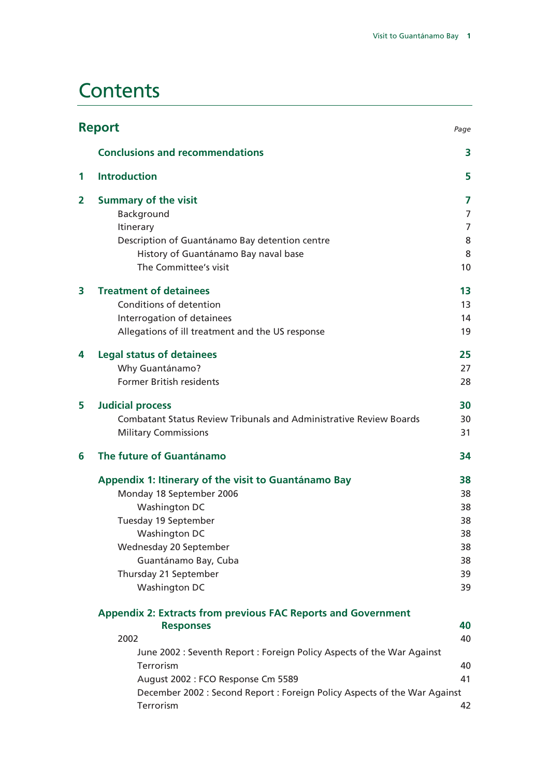### **Contents**

|   | <b>Report</b><br>Page                                                                  |    |  |
|---|----------------------------------------------------------------------------------------|----|--|
|   | <b>Conclusions and recommendations</b>                                                 | 3  |  |
| 1 | <b>Introduction</b>                                                                    | 5  |  |
| 2 | <b>Summary of the visit</b>                                                            | 7  |  |
|   | Background                                                                             | 7  |  |
|   | Itinerary                                                                              | 7  |  |
|   | Description of Guantánamo Bay detention centre                                         | 8  |  |
|   | History of Guantánamo Bay naval base                                                   | 8  |  |
|   | The Committee's visit                                                                  | 10 |  |
| 3 | <b>Treatment of detainees</b>                                                          | 13 |  |
|   | Conditions of detention                                                                | 13 |  |
|   | Interrogation of detainees                                                             | 14 |  |
|   | Allegations of ill treatment and the US response                                       | 19 |  |
| 4 | <b>Legal status of detainees</b>                                                       | 25 |  |
|   | Why Guantánamo?                                                                        | 27 |  |
|   | <b>Former British residents</b>                                                        | 28 |  |
| 5 | <b>Judicial process</b>                                                                | 30 |  |
|   | <b>Combatant Status Review Tribunals and Administrative Review Boards</b>              | 30 |  |
|   | <b>Military Commissions</b>                                                            | 31 |  |
| 6 | The future of Guantánamo                                                               | 34 |  |
|   | Appendix 1: Itinerary of the visit to Guantánamo Bay                                   | 38 |  |
|   | Monday 18 September 2006                                                               | 38 |  |
|   | Washington DC                                                                          | 38 |  |
|   | Tuesday 19 September                                                                   | 38 |  |
|   | Washington DC                                                                          | 38 |  |
|   | Wednesday 20 September                                                                 | 38 |  |
|   | Guantánamo Bay, Cuba                                                                   | 38 |  |
|   | Thursday 21 September                                                                  | 39 |  |
|   | Washington DC                                                                          | 39 |  |
|   | <b>Appendix 2: Extracts from previous FAC Reports and Government</b>                   |    |  |
|   | <b>Responses</b>                                                                       | 40 |  |
|   | 2002                                                                                   | 40 |  |
|   | June 2002 : Seventh Report : Foreign Policy Aspects of the War Against                 |    |  |
|   | Terrorism                                                                              | 40 |  |
|   | August 2002 : FCO Response Cm 5589                                                     | 41 |  |
|   | December 2002 : Second Report : Foreign Policy Aspects of the War Against<br>Terrorism |    |  |
|   |                                                                                        | 42 |  |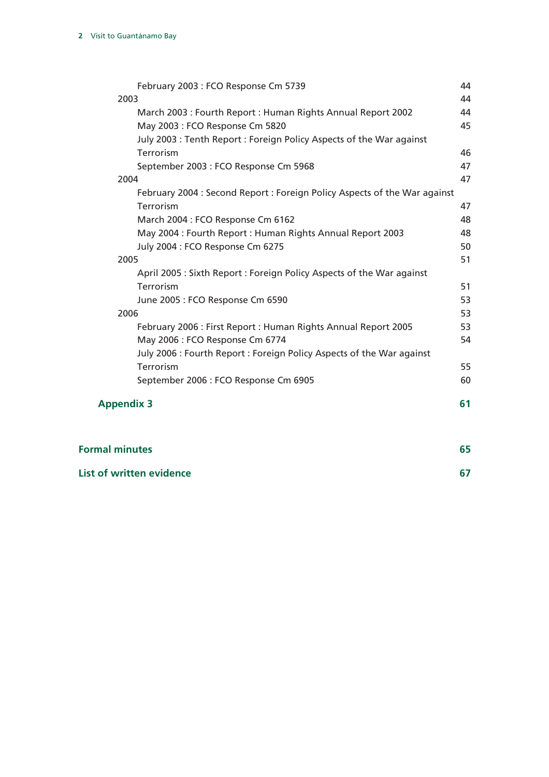| February 2003 : FCO Response Cm 5739                                      | 44 |
|---------------------------------------------------------------------------|----|
| 2003                                                                      | 44 |
| March 2003 : Fourth Report : Human Rights Annual Report 2002              | 44 |
| May 2003 : FCO Response Cm 5820                                           | 45 |
| July 2003: Tenth Report: Foreign Policy Aspects of the War against        |    |
| Terrorism                                                                 | 46 |
| September 2003 : FCO Response Cm 5968                                     | 47 |
| 2004                                                                      | 47 |
| February 2004 : Second Report : Foreign Policy Aspects of the War against |    |
| <b>Terrorism</b>                                                          | 47 |
| March 2004 : FCO Response Cm 6162                                         | 48 |
| May 2004 : Fourth Report : Human Rights Annual Report 2003                | 48 |
| July 2004 : FCO Response Cm 6275                                          | 50 |
| 2005                                                                      | 51 |
| April 2005: Sixth Report: Foreign Policy Aspects of the War against       |    |
| Terrorism                                                                 | 51 |
| June 2005 : FCO Response Cm 6590                                          | 53 |
| 2006                                                                      | 53 |
| February 2006 : First Report : Human Rights Annual Report 2005            | 53 |
| May 2006 : FCO Response Cm 6774                                           | 54 |
| July 2006 : Fourth Report : Foreign Policy Aspects of the War against     |    |
| Terrorism                                                                 | 55 |
| September 2006 : FCO Response Cm 6905                                     | 60 |
| <b>Appendix 3</b>                                                         | 61 |
|                                                                           |    |
| <b>Formal minutes</b>                                                     | 65 |

| List of written evidence |  |
|--------------------------|--|
|--------------------------|--|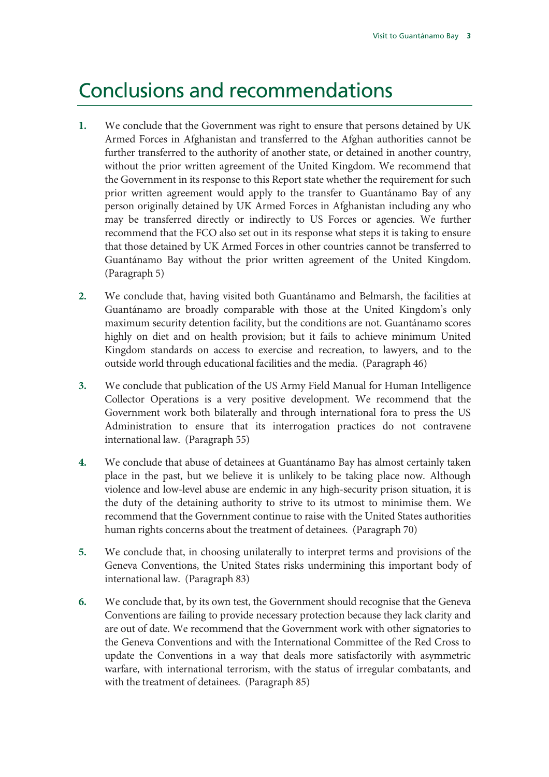### Conclusions and recommendations

- **1.** We conclude that the Government was right to ensure that persons detained by UK Armed Forces in Afghanistan and transferred to the Afghan authorities cannot be further transferred to the authority of another state, or detained in another country, without the prior written agreement of the United Kingdom. We recommend that the Government in its response to this Report state whether the requirement for such prior written agreement would apply to the transfer to Guantánamo Bay of any person originally detained by UK Armed Forces in Afghanistan including any who may be transferred directly or indirectly to US Forces or agencies. We further recommend that the FCO also set out in its response what steps it is taking to ensure that those detained by UK Armed Forces in other countries cannot be transferred to Guantánamo Bay without the prior written agreement of the United Kingdom. (Paragraph 5)
- **2.** We conclude that, having visited both Guantánamo and Belmarsh, the facilities at Guantánamo are broadly comparable with those at the United Kingdom's only maximum security detention facility, but the conditions are not. Guantánamo scores highly on diet and on health provision; but it fails to achieve minimum United Kingdom standards on access to exercise and recreation, to lawyers, and to the outside world through educational facilities and the media. (Paragraph 46)
- **3.** We conclude that publication of the US Army Field Manual for Human Intelligence Collector Operations is a very positive development. We recommend that the Government work both bilaterally and through international fora to press the US Administration to ensure that its interrogation practices do not contravene international law. (Paragraph 55)
- **4.** We conclude that abuse of detainees at Guantánamo Bay has almost certainly taken place in the past, but we believe it is unlikely to be taking place now. Although violence and low-level abuse are endemic in any high-security prison situation, it is the duty of the detaining authority to strive to its utmost to minimise them. We recommend that the Government continue to raise with the United States authorities human rights concerns about the treatment of detainees. (Paragraph 70)
- **5.** We conclude that, in choosing unilaterally to interpret terms and provisions of the Geneva Conventions, the United States risks undermining this important body of international law. (Paragraph 83)
- **6.** We conclude that, by its own test, the Government should recognise that the Geneva Conventions are failing to provide necessary protection because they lack clarity and are out of date. We recommend that the Government work with other signatories to the Geneva Conventions and with the International Committee of the Red Cross to update the Conventions in a way that deals more satisfactorily with asymmetric warfare, with international terrorism, with the status of irregular combatants, and with the treatment of detainees. (Paragraph 85)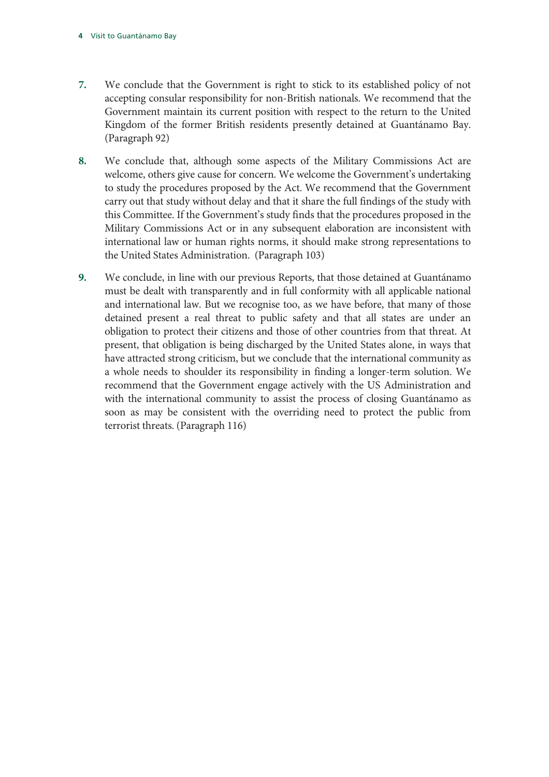- **7.** We conclude that the Government is right to stick to its established policy of not accepting consular responsibility for non-British nationals. We recommend that the Government maintain its current position with respect to the return to the United Kingdom of the former British residents presently detained at Guantánamo Bay. (Paragraph 92)
- **8.** We conclude that, although some aspects of the Military Commissions Act are welcome, others give cause for concern. We welcome the Government's undertaking to study the procedures proposed by the Act. We recommend that the Government carry out that study without delay and that it share the full findings of the study with this Committee. If the Government's study finds that the procedures proposed in the Military Commissions Act or in any subsequent elaboration are inconsistent with international law or human rights norms, it should make strong representations to the United States Administration. (Paragraph 103)
- **9.** We conclude, in line with our previous Reports, that those detained at Guantánamo must be dealt with transparently and in full conformity with all applicable national and international law. But we recognise too, as we have before, that many of those detained present a real threat to public safety and that all states are under an obligation to protect their citizens and those of other countries from that threat. At present, that obligation is being discharged by the United States alone, in ways that have attracted strong criticism, but we conclude that the international community as a whole needs to shoulder its responsibility in finding a longer-term solution. We recommend that the Government engage actively with the US Administration and with the international community to assist the process of closing Guantánamo as soon as may be consistent with the overriding need to protect the public from terrorist threats. (Paragraph 116)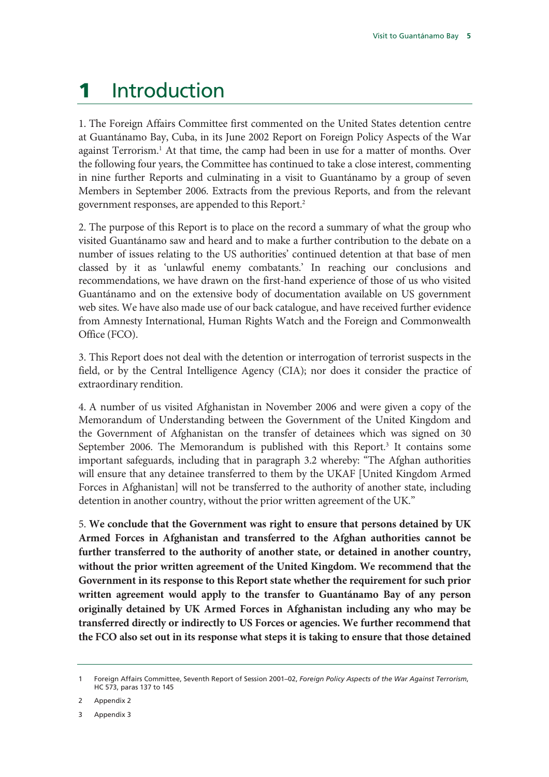### 1 Introduction

1. The Foreign Affairs Committee first commented on the United States detention centre at Guantánamo Bay, Cuba, in its June 2002 Report on Foreign Policy Aspects of the War against Terrorism.<sup>1</sup> At that time, the camp had been in use for a matter of months. Over the following four years, the Committee has continued to take a close interest, commenting in nine further Reports and culminating in a visit to Guantánamo by a group of seven Members in September 2006. Extracts from the previous Reports, and from the relevant government responses, are appended to this Report.2

2. The purpose of this Report is to place on the record a summary of what the group who visited Guantánamo saw and heard and to make a further contribution to the debate on a number of issues relating to the US authorities' continued detention at that base of men classed by it as 'unlawful enemy combatants.' In reaching our conclusions and recommendations, we have drawn on the first-hand experience of those of us who visited Guantánamo and on the extensive body of documentation available on US government web sites. We have also made use of our back catalogue, and have received further evidence from Amnesty International, Human Rights Watch and the Foreign and Commonwealth Office (FCO).

3. This Report does not deal with the detention or interrogation of terrorist suspects in the field, or by the Central Intelligence Agency (CIA); nor does it consider the practice of extraordinary rendition.

4. A number of us visited Afghanistan in November 2006 and were given a copy of the Memorandum of Understanding between the Government of the United Kingdom and the Government of Afghanistan on the transfer of detainees which was signed on 30 September 2006. The Memorandum is published with this Report.<sup>3</sup> It contains some important safeguards, including that in paragraph 3.2 whereby: "The Afghan authorities will ensure that any detainee transferred to them by the UKAF [United Kingdom Armed Forces in Afghanistan] will not be transferred to the authority of another state, including detention in another country, without the prior written agreement of the UK."

5. **We conclude that the Government was right to ensure that persons detained by UK Armed Forces in Afghanistan and transferred to the Afghan authorities cannot be further transferred to the authority of another state, or detained in another country, without the prior written agreement of the United Kingdom. We recommend that the Government in its response to this Report state whether the requirement for such prior written agreement would apply to the transfer to Guantánamo Bay of any person originally detained by UK Armed Forces in Afghanistan including any who may be transferred directly or indirectly to US Forces or agencies. We further recommend that the FCO also set out in its response what steps it is taking to ensure that those detained** 

2 Appendix 2

3 Appendix 3

<sup>1</sup> Foreign Affairs Committee, Seventh Report of Session 2001–02, *Foreign Policy Aspects of the War Against Terrorism*, HC 573, paras 137 to 145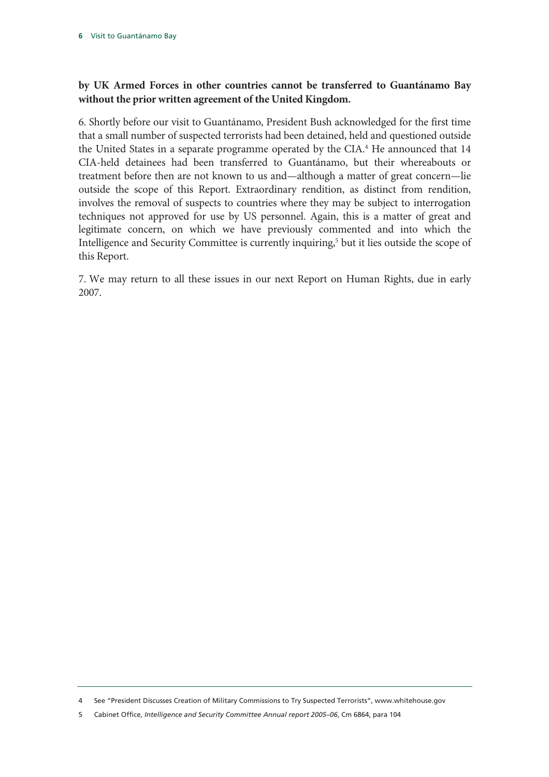#### **by UK Armed Forces in other countries cannot be transferred to Guantánamo Bay without the prior written agreement of the United Kingdom.**

6. Shortly before our visit to Guantánamo, President Bush acknowledged for the first time that a small number of suspected terrorists had been detained, held and questioned outside the United States in a separate programme operated by the CIA.<sup>4</sup> He announced that 14 CIA-held detainees had been transferred to Guantánamo, but their whereabouts or treatment before then are not known to us and—although a matter of great concern—lie outside the scope of this Report. Extraordinary rendition, as distinct from rendition, involves the removal of suspects to countries where they may be subject to interrogation techniques not approved for use by US personnel. Again, this is a matter of great and legitimate concern, on which we have previously commented and into which the Intelligence and Security Committee is currently inquiring,<sup>5</sup> but it lies outside the scope of this Report.

7. We may return to all these issues in our next Report on Human Rights, due in early 2007.

<sup>4</sup> See "President Discusses Creation of Military Commissions to Try Suspected Terrorists", www.whitehouse.gov

<sup>5</sup> Cabinet Office, *Intelligence and Security Committee Annual report 2005–06*, Cm 6864, para 104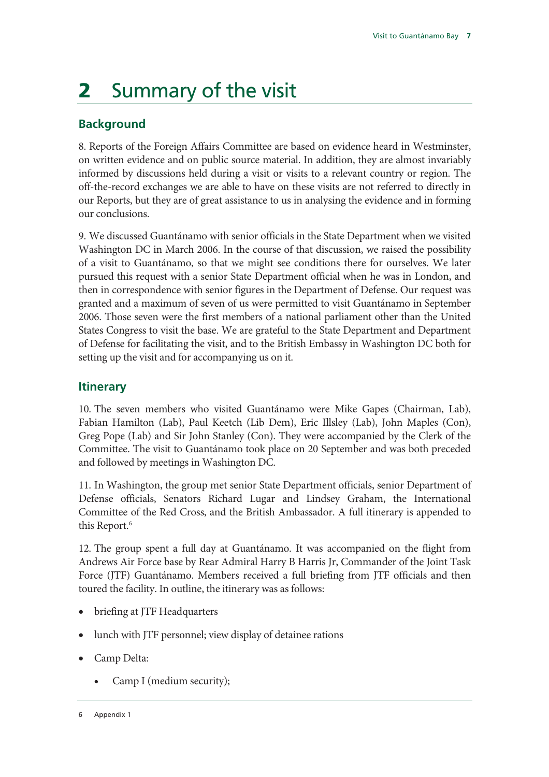## 2 Summary of the visit

#### **Background**

8. Reports of the Foreign Affairs Committee are based on evidence heard in Westminster, on written evidence and on public source material. In addition, they are almost invariably informed by discussions held during a visit or visits to a relevant country or region. The off-the-record exchanges we are able to have on these visits are not referred to directly in our Reports, but they are of great assistance to us in analysing the evidence and in forming our conclusions.

9. We discussed Guantánamo with senior officials in the State Department when we visited Washington DC in March 2006. In the course of that discussion, we raised the possibility of a visit to Guantánamo, so that we might see conditions there for ourselves. We later pursued this request with a senior State Department official when he was in London, and then in correspondence with senior figures in the Department of Defense. Our request was granted and a maximum of seven of us were permitted to visit Guantánamo in September 2006. Those seven were the first members of a national parliament other than the United States Congress to visit the base. We are grateful to the State Department and Department of Defense for facilitating the visit, and to the British Embassy in Washington DC both for setting up the visit and for accompanying us on it.

#### **Itinerary**

10. The seven members who visited Guantánamo were Mike Gapes (Chairman, Lab), Fabian Hamilton (Lab), Paul Keetch (Lib Dem), Eric Illsley (Lab), John Maples (Con), Greg Pope (Lab) and Sir John Stanley (Con). They were accompanied by the Clerk of the Committee. The visit to Guantánamo took place on 20 September and was both preceded and followed by meetings in Washington DC.

11. In Washington, the group met senior State Department officials, senior Department of Defense officials, Senators Richard Lugar and Lindsey Graham, the International Committee of the Red Cross, and the British Ambassador. A full itinerary is appended to this Report.<sup>6</sup>

12. The group spent a full day at Guantánamo. It was accompanied on the flight from Andrews Air Force base by Rear Admiral Harry B Harris Jr, Commander of the Joint Task Force (JTF) Guantánamo. Members received a full briefing from JTF officials and then toured the facility. In outline, the itinerary was as follows:

- briefing at JTF Headquarters
- lunch with JTF personnel; view display of detainee rations
- Camp Delta:
	- Camp I (medium security);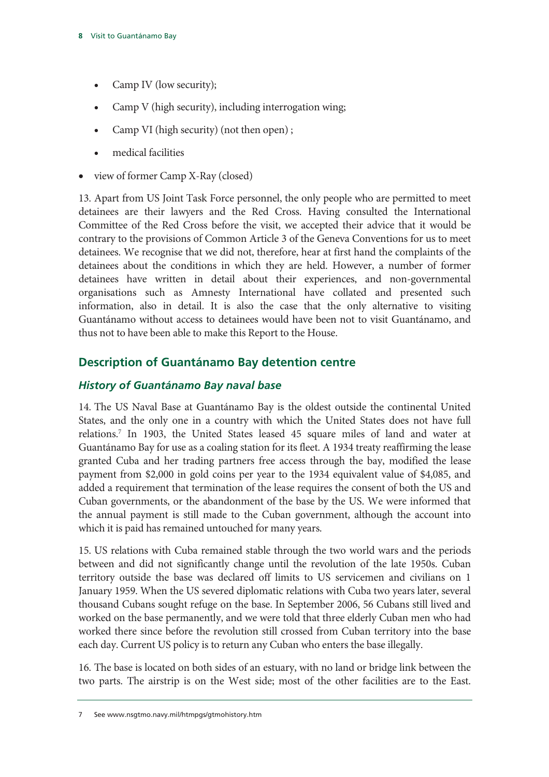- Camp IV (low security);
- Camp V (high security), including interrogation wing;
- Camp VI (high security) (not then open);
- medical facilities
- view of former Camp X-Ray (closed)

13. Apart from US Joint Task Force personnel, the only people who are permitted to meet detainees are their lawyers and the Red Cross. Having consulted the International Committee of the Red Cross before the visit, we accepted their advice that it would be contrary to the provisions of Common Article 3 of the Geneva Conventions for us to meet detainees. We recognise that we did not, therefore, hear at first hand the complaints of the detainees about the conditions in which they are held. However, a number of former detainees have written in detail about their experiences, and non-governmental organisations such as Amnesty International have collated and presented such information, also in detail. It is also the case that the only alternative to visiting Guantánamo without access to detainees would have been not to visit Guantánamo, and thus not to have been able to make this Report to the House.

#### **Description of Guantánamo Bay detention centre**

#### *History of Guantánamo Bay naval base*

14. The US Naval Base at Guantánamo Bay is the oldest outside the continental United States, and the only one in a country with which the United States does not have full relations.7 In 1903, the United States leased 45 square miles of land and water at Guantánamo Bay for use as a coaling station for its fleet. A 1934 treaty reaffirming the lease granted Cuba and her trading partners free access through the bay, modified the lease payment from \$2,000 in gold coins per year to the 1934 equivalent value of \$4,085, and added a requirement that termination of the lease requires the consent of both the US and Cuban governments, or the abandonment of the base by the US. We were informed that the annual payment is still made to the Cuban government, although the account into which it is paid has remained untouched for many years.

15. US relations with Cuba remained stable through the two world wars and the periods between and did not significantly change until the revolution of the late 1950s. Cuban territory outside the base was declared off limits to US servicemen and civilians on 1 January 1959. When the US severed diplomatic relations with Cuba two years later, several thousand Cubans sought refuge on the base. In September 2006, 56 Cubans still lived and worked on the base permanently, and we were told that three elderly Cuban men who had worked there since before the revolution still crossed from Cuban territory into the base each day. Current US policy is to return any Cuban who enters the base illegally.

16. The base is located on both sides of an estuary, with no land or bridge link between the two parts. The airstrip is on the West side; most of the other facilities are to the East.

<sup>7</sup> See www.nsgtmo.navy.mil/htmpgs/gtmohistory.htm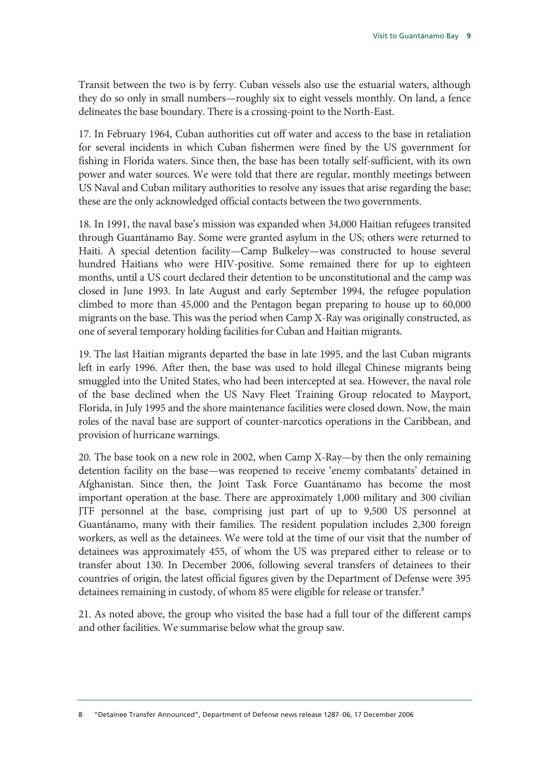Transit between the two is by ferry. Cuban vessels also use the estuarial waters, although they do so only in small numbers—roughly six to eight vessels monthly. On land, a fence delineates the base boundary. There is a crossing-point to the North-East.

17. In February 1964, Cuban authorities cut off water and access to the base in retaliation for several incidents in which Cuban fishermen were fined by the US government for fishing in Florida waters. Since then, the base has been totally self-sufficient, with its own power and water sources. We were told that there are regular, monthly meetings between US Naval and Cuban military authorities to resolve any issues that arise regarding the base; these are the only acknowledged official contacts between the two governments.

18. In 1991, the naval base's mission was expanded when 34,000 Haitian refugees transited through Guantánamo Bay. Some were granted asylum in the US; others were returned to Haiti. A special detention facility—Camp Bulkeley—was constructed to house several hundred Haitians who were HIV-positive. Some remained there for up to eighteen months, until a US court declared their detention to be unconstitutional and the camp was closed in June 1993. In late August and early September 1994, the refugee population climbed to more than 45,000 and the Pentagon began preparing to house up to 60,000 migrants on the base. This was the period when Camp X-Ray was originally constructed, as one of several temporary holding facilities for Cuban and Haitian migrants.

19. The last Haitian migrants departed the base in late 1995, and the last Cuban migrants left in early 1996. After then, the base was used to hold illegal Chinese migrants being smuggled into the United States, who had been intercepted at sea. However, the naval role of the base declined when the US Navy Fleet Training Group relocated to Mayport, Florida, in July 1995 and the shore maintenance facilities were closed down. Now, the main roles of the naval base are support of counter-narcotics operations in the Caribbean, and provision of hurricane warnings.

20. The base took on a new role in 2002, when Camp X-Ray—by then the only remaining detention facility on the base—was reopened to receive 'enemy combatants' detained in Afghanistan. Since then, the Joint Task Force Guantánamo has become the most important operation at the base. There are approximately 1,000 military and 300 civilian JTF personnel at the base, comprising just part of up to 9,500 US personnel at Guantánamo, many with their families. The resident population includes 2,300 foreign workers, as well as the detainees. We were told at the time of our visit that the number of detainees was approximately 455, of whom the US was prepared either to release or to transfer about 130. In December 2006, following several transfers of detainees to their countries of origin, the latest official figures given by the Department of Defense were 395 detainees remaining in custody, of whom 85 were eligible for release or transfer.<sup>8</sup>

21. As noted above, the group who visited the base had a full tour of the different camps and other facilities. We summarise below what the group saw.

<sup>8 &</sup>quot;Detainee Transfer Announced", Department of Defense news release 1287–06, 17 December 2006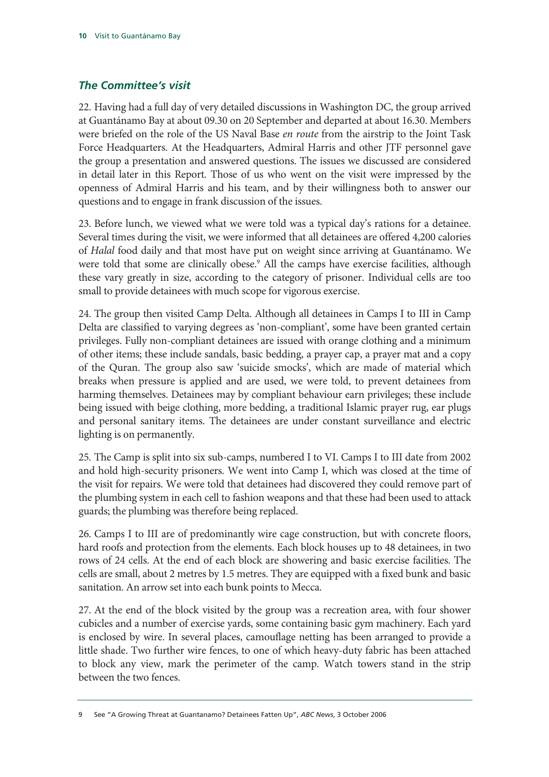#### *The Committee's visit*

22. Having had a full day of very detailed discussions in Washington DC, the group arrived at Guantánamo Bay at about 09.30 on 20 September and departed at about 16.30. Members were briefed on the role of the US Naval Base *en route* from the airstrip to the Joint Task Force Headquarters. At the Headquarters, Admiral Harris and other JTF personnel gave the group a presentation and answered questions. The issues we discussed are considered in detail later in this Report. Those of us who went on the visit were impressed by the openness of Admiral Harris and his team, and by their willingness both to answer our questions and to engage in frank discussion of the issues.

23. Before lunch, we viewed what we were told was a typical day's rations for a detainee. Several times during the visit, we were informed that all detainees are offered 4,200 calories of *Halal* food daily and that most have put on weight since arriving at Guantánamo. We were told that some are clinically obese.<sup>9</sup> All the camps have exercise facilities, although these vary greatly in size, according to the category of prisoner. Individual cells are too small to provide detainees with much scope for vigorous exercise.

24. The group then visited Camp Delta. Although all detainees in Camps I to III in Camp Delta are classified to varying degrees as 'non-compliant', some have been granted certain privileges. Fully non-compliant detainees are issued with orange clothing and a minimum of other items; these include sandals, basic bedding, a prayer cap, a prayer mat and a copy of the Quran. The group also saw 'suicide smocks', which are made of material which breaks when pressure is applied and are used, we were told, to prevent detainees from harming themselves. Detainees may by compliant behaviour earn privileges; these include being issued with beige clothing, more bedding, a traditional Islamic prayer rug, ear plugs and personal sanitary items. The detainees are under constant surveillance and electric lighting is on permanently.

25. The Camp is split into six sub-camps, numbered I to VI. Camps I to III date from 2002 and hold high-security prisoners. We went into Camp I, which was closed at the time of the visit for repairs. We were told that detainees had discovered they could remove part of the plumbing system in each cell to fashion weapons and that these had been used to attack guards; the plumbing was therefore being replaced.

26. Camps I to III are of predominantly wire cage construction, but with concrete floors, hard roofs and protection from the elements. Each block houses up to 48 detainees, in two rows of 24 cells. At the end of each block are showering and basic exercise facilities. The cells are small, about 2 metres by 1.5 metres. They are equipped with a fixed bunk and basic sanitation. An arrow set into each bunk points to Mecca.

27. At the end of the block visited by the group was a recreation area, with four shower cubicles and a number of exercise yards, some containing basic gym machinery. Each yard is enclosed by wire. In several places, camouflage netting has been arranged to provide a little shade. Two further wire fences, to one of which heavy-duty fabric has been attached to block any view, mark the perimeter of the camp. Watch towers stand in the strip between the two fences.

<sup>9</sup> See "A Growing Threat at Guantanamo? Detainees Fatten Up", *ABC News*, 3 October 2006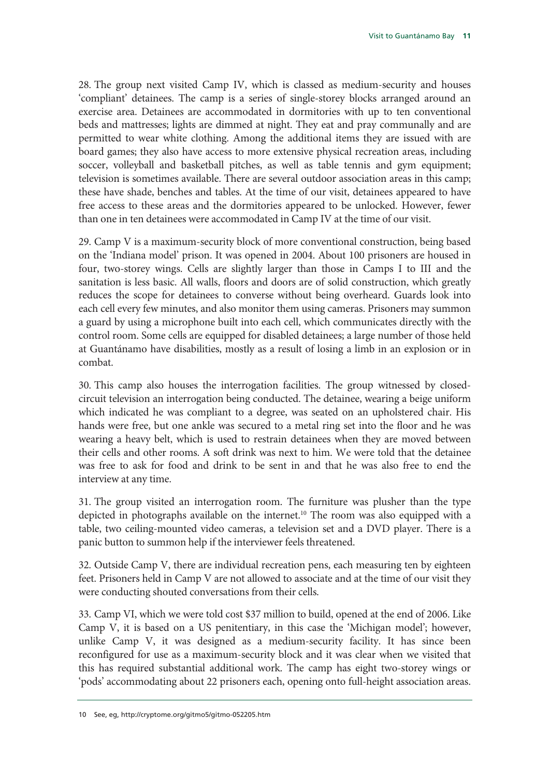28. The group next visited Camp IV, which is classed as medium-security and houses 'compliant' detainees. The camp is a series of single-storey blocks arranged around an exercise area. Detainees are accommodated in dormitories with up to ten conventional beds and mattresses; lights are dimmed at night. They eat and pray communally and are permitted to wear white clothing. Among the additional items they are issued with are board games; they also have access to more extensive physical recreation areas, including soccer, volleyball and basketball pitches, as well as table tennis and gym equipment; television is sometimes available. There are several outdoor association areas in this camp; these have shade, benches and tables. At the time of our visit, detainees appeared to have free access to these areas and the dormitories appeared to be unlocked. However, fewer than one in ten detainees were accommodated in Camp IV at the time of our visit.

29. Camp V is a maximum-security block of more conventional construction, being based on the 'Indiana model' prison. It was opened in 2004. About 100 prisoners are housed in four, two-storey wings. Cells are slightly larger than those in Camps I to III and the sanitation is less basic. All walls, floors and doors are of solid construction, which greatly reduces the scope for detainees to converse without being overheard. Guards look into each cell every few minutes, and also monitor them using cameras. Prisoners may summon a guard by using a microphone built into each cell, which communicates directly with the control room. Some cells are equipped for disabled detainees; a large number of those held at Guantánamo have disabilities, mostly as a result of losing a limb in an explosion or in combat.

30. This camp also houses the interrogation facilities. The group witnessed by closedcircuit television an interrogation being conducted. The detainee, wearing a beige uniform which indicated he was compliant to a degree, was seated on an upholstered chair. His hands were free, but one ankle was secured to a metal ring set into the floor and he was wearing a heavy belt, which is used to restrain detainees when they are moved between their cells and other rooms. A soft drink was next to him. We were told that the detainee was free to ask for food and drink to be sent in and that he was also free to end the interview at any time.

31. The group visited an interrogation room. The furniture was plusher than the type depicted in photographs available on the internet.<sup>10</sup> The room was also equipped with a table, two ceiling-mounted video cameras, a television set and a DVD player. There is a panic button to summon help if the interviewer feels threatened.

32. Outside Camp V, there are individual recreation pens, each measuring ten by eighteen feet. Prisoners held in Camp V are not allowed to associate and at the time of our visit they were conducting shouted conversations from their cells.

33. Camp VI, which we were told cost \$37 million to build, opened at the end of 2006. Like Camp V, it is based on a US penitentiary, in this case the 'Michigan model'; however, unlike Camp V, it was designed as a medium-security facility. It has since been reconfigured for use as a maximum-security block and it was clear when we visited that this has required substantial additional work. The camp has eight two-storey wings or 'pods' accommodating about 22 prisoners each, opening onto full-height association areas.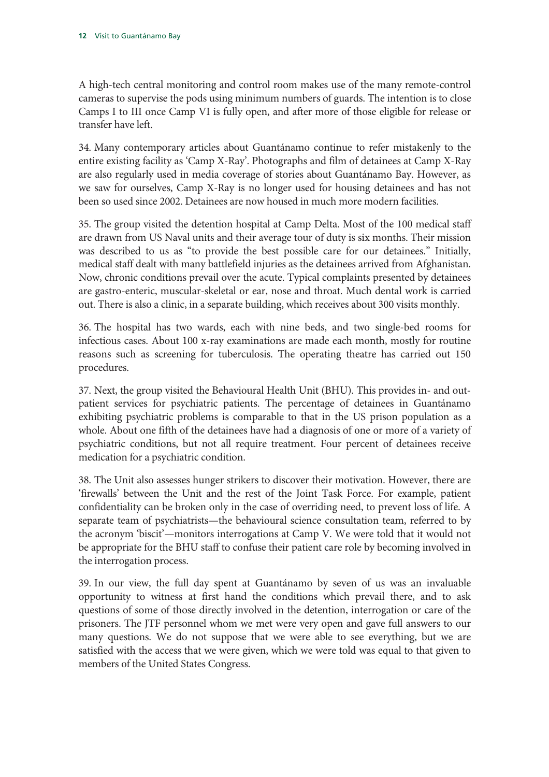A high-tech central monitoring and control room makes use of the many remote-control cameras to supervise the pods using minimum numbers of guards. The intention is to close Camps I to III once Camp VI is fully open, and after more of those eligible for release or transfer have left.

34. Many contemporary articles about Guantánamo continue to refer mistakenly to the entire existing facility as 'Camp X-Ray'. Photographs and film of detainees at Camp X-Ray are also regularly used in media coverage of stories about Guantánamo Bay. However, as we saw for ourselves, Camp X-Ray is no longer used for housing detainees and has not been so used since 2002. Detainees are now housed in much more modern facilities.

35. The group visited the detention hospital at Camp Delta. Most of the 100 medical staff are drawn from US Naval units and their average tour of duty is six months. Their mission was described to us as "to provide the best possible care for our detainees." Initially, medical staff dealt with many battlefield injuries as the detainees arrived from Afghanistan. Now, chronic conditions prevail over the acute. Typical complaints presented by detainees are gastro-enteric, muscular-skeletal or ear, nose and throat. Much dental work is carried out. There is also a clinic, in a separate building, which receives about 300 visits monthly.

36. The hospital has two wards, each with nine beds, and two single-bed rooms for infectious cases. About 100 x-ray examinations are made each month, mostly for routine reasons such as screening for tuberculosis. The operating theatre has carried out 150 procedures.

37. Next, the group visited the Behavioural Health Unit (BHU). This provides in- and outpatient services for psychiatric patients. The percentage of detainees in Guantánamo exhibiting psychiatric problems is comparable to that in the US prison population as a whole. About one fifth of the detainees have had a diagnosis of one or more of a variety of psychiatric conditions, but not all require treatment. Four percent of detainees receive medication for a psychiatric condition.

38. The Unit also assesses hunger strikers to discover their motivation. However, there are 'firewalls' between the Unit and the rest of the Joint Task Force. For example, patient confidentiality can be broken only in the case of overriding need, to prevent loss of life. A separate team of psychiatrists—the behavioural science consultation team, referred to by the acronym 'biscit'—monitors interrogations at Camp V. We were told that it would not be appropriate for the BHU staff to confuse their patient care role by becoming involved in the interrogation process.

39. In our view, the full day spent at Guantánamo by seven of us was an invaluable opportunity to witness at first hand the conditions which prevail there, and to ask questions of some of those directly involved in the detention, interrogation or care of the prisoners. The JTF personnel whom we met were very open and gave full answers to our many questions. We do not suppose that we were able to see everything, but we are satisfied with the access that we were given, which we were told was equal to that given to members of the United States Congress.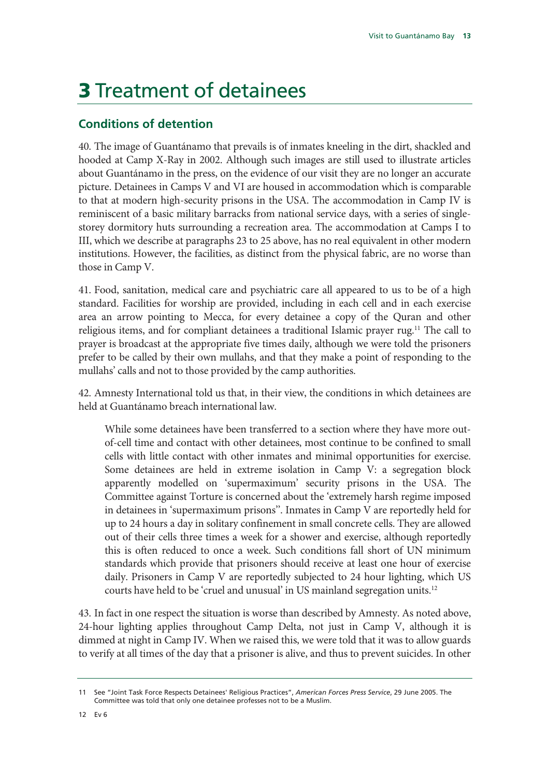## 3 Treatment of detainees

#### **Conditions of detention**

40. The image of Guantánamo that prevails is of inmates kneeling in the dirt, shackled and hooded at Camp X-Ray in 2002. Although such images are still used to illustrate articles about Guantánamo in the press, on the evidence of our visit they are no longer an accurate picture. Detainees in Camps V and VI are housed in accommodation which is comparable to that at modern high-security prisons in the USA. The accommodation in Camp IV is reminiscent of a basic military barracks from national service days, with a series of singlestorey dormitory huts surrounding a recreation area. The accommodation at Camps I to III, which we describe at paragraphs 23 to 25 above, has no real equivalent in other modern institutions. However, the facilities, as distinct from the physical fabric, are no worse than those in Camp V.

41. Food, sanitation, medical care and psychiatric care all appeared to us to be of a high standard. Facilities for worship are provided, including in each cell and in each exercise area an arrow pointing to Mecca, for every detainee a copy of the Quran and other religious items, and for compliant detainees a traditional Islamic prayer rug.<sup>11</sup> The call to prayer is broadcast at the appropriate five times daily, although we were told the prisoners prefer to be called by their own mullahs, and that they make a point of responding to the mullahs' calls and not to those provided by the camp authorities.

42. Amnesty International told us that, in their view, the conditions in which detainees are held at Guantánamo breach international law.

While some detainees have been transferred to a section where they have more outof-cell time and contact with other detainees, most continue to be confined to small cells with little contact with other inmates and minimal opportunities for exercise. Some detainees are held in extreme isolation in Camp V: a segregation block apparently modelled on 'supermaximum' security prisons in the USA. The Committee against Torture is concerned about the 'extremely harsh regime imposed in detainees in 'supermaximum prisons''. Inmates in Camp V are reportedly held for up to 24 hours a day in solitary confinement in small concrete cells. They are allowed out of their cells three times a week for a shower and exercise, although reportedly this is often reduced to once a week. Such conditions fall short of UN minimum standards which provide that prisoners should receive at least one hour of exercise daily. Prisoners in Camp V are reportedly subjected to 24 hour lighting, which US courts have held to be 'cruel and unusual' in US mainland segregation units.12

43. In fact in one respect the situation is worse than described by Amnesty. As noted above, 24-hour lighting applies throughout Camp Delta, not just in Camp V, although it is dimmed at night in Camp IV. When we raised this, we were told that it was to allow guards to verify at all times of the day that a prisoner is alive, and thus to prevent suicides. In other

<sup>11</sup> See "Joint Task Force Respects Detainees' Religious Practices", *American Forces Press Service*, 29 June 2005. The Committee was told that only one detainee professes not to be a Muslim.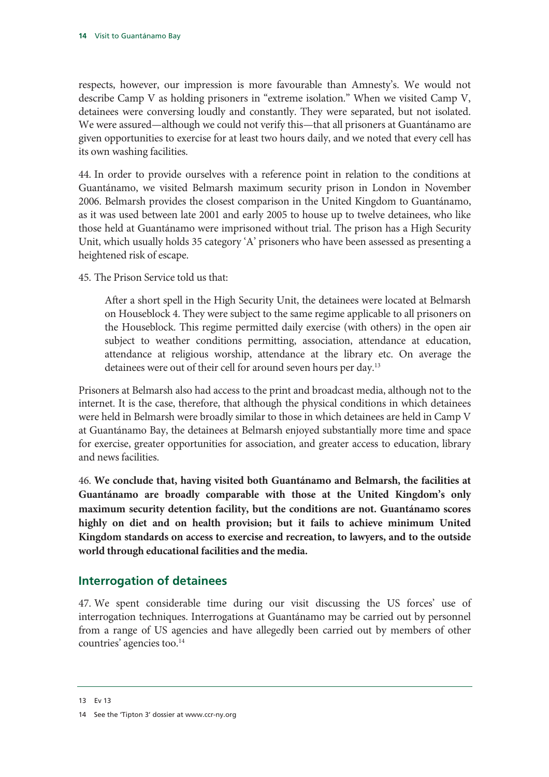respects, however, our impression is more favourable than Amnesty's. We would not describe Camp V as holding prisoners in "extreme isolation." When we visited Camp V, detainees were conversing loudly and constantly. They were separated, but not isolated. We were assured—although we could not verify this—that all prisoners at Guantánamo are given opportunities to exercise for at least two hours daily, and we noted that every cell has its own washing facilities.

44. In order to provide ourselves with a reference point in relation to the conditions at Guantánamo, we visited Belmarsh maximum security prison in London in November 2006. Belmarsh provides the closest comparison in the United Kingdom to Guantánamo, as it was used between late 2001 and early 2005 to house up to twelve detainees, who like those held at Guantánamo were imprisoned without trial. The prison has a High Security Unit, which usually holds 35 category 'A' prisoners who have been assessed as presenting a heightened risk of escape.

45. The Prison Service told us that:

After a short spell in the High Security Unit, the detainees were located at Belmarsh on Houseblock 4. They were subject to the same regime applicable to all prisoners on the Houseblock. This regime permitted daily exercise (with others) in the open air subject to weather conditions permitting, association, attendance at education, attendance at religious worship, attendance at the library etc. On average the detainees were out of their cell for around seven hours per day.13

Prisoners at Belmarsh also had access to the print and broadcast media, although not to the internet. It is the case, therefore, that although the physical conditions in which detainees were held in Belmarsh were broadly similar to those in which detainees are held in Camp V at Guantánamo Bay, the detainees at Belmarsh enjoyed substantially more time and space for exercise, greater opportunities for association, and greater access to education, library and news facilities.

46. **We conclude that, having visited both Guantánamo and Belmarsh, the facilities at Guantánamo are broadly comparable with those at the United Kingdom's only maximum security detention facility, but the conditions are not. Guantánamo scores highly on diet and on health provision; but it fails to achieve minimum United Kingdom standards on access to exercise and recreation, to lawyers, and to the outside world through educational facilities and the media.** 

#### **Interrogation of detainees**

47. We spent considerable time during our visit discussing the US forces' use of interrogation techniques. Interrogations at Guantánamo may be carried out by personnel from a range of US agencies and have allegedly been carried out by members of other countries' agencies too.<sup>14</sup>

<sup>13</sup> Ev 13

<sup>14</sup> See the 'Tipton 3' dossier at www.ccr-ny.org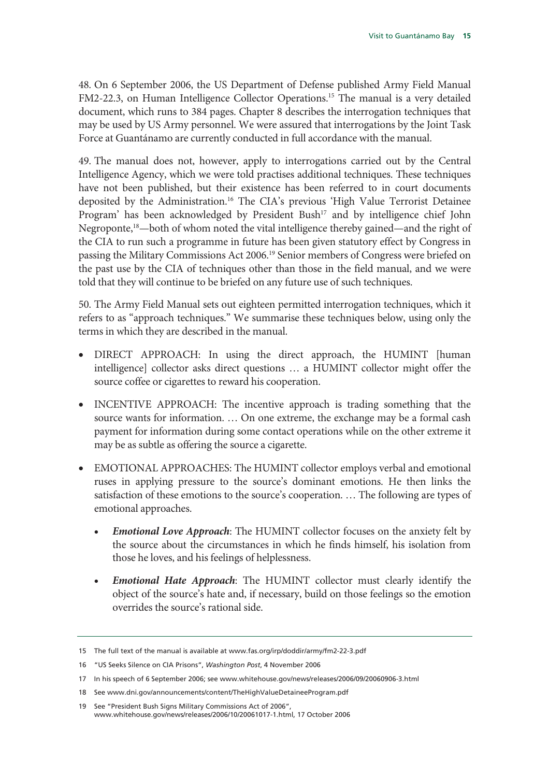48. On 6 September 2006, the US Department of Defense published Army Field Manual FM2-22.3, on Human Intelligence Collector Operations.<sup>15</sup> The manual is a very detailed document, which runs to 384 pages. Chapter 8 describes the interrogation techniques that may be used by US Army personnel. We were assured that interrogations by the Joint Task Force at Guantánamo are currently conducted in full accordance with the manual.

49. The manual does not, however, apply to interrogations carried out by the Central Intelligence Agency, which we were told practises additional techniques. These techniques have not been published, but their existence has been referred to in court documents deposited by the Administration.16 The CIA's previous 'High Value Terrorist Detainee Program' has been acknowledged by President Bush<sup>17</sup> and by intelligence chief John Negroponte,<sup>18</sup>—both of whom noted the vital intelligence thereby gained—and the right of the CIA to run such a programme in future has been given statutory effect by Congress in passing the Military Commissions Act 2006.19 Senior members of Congress were briefed on the past use by the CIA of techniques other than those in the field manual, and we were told that they will continue to be briefed on any future use of such techniques.

50. The Army Field Manual sets out eighteen permitted interrogation techniques, which it refers to as "approach techniques." We summarise these techniques below, using only the terms in which they are described in the manual.

- DIRECT APPROACH: In using the direct approach, the HUMINT [human intelligence] collector asks direct questions … a HUMINT collector might offer the source coffee or cigarettes to reward his cooperation.
- INCENTIVE APPROACH: The incentive approach is trading something that the source wants for information. … On one extreme, the exchange may be a formal cash payment for information during some contact operations while on the other extreme it may be as subtle as offering the source a cigarette.
- EMOTIONAL APPROACHES: The HUMINT collector employs verbal and emotional ruses in applying pressure to the source's dominant emotions. He then links the satisfaction of these emotions to the source's cooperation. … The following are types of emotional approaches.
	- *Emotional Love Approach*: The HUMINT collector focuses on the anxiety felt by the source about the circumstances in which he finds himself, his isolation from those he loves, and his feelings of helplessness.
	- *Emotional Hate Approach*: The HUMINT collector must clearly identify the object of the source's hate and, if necessary, build on those feelings so the emotion overrides the source's rational side.

<sup>15</sup> The full text of the manual is available at www.fas.org/irp/doddir/army/fm2-22-3.pdf

<sup>16 &</sup>quot;US Seeks Silence on CIA Prisons", *Washington Post*, 4 November 2006

<sup>17</sup> In his speech of 6 September 2006; see www.whitehouse.gov/news/releases/2006/09/20060906-3.html

<sup>18</sup> See www.dni.gov/announcements/content/TheHighValueDetaineeProgram.pdf

<sup>19</sup> See "President Bush Signs Military Commissions Act of 2006", www.whitehouse.gov/news/releases/2006/10/20061017-1.html, 17 October 2006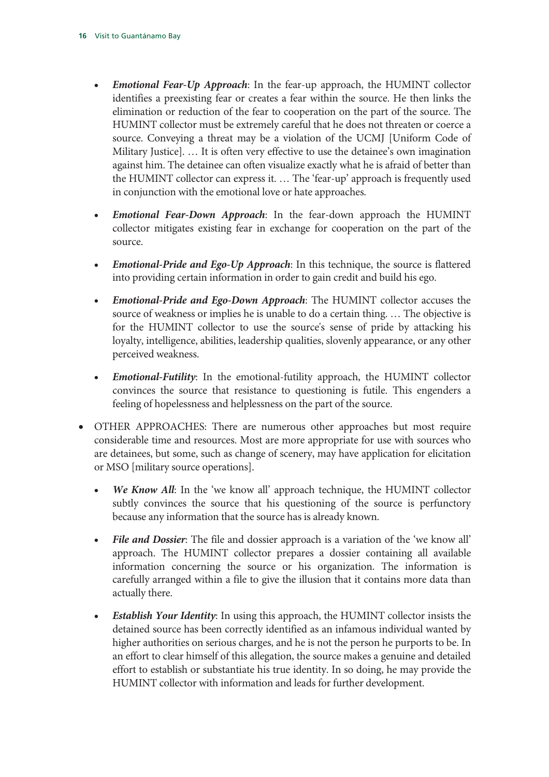- *Emotional Fear-Up Approach*: In the fear-up approach, the HUMINT collector identifies a preexisting fear or creates a fear within the source. He then links the elimination or reduction of the fear to cooperation on the part of the source. The HUMINT collector must be extremely careful that he does not threaten or coerce a source. Conveying a threat may be a violation of the UCMJ [Uniform Code of Military Justice]. … It is often very effective to use the detainee's own imagination against him. The detainee can often visualize exactly what he is afraid of better than the HUMINT collector can express it. … The 'fear-up' approach is frequently used in conjunction with the emotional love or hate approaches.
- *Emotional Fear-Down Approach*: In the fear-down approach the HUMINT collector mitigates existing fear in exchange for cooperation on the part of the source.
- *Emotional-Pride and Ego-Up Approach*: In this technique, the source is flattered into providing certain information in order to gain credit and build his ego.
- *Emotional-Pride and Ego-Down Approach*: The HUMINT collector accuses the source of weakness or implies he is unable to do a certain thing. … The objective is for the HUMINT collector to use the source's sense of pride by attacking his loyalty, intelligence, abilities, leadership qualities, slovenly appearance, or any other perceived weakness.
- *Emotional-Futility*: In the emotional-futility approach, the HUMINT collector convinces the source that resistance to questioning is futile. This engenders a feeling of hopelessness and helplessness on the part of the source.
- OTHER APPROACHES: There are numerous other approaches but most require considerable time and resources. Most are more appropriate for use with sources who are detainees, but some, such as change of scenery, may have application for elicitation or MSO [military source operations].
	- *We Know All*: In the 'we know all' approach technique, the HUMINT collector subtly convinces the source that his questioning of the source is perfunctory because any information that the source has is already known.
	- *File and Dossier*: The file and dossier approach is a variation of the 'we know all' approach. The HUMINT collector prepares a dossier containing all available information concerning the source or his organization. The information is carefully arranged within a file to give the illusion that it contains more data than actually there.
	- *Establish Your Identity*: In using this approach, the HUMINT collector insists the detained source has been correctly identified as an infamous individual wanted by higher authorities on serious charges, and he is not the person he purports to be. In an effort to clear himself of this allegation, the source makes a genuine and detailed effort to establish or substantiate his true identity. In so doing, he may provide the HUMINT collector with information and leads for further development.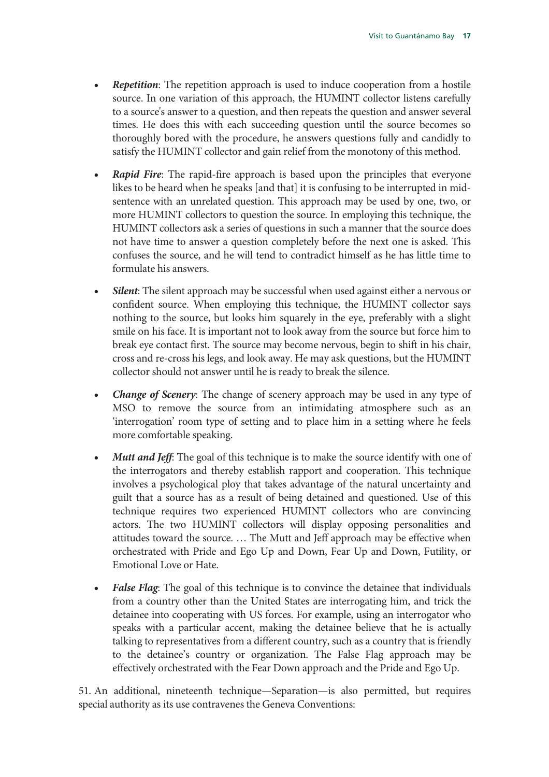- **Repetition**: The repetition approach is used to induce cooperation from a hostile source. In one variation of this approach, the HUMINT collector listens carefully to a source's answer to a question, and then repeats the question and answer several times. He does this with each succeeding question until the source becomes so thoroughly bored with the procedure, he answers questions fully and candidly to satisfy the HUMINT collector and gain relief from the monotony of this method.
- **Rapid Fire:** The rapid-fire approach is based upon the principles that everyone likes to be heard when he speaks [and that] it is confusing to be interrupted in midsentence with an unrelated question. This approach may be used by one, two, or more HUMINT collectors to question the source. In employing this technique, the HUMINT collectors ask a series of questions in such a manner that the source does not have time to answer a question completely before the next one is asked. This confuses the source, and he will tend to contradict himself as he has little time to formulate his answers.
- *Silent*: The silent approach may be successful when used against either a nervous or confident source. When employing this technique, the HUMINT collector says nothing to the source, but looks him squarely in the eye, preferably with a slight smile on his face. It is important not to look away from the source but force him to break eye contact first. The source may become nervous, begin to shift in his chair, cross and re-cross his legs, and look away. He may ask questions, but the HUMINT collector should not answer until he is ready to break the silence.
- *Change of Scenery:* The change of scenery approach may be used in any type of MSO to remove the source from an intimidating atmosphere such as an 'interrogation' room type of setting and to place him in a setting where he feels more comfortable speaking.
- *Mutt and Jeff*: The goal of this technique is to make the source identify with one of the interrogators and thereby establish rapport and cooperation. This technique involves a psychological ploy that takes advantage of the natural uncertainty and guilt that a source has as a result of being detained and questioned. Use of this technique requires two experienced HUMINT collectors who are convincing actors. The two HUMINT collectors will display opposing personalities and attitudes toward the source. … The Mutt and Jeff approach may be effective when orchestrated with Pride and Ego Up and Down, Fear Up and Down, Futility, or Emotional Love or Hate.
- **False Flag**: The goal of this technique is to convince the detainee that individuals from a country other than the United States are interrogating him, and trick the detainee into cooperating with US forces. For example, using an interrogator who speaks with a particular accent, making the detainee believe that he is actually talking to representatives from a different country, such as a country that is friendly to the detainee's country or organization. The False Flag approach may be effectively orchestrated with the Fear Down approach and the Pride and Ego Up.

51. An additional, nineteenth technique—Separation—is also permitted, but requires special authority as its use contravenes the Geneva Conventions: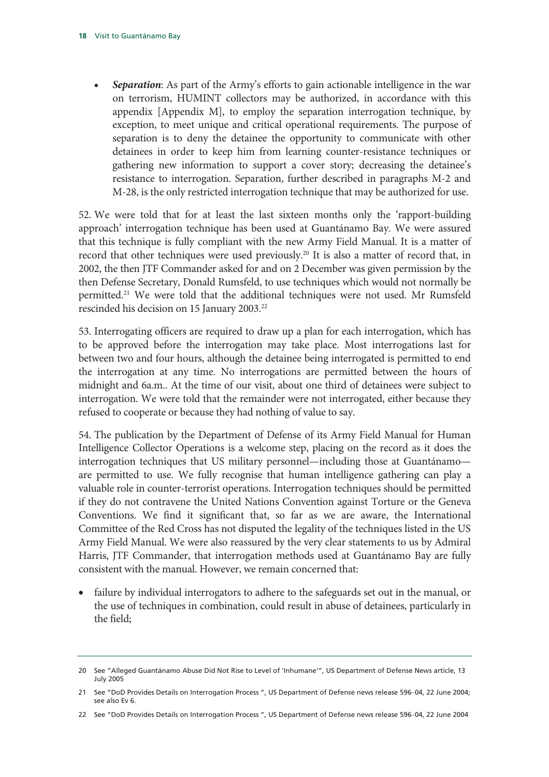• *Separation*: As part of the Army's efforts to gain actionable intelligence in the war on terrorism, HUMINT collectors may be authorized, in accordance with this appendix [Appendix M], to employ the separation interrogation technique, by exception, to meet unique and critical operational requirements. The purpose of separation is to deny the detainee the opportunity to communicate with other detainees in order to keep him from learning counter-resistance techniques or gathering new information to support a cover story; decreasing the detainee's resistance to interrogation. Separation, further described in paragraphs M-2 and M-28, is the only restricted interrogation technique that may be authorized for use.

52. We were told that for at least the last sixteen months only the 'rapport-building approach' interrogation technique has been used at Guantánamo Bay. We were assured that this technique is fully compliant with the new Army Field Manual. It is a matter of record that other techniques were used previously.<sup>20</sup> It is also a matter of record that, in 2002, the then JTF Commander asked for and on 2 December was given permission by the then Defense Secretary, Donald Rumsfeld, to use techniques which would not normally be permitted.21 We were told that the additional techniques were not used. Mr Rumsfeld rescinded his decision on 15 January 2003.<sup>22</sup>

53. Interrogating officers are required to draw up a plan for each interrogation, which has to be approved before the interrogation may take place. Most interrogations last for between two and four hours, although the detainee being interrogated is permitted to end the interrogation at any time. No interrogations are permitted between the hours of midnight and 6a.m.. At the time of our visit, about one third of detainees were subject to interrogation. We were told that the remainder were not interrogated, either because they refused to cooperate or because they had nothing of value to say.

54. The publication by the Department of Defense of its Army Field Manual for Human Intelligence Collector Operations is a welcome step, placing on the record as it does the interrogation techniques that US military personnel—including those at Guantánamo are permitted to use. We fully recognise that human intelligence gathering can play a valuable role in counter-terrorist operations. Interrogation techniques should be permitted if they do not contravene the United Nations Convention against Torture or the Geneva Conventions. We find it significant that, so far as we are aware, the International Committee of the Red Cross has not disputed the legality of the techniques listed in the US Army Field Manual. We were also reassured by the very clear statements to us by Admiral Harris, JTF Commander, that interrogation methods used at Guantánamo Bay are fully consistent with the manual. However, we remain concerned that:

• failure by individual interrogators to adhere to the safeguards set out in the manual, or the use of techniques in combination, could result in abuse of detainees, particularly in the field;

<sup>20</sup> See "Alleged Guantánamo Abuse Did Not Rise to Level of 'Inhumane'", US Department of Defense News article, 13 July 2005

<sup>21</sup> See "DoD Provides Details on Interrogation Process ", US Department of Defense news release 596–04, 22 June 2004; see also Ev 6.

<sup>22</sup> See "DoD Provides Details on Interrogation Process ", US Department of Defense news release 596–04, 22 June 2004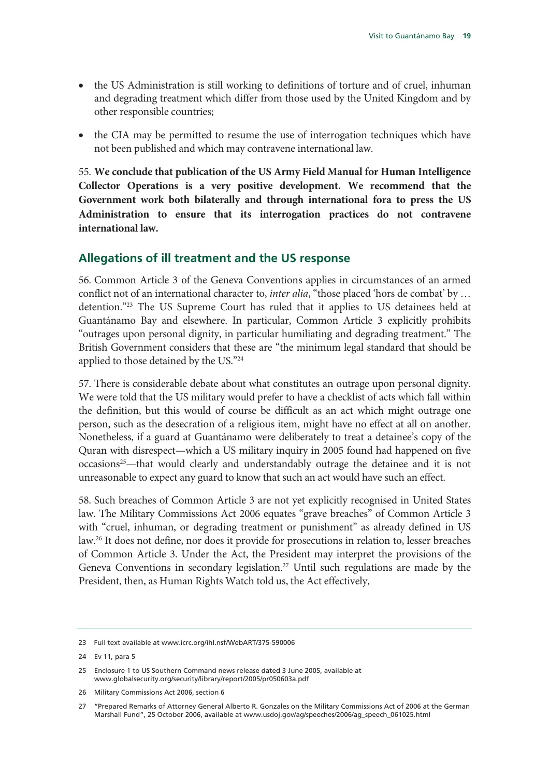- the US Administration is still working to definitions of torture and of cruel, inhuman and degrading treatment which differ from those used by the United Kingdom and by other responsible countries;
- the CIA may be permitted to resume the use of interrogation techniques which have not been published and which may contravene international law.

55. **We conclude that publication of the US Army Field Manual for Human Intelligence Collector Operations is a very positive development. We recommend that the Government work both bilaterally and through international fora to press the US Administration to ensure that its interrogation practices do not contravene international law.**

#### **Allegations of ill treatment and the US response**

56. Common Article 3 of the Geneva Conventions applies in circumstances of an armed conflict not of an international character to, *inter alia*, "those placed 'hors de combat' by … detention."23 The US Supreme Court has ruled that it applies to US detainees held at Guantánamo Bay and elsewhere. In particular, Common Article 3 explicitly prohibits "outrages upon personal dignity, in particular humiliating and degrading treatment." The British Government considers that these are "the minimum legal standard that should be applied to those detained by the US."24

57. There is considerable debate about what constitutes an outrage upon personal dignity. We were told that the US military would prefer to have a checklist of acts which fall within the definition, but this would of course be difficult as an act which might outrage one person, such as the desecration of a religious item, might have no effect at all on another. Nonetheless, if a guard at Guantánamo were deliberately to treat a detainee's copy of the Quran with disrespect—which a US military inquiry in 2005 found had happened on five occasions<sup>25</sup>—that would clearly and understandably outrage the detainee and it is not unreasonable to expect any guard to know that such an act would have such an effect.

58. Such breaches of Common Article 3 are not yet explicitly recognised in United States law. The Military Commissions Act 2006 equates "grave breaches" of Common Article 3 with "cruel, inhuman, or degrading treatment or punishment" as already defined in US law.26 It does not define, nor does it provide for prosecutions in relation to, lesser breaches of Common Article 3. Under the Act, the President may interpret the provisions of the Geneva Conventions in secondary legislation.<sup>27</sup> Until such regulations are made by the President, then, as Human Rights Watch told us, the Act effectively,

<sup>23</sup> Full text available at www.icrc.org/ihl.nsf/WebART/375-590006

<sup>24</sup> Ev 11, para 5

<sup>25</sup> Enclosure 1 to US Southern Command news release dated 3 June 2005, available at www.globalsecurity.org/security/library/report/2005/pr050603a.pdf

<sup>26</sup> Military Commissions Act 2006, section 6

<sup>27 &</sup>quot;Prepared Remarks of Attorney General Alberto R. Gonzales on the Military Commissions Act of 2006 at the German Marshall Fund", 25 October 2006, available at www.usdoj.gov/ag/speeches/2006/ag\_speech\_061025.html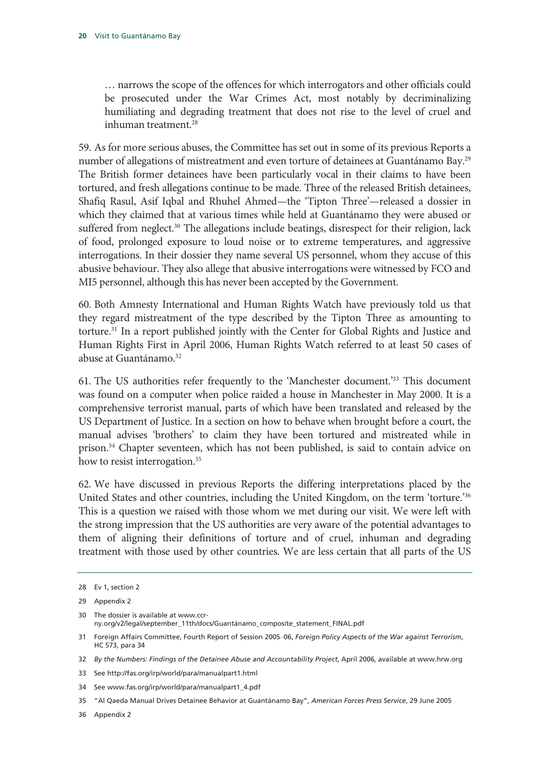… narrows the scope of the offences for which interrogators and other officials could be prosecuted under the War Crimes Act, most notably by decriminalizing humiliating and degrading treatment that does not rise to the level of cruel and inhuman treatment.28

59. As for more serious abuses, the Committee has set out in some of its previous Reports a number of allegations of mistreatment and even torture of detainees at Guantánamo Bay.<sup>29</sup> The British former detainees have been particularly vocal in their claims to have been tortured, and fresh allegations continue to be made. Three of the released British detainees, Shafiq Rasul, Asif Iqbal and Rhuhel Ahmed—the 'Tipton Three'—released a dossier in which they claimed that at various times while held at Guantánamo they were abused or suffered from neglect.<sup>30</sup> The allegations include beatings, disrespect for their religion, lack of food, prolonged exposure to loud noise or to extreme temperatures, and aggressive interrogations. In their dossier they name several US personnel, whom they accuse of this abusive behaviour. They also allege that abusive interrogations were witnessed by FCO and MI5 personnel, although this has never been accepted by the Government.

60. Both Amnesty International and Human Rights Watch have previously told us that they regard mistreatment of the type described by the Tipton Three as amounting to torture.31 In a report published jointly with the Center for Global Rights and Justice and Human Rights First in April 2006, Human Rights Watch referred to at least 50 cases of abuse at Guantánamo.<sup>32</sup>

61. The US authorities refer frequently to the 'Manchester document.'33 This document was found on a computer when police raided a house in Manchester in May 2000. It is a comprehensive terrorist manual, parts of which have been translated and released by the US Department of Justice. In a section on how to behave when brought before a court, the manual advises 'brothers' to claim they have been tortured and mistreated while in prison.<sup>34</sup> Chapter seventeen, which has not been published, is said to contain advice on how to resist interrogation.<sup>35</sup>

62. We have discussed in previous Reports the differing interpretations placed by the United States and other countries, including the United Kingdom, on the term 'torture.'36 This is a question we raised with those whom we met during our visit. We were left with the strong impression that the US authorities are very aware of the potential advantages to them of aligning their definitions of torture and of cruel, inhuman and degrading treatment with those used by other countries. We are less certain that all parts of the US

30 The dossier is available at www.ccrny.org/v2/legal/september\_11th/docs/Guantánamo\_composite\_statement\_FINAL.pdf

34 See www.fas.org/irp/world/para/manualpart1\_4.pdf

<sup>28</sup> Ev 1, section 2

<sup>29</sup> Appendix 2

<sup>31</sup> Foreign Affairs Committee, Fourth Report of Session 2005–06, *Foreign Policy Aspects of the War against Terrorism*, HC 573, para 34

<sup>32</sup> *By the Numbers: Findings of the Detainee Abuse and Accountability Project*, April 2006, available at www.hrw.org

<sup>33</sup> See http://fas.org/irp/world/para/manualpart1.html

<sup>35 &</sup>quot;Al Qaeda Manual Drives Detainee Behavior at Guantánamo Bay", *American Forces Press Service*, 29 June 2005

<sup>36</sup> Appendix 2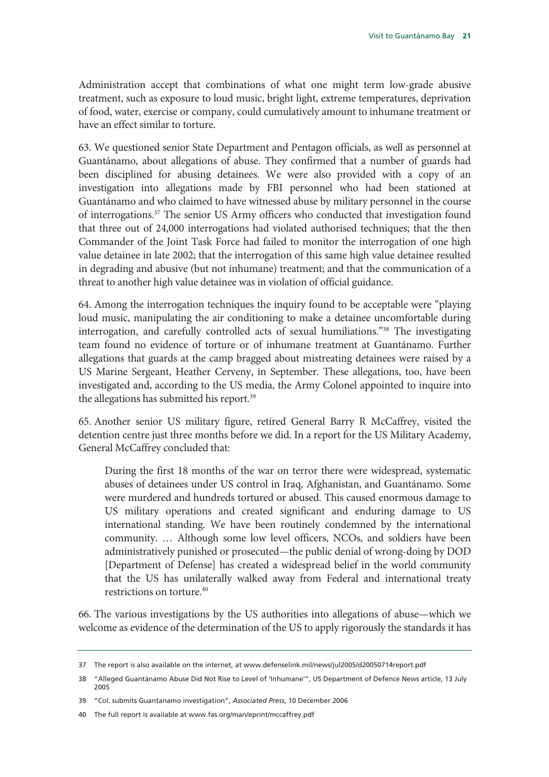Administration accept that combinations of what one might term low-grade abusive treatment, such as exposure to loud music, bright light, extreme temperatures, deprivation of food, water, exercise or company, could cumulatively amount to inhumane treatment or have an effect similar to torture.

63. We questioned senior State Department and Pentagon officials, as well as personnel at Guantánamo, about allegations of abuse. They confirmed that a number of guards had been disciplined for abusing detainees. We were also provided with a copy of an investigation into allegations made by FBI personnel who had been stationed at Guantánamo and who claimed to have witnessed abuse by military personnel in the course of interrogations.<sup>37</sup> The senior US Army officers who conducted that investigation found that three out of 24,000 interrogations had violated authorised techniques; that the then Commander of the Joint Task Force had failed to monitor the interrogation of one high value detainee in late 2002; that the interrogation of this same high value detainee resulted in degrading and abusive (but not inhumane) treatment; and that the communication of a threat to another high value detainee was in violation of official guidance.

64. Among the interrogation techniques the inquiry found to be acceptable were "playing loud music, manipulating the air conditioning to make a detainee uncomfortable during interrogation, and carefully controlled acts of sexual humiliations."38 The investigating team found no evidence of torture or of inhumane treatment at Guantánamo. Further allegations that guards at the camp bragged about mistreating detainees were raised by a US Marine Sergeant, Heather Cerveny, in September. These allegations, too, have been investigated and, according to the US media, the Army Colonel appointed to inquire into the allegations has submitted his report.<sup>39</sup>

65. Another senior US military figure, retired General Barry R McCaffrey, visited the detention centre just three months before we did. In a report for the US Military Academy, General McCaffrey concluded that:

During the first 18 months of the war on terror there were widespread, systematic abuses of detainees under US control in Iraq, Afghanistan, and Guantánamo. Some were murdered and hundreds tortured or abused. This caused enormous damage to US military operations and created significant and enduring damage to US international standing. We have been routinely condemned by the international community. … Although some low level officers, NCOs, and soldiers have been administratively punished or prosecuted—the public denial of wrong-doing by DOD [Department of Defense] has created a widespread belief in the world community that the US has unilaterally walked away from Federal and international treaty restrictions on torture.40

66. The various investigations by the US authorities into allegations of abuse—which we welcome as evidence of the determination of the US to apply rigorously the standards it has

40 The full report is available at www.fas.org/man/eprint/mccaffrey.pdf

<sup>37</sup> The report is also available on the internet, at www.defenselink.mil/news/jul2005/d20050714report.pdf

<sup>38 &</sup>quot;Alleged Guantánamo Abuse Did Not Rise to Level of 'Inhumane'", US Department of Defence News article, 13 July 2005

<sup>39 &</sup>quot;Col. submits Guantanamo investigation", *Associated Press*, 10 December 2006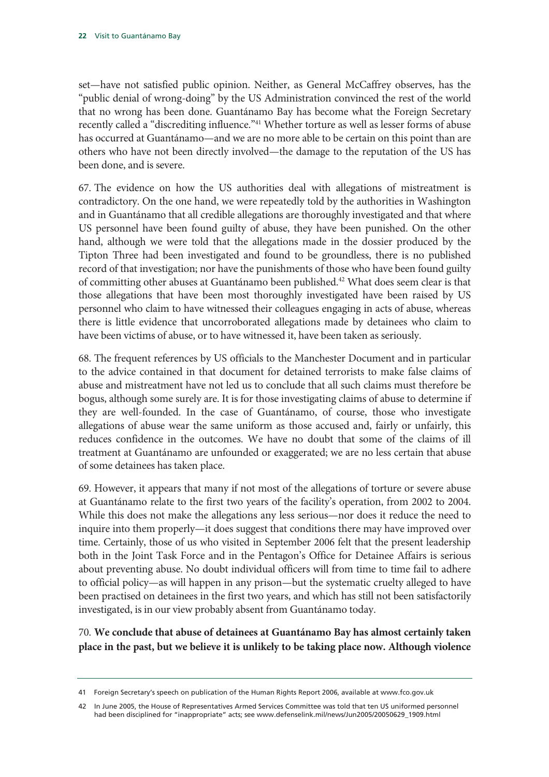set—have not satisfied public opinion. Neither, as General McCaffrey observes, has the "public denial of wrong-doing" by the US Administration convinced the rest of the world that no wrong has been done. Guantánamo Bay has become what the Foreign Secretary recently called a "discrediting influence."<sup>41</sup> Whether torture as well as lesser forms of abuse has occurred at Guantánamo—and we are no more able to be certain on this point than are others who have not been directly involved—the damage to the reputation of the US has been done, and is severe.

67. The evidence on how the US authorities deal with allegations of mistreatment is contradictory. On the one hand, we were repeatedly told by the authorities in Washington and in Guantánamo that all credible allegations are thoroughly investigated and that where US personnel have been found guilty of abuse, they have been punished. On the other hand, although we were told that the allegations made in the dossier produced by the Tipton Three had been investigated and found to be groundless, there is no published record of that investigation; nor have the punishments of those who have been found guilty of committing other abuses at Guantánamo been published.<sup>42</sup> What does seem clear is that those allegations that have been most thoroughly investigated have been raised by US personnel who claim to have witnessed their colleagues engaging in acts of abuse, whereas there is little evidence that uncorroborated allegations made by detainees who claim to have been victims of abuse, or to have witnessed it, have been taken as seriously.

68. The frequent references by US officials to the Manchester Document and in particular to the advice contained in that document for detained terrorists to make false claims of abuse and mistreatment have not led us to conclude that all such claims must therefore be bogus, although some surely are. It is for those investigating claims of abuse to determine if they are well-founded. In the case of Guantánamo, of course, those who investigate allegations of abuse wear the same uniform as those accused and, fairly or unfairly, this reduces confidence in the outcomes. We have no doubt that some of the claims of ill treatment at Guantánamo are unfounded or exaggerated; we are no less certain that abuse of some detainees has taken place.

69. However, it appears that many if not most of the allegations of torture or severe abuse at Guantánamo relate to the first two years of the facility's operation, from 2002 to 2004. While this does not make the allegations any less serious—nor does it reduce the need to inquire into them properly—it does suggest that conditions there may have improved over time. Certainly, those of us who visited in September 2006 felt that the present leadership both in the Joint Task Force and in the Pentagon's Office for Detainee Affairs is serious about preventing abuse. No doubt individual officers will from time to time fail to adhere to official policy—as will happen in any prison—but the systematic cruelty alleged to have been practised on detainees in the first two years, and which has still not been satisfactorily investigated, is in our view probably absent from Guantánamo today.

70. **We conclude that abuse of detainees at Guantánamo Bay has almost certainly taken place in the past, but we believe it is unlikely to be taking place now. Although violence** 

<sup>41</sup> Foreign Secretary's speech on publication of the Human Rights Report 2006, available at www.fco.gov.uk

<sup>42</sup> In June 2005, the House of Representatives Armed Services Committee was told that ten US uniformed personnel had been disciplined for "inappropriate" acts; see www.defenselink.mil/news/Jun2005/20050629\_1909.html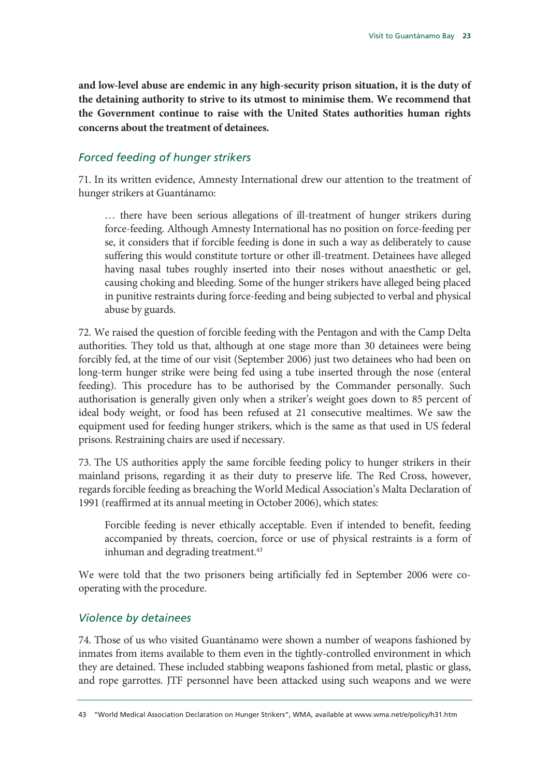**and low-level abuse are endemic in any high-security prison situation, it is the duty of the detaining authority to strive to its utmost to minimise them. We recommend that the Government continue to raise with the United States authorities human rights concerns about the treatment of detainees.** 

#### *Forced feeding of hunger strikers*

71. In its written evidence, Amnesty International drew our attention to the treatment of hunger strikers at Guantánamo:

… there have been serious allegations of ill-treatment of hunger strikers during force-feeding. Although Amnesty International has no position on force-feeding per se, it considers that if forcible feeding is done in such a way as deliberately to cause suffering this would constitute torture or other ill-treatment. Detainees have alleged having nasal tubes roughly inserted into their noses without anaesthetic or gel, causing choking and bleeding. Some of the hunger strikers have alleged being placed in punitive restraints during force-feeding and being subjected to verbal and physical abuse by guards.

72. We raised the question of forcible feeding with the Pentagon and with the Camp Delta authorities. They told us that, although at one stage more than 30 detainees were being forcibly fed, at the time of our visit (September 2006) just two detainees who had been on long-term hunger strike were being fed using a tube inserted through the nose (enteral feeding). This procedure has to be authorised by the Commander personally. Such authorisation is generally given only when a striker's weight goes down to 85 percent of ideal body weight, or food has been refused at 21 consecutive mealtimes. We saw the equipment used for feeding hunger strikers, which is the same as that used in US federal prisons. Restraining chairs are used if necessary.

73. The US authorities apply the same forcible feeding policy to hunger strikers in their mainland prisons, regarding it as their duty to preserve life. The Red Cross, however, regards forcible feeding as breaching the World Medical Association's Malta Declaration of 1991 (reaffirmed at its annual meeting in October 2006), which states:

Forcible feeding is never ethically acceptable. Even if intended to benefit, feeding accompanied by threats, coercion, force or use of physical restraints is a form of inhuman and degrading treatment.<sup>43</sup>

We were told that the two prisoners being artificially fed in September 2006 were cooperating with the procedure.

#### *Violence by detainees*

74. Those of us who visited Guantánamo were shown a number of weapons fashioned by inmates from items available to them even in the tightly-controlled environment in which they are detained. These included stabbing weapons fashioned from metal, plastic or glass, and rope garrottes. JTF personnel have been attacked using such weapons and we were

<sup>43 &</sup>quot;World Medical Association Declaration on Hunger Strikers", WMA, available at www.wma.net/e/policy/h31.htm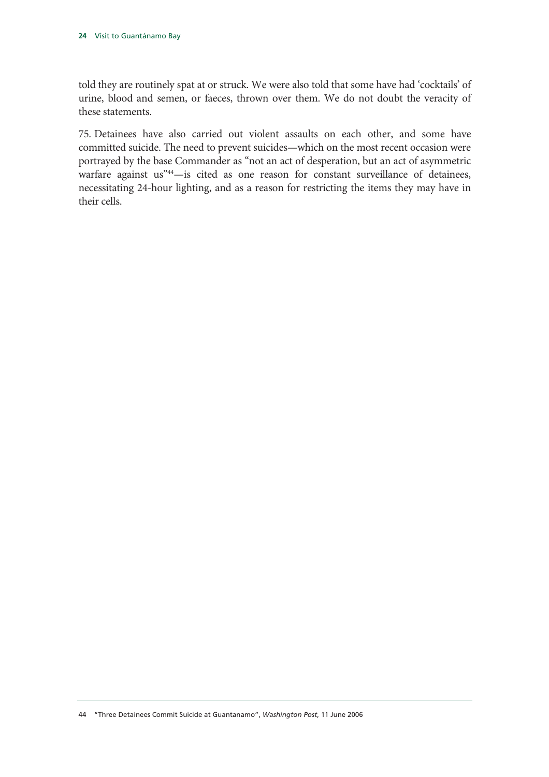told they are routinely spat at or struck. We were also told that some have had 'cocktails' of urine, blood and semen, or faeces, thrown over them. We do not doubt the veracity of these statements.

75. Detainees have also carried out violent assaults on each other, and some have committed suicide. The need to prevent suicides—which on the most recent occasion were portrayed by the base Commander as "not an act of desperation, but an act of asymmetric warfare against us"<sup>44</sup>-is cited as one reason for constant surveillance of detainees, necessitating 24-hour lighting, and as a reason for restricting the items they may have in their cells.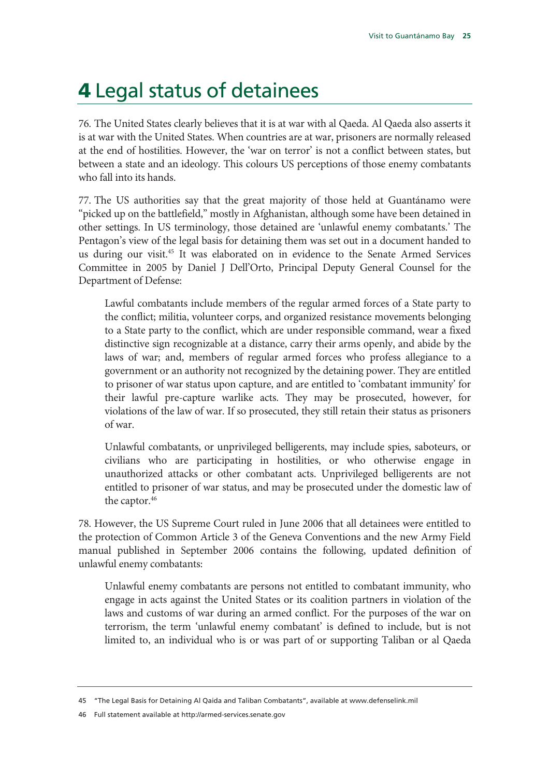### 4 Legal status of detainees

76. The United States clearly believes that it is at war with al Qaeda. Al Qaeda also asserts it is at war with the United States. When countries are at war, prisoners are normally released at the end of hostilities. However, the 'war on terror' is not a conflict between states, but between a state and an ideology. This colours US perceptions of those enemy combatants who fall into its hands.

77. The US authorities say that the great majority of those held at Guantánamo were "picked up on the battlefield," mostly in Afghanistan, although some have been detained in other settings. In US terminology, those detained are 'unlawful enemy combatants.' The Pentagon's view of the legal basis for detaining them was set out in a document handed to us during our visit.45 It was elaborated on in evidence to the Senate Armed Services Committee in 2005 by Daniel J Dell'Orto, Principal Deputy General Counsel for the Department of Defense:

Lawful combatants include members of the regular armed forces of a State party to the conflict; militia, volunteer corps, and organized resistance movements belonging to a State party to the conflict, which are under responsible command, wear a fixed distinctive sign recognizable at a distance, carry their arms openly, and abide by the laws of war; and, members of regular armed forces who profess allegiance to a government or an authority not recognized by the detaining power. They are entitled to prisoner of war status upon capture, and are entitled to 'combatant immunity' for their lawful pre-capture warlike acts. They may be prosecuted, however, for violations of the law of war. If so prosecuted, they still retain their status as prisoners of war.

Unlawful combatants, or unprivileged belligerents, may include spies, saboteurs, or civilians who are participating in hostilities, or who otherwise engage in unauthorized attacks or other combatant acts. Unprivileged belligerents are not entitled to prisoner of war status, and may be prosecuted under the domestic law of the captor.<sup>46</sup>

78. However, the US Supreme Court ruled in June 2006 that all detainees were entitled to the protection of Common Article 3 of the Geneva Conventions and the new Army Field manual published in September 2006 contains the following, updated definition of unlawful enemy combatants:

Unlawful enemy combatants are persons not entitled to combatant immunity, who engage in acts against the United States or its coalition partners in violation of the laws and customs of war during an armed conflict. For the purposes of the war on terrorism, the term 'unlawful enemy combatant' is defined to include, but is not limited to, an individual who is or was part of or supporting Taliban or al Qaeda

<sup>45 &</sup>quot;The Legal Basis for Detaining Al Qaida and Taliban Combatants", available at www.defenselink.mil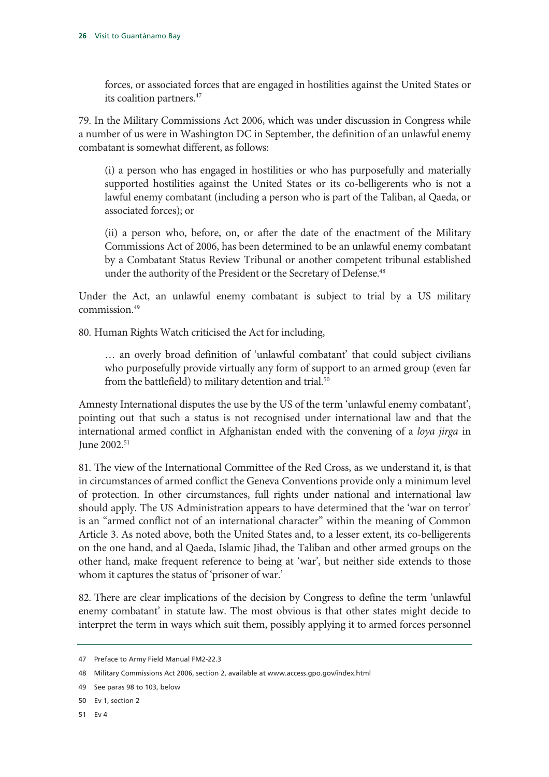forces, or associated forces that are engaged in hostilities against the United States or its coalition partners.<sup>47</sup>

79. In the Military Commissions Act 2006, which was under discussion in Congress while a number of us were in Washington DC in September, the definition of an unlawful enemy combatant is somewhat different, as follows:

(i) a person who has engaged in hostilities or who has purposefully and materially supported hostilities against the United States or its co-belligerents who is not a lawful enemy combatant (including a person who is part of the Taliban, al Qaeda, or associated forces); or

(ii) a person who, before, on, or after the date of the enactment of the Military Commissions Act of 2006, has been determined to be an unlawful enemy combatant by a Combatant Status Review Tribunal or another competent tribunal established under the authority of the President or the Secretary of Defense.<sup>48</sup>

Under the Act, an unlawful enemy combatant is subject to trial by a US military commission.49

80. Human Rights Watch criticised the Act for including,

… an overly broad definition of 'unlawful combatant' that could subject civilians who purposefully provide virtually any form of support to an armed group (even far from the battlefield) to military detention and trial.<sup>50</sup>

Amnesty International disputes the use by the US of the term 'unlawful enemy combatant', pointing out that such a status is not recognised under international law and that the international armed conflict in Afghanistan ended with the convening of a *loya jirga* in June 2002.51

81. The view of the International Committee of the Red Cross, as we understand it, is that in circumstances of armed conflict the Geneva Conventions provide only a minimum level of protection. In other circumstances, full rights under national and international law should apply. The US Administration appears to have determined that the 'war on terror' is an "armed conflict not of an international character" within the meaning of Common Article 3. As noted above, both the United States and, to a lesser extent, its co-belligerents on the one hand, and al Qaeda, Islamic Jihad, the Taliban and other armed groups on the other hand, make frequent reference to being at 'war', but neither side extends to those whom it captures the status of 'prisoner of war.'

82. There are clear implications of the decision by Congress to define the term 'unlawful enemy combatant' in statute law. The most obvious is that other states might decide to interpret the term in ways which suit them, possibly applying it to armed forces personnel

<sup>47</sup> Preface to Army Field Manual FM2-22.3

<sup>48</sup> Military Commissions Act 2006, section 2, available at www.access.gpo.gov/index.html

<sup>49</sup> See paras 98 to 103, below

<sup>50</sup> Ev 1, section 2

<sup>51</sup> Ev 4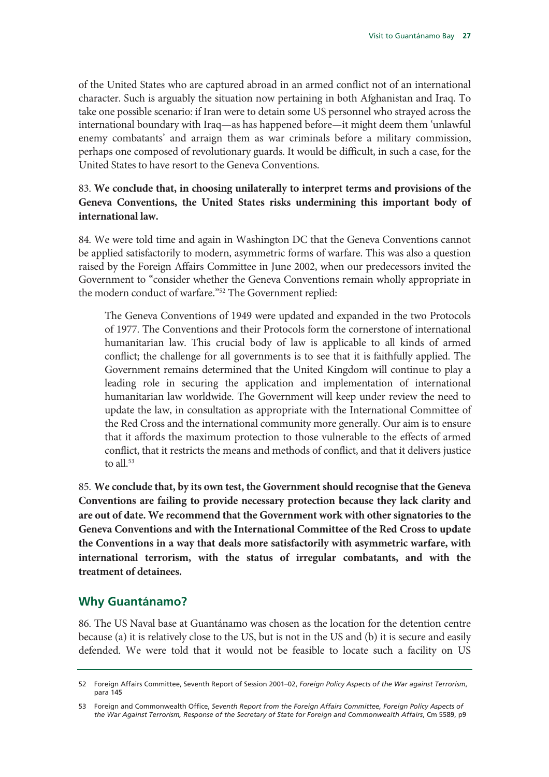of the United States who are captured abroad in an armed conflict not of an international character. Such is arguably the situation now pertaining in both Afghanistan and Iraq. To take one possible scenario: if Iran were to detain some US personnel who strayed across the international boundary with Iraq—as has happened before—it might deem them 'unlawful enemy combatants' and arraign them as war criminals before a military commission, perhaps one composed of revolutionary guards. It would be difficult, in such a case, for the United States to have resort to the Geneva Conventions.

#### 83. **We conclude that, in choosing unilaterally to interpret terms and provisions of the Geneva Conventions, the United States risks undermining this important body of international law.**

84. We were told time and again in Washington DC that the Geneva Conventions cannot be applied satisfactorily to modern, asymmetric forms of warfare. This was also a question raised by the Foreign Affairs Committee in June 2002, when our predecessors invited the Government to "consider whether the Geneva Conventions remain wholly appropriate in the modern conduct of warfare."52 The Government replied:

The Geneva Conventions of 1949 were updated and expanded in the two Protocols of 1977. The Conventions and their Protocols form the cornerstone of international humanitarian law. This crucial body of law is applicable to all kinds of armed conflict; the challenge for all governments is to see that it is faithfully applied. The Government remains determined that the United Kingdom will continue to play a leading role in securing the application and implementation of international humanitarian law worldwide. The Government will keep under review the need to update the law, in consultation as appropriate with the International Committee of the Red Cross and the international community more generally. Our aim is to ensure that it affords the maximum protection to those vulnerable to the effects of armed conflict, that it restricts the means and methods of conflict, and that it delivers justice to all.<sup>53</sup>

85. **We conclude that, by its own test, the Government should recognise that the Geneva Conventions are failing to provide necessary protection because they lack clarity and are out of date. We recommend that the Government work with other signatories to the Geneva Conventions and with the International Committee of the Red Cross to update the Conventions in a way that deals more satisfactorily with asymmetric warfare, with international terrorism, with the status of irregular combatants, and with the treatment of detainees.** 

#### **Why Guantánamo?**

86. The US Naval base at Guantánamo was chosen as the location for the detention centre because (a) it is relatively close to the US, but is not in the US and (b) it is secure and easily defended. We were told that it would not be feasible to locate such a facility on US

<sup>52</sup> Foreign Affairs Committee, Seventh Report of Session 2001–02, *Foreign Policy Aspects of the War against Terrorism*, para 145

<sup>53</sup> Foreign and Commonwealth Office, *Seventh Report from the Foreign Affairs Committee, Foreign Policy Aspects of the War Against Terrorism, Response of the Secretary of State for Foreign and Commonwealth Affairs*, Cm 5589, p9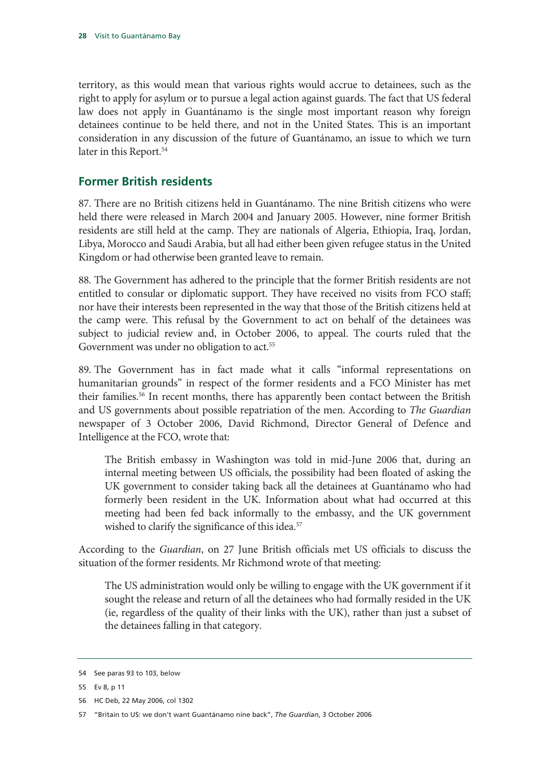territory, as this would mean that various rights would accrue to detainees, such as the right to apply for asylum or to pursue a legal action against guards. The fact that US federal law does not apply in Guantánamo is the single most important reason why foreign detainees continue to be held there, and not in the United States. This is an important consideration in any discussion of the future of Guantánamo, an issue to which we turn later in this Report.<sup>54</sup>

#### **Former British residents**

87. There are no British citizens held in Guantánamo. The nine British citizens who were held there were released in March 2004 and January 2005. However, nine former British residents are still held at the camp. They are nationals of Algeria, Ethiopia, Iraq, Jordan, Libya, Morocco and Saudi Arabia, but all had either been given refugee status in the United Kingdom or had otherwise been granted leave to remain.

88. The Government has adhered to the principle that the former British residents are not entitled to consular or diplomatic support. They have received no visits from FCO staff; nor have their interests been represented in the way that those of the British citizens held at the camp were. This refusal by the Government to act on behalf of the detainees was subject to judicial review and, in October 2006, to appeal. The courts ruled that the Government was under no obligation to act.<sup>55</sup>

89. The Government has in fact made what it calls "informal representations on humanitarian grounds" in respect of the former residents and a FCO Minister has met their families.56 In recent months, there has apparently been contact between the British and US governments about possible repatriation of the men. According to *The Guardian*  newspaper of 3 October 2006, David Richmond, Director General of Defence and Intelligence at the FCO, wrote that:

The British embassy in Washington was told in mid-June 2006 that, during an internal meeting between US officials, the possibility had been floated of asking the UK government to consider taking back all the detainees at Guantánamo who had formerly been resident in the UK. Information about what had occurred at this meeting had been fed back informally to the embassy, and the UK government wished to clarify the significance of this idea.<sup>57</sup>

According to the *Guardian*, on 27 June British officials met US officials to discuss the situation of the former residents. Mr Richmond wrote of that meeting:

The US administration would only be willing to engage with the UK government if it sought the release and return of all the detainees who had formally resided in the UK (ie, regardless of the quality of their links with the UK), rather than just a subset of the detainees falling in that category.

<sup>54</sup> See paras 93 to 103, below

<sup>55</sup> Ev 8, p 11

<sup>56</sup> HC Deb, 22 May 2006, col 1302

<sup>57 &</sup>quot;Britain to US: we don't want Guantánamo nine back", *The Guardian*, 3 October 2006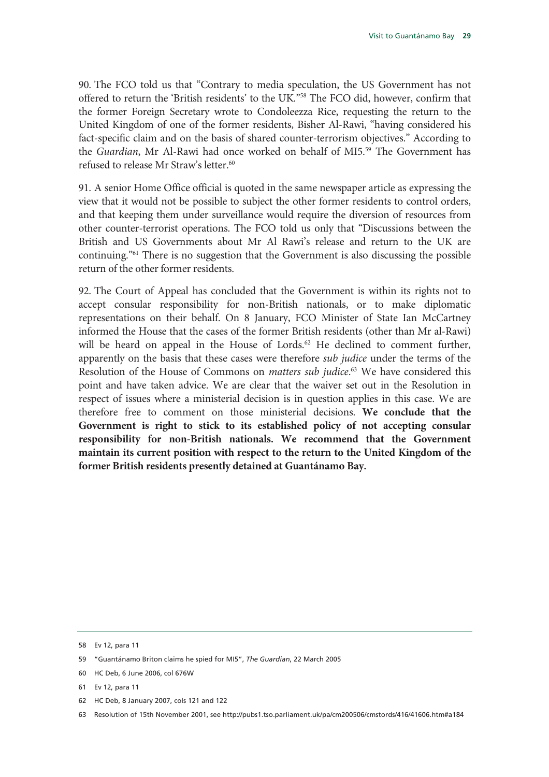90. The FCO told us that "Contrary to media speculation, the US Government has not offered to return the 'British residents' to the UK."58 The FCO did, however, confirm that the former Foreign Secretary wrote to Condoleezza Rice, requesting the return to the United Kingdom of one of the former residents, Bisher Al-Rawi, "having considered his fact-specific claim and on the basis of shared counter-terrorism objectives." According to the *Guardian*, Mr Al-Rawi had once worked on behalf of MI5.<sup>59</sup> The Government has refused to release Mr Straw's letter.<sup>60</sup>

91. A senior Home Office official is quoted in the same newspaper article as expressing the view that it would not be possible to subject the other former residents to control orders, and that keeping them under surveillance would require the diversion of resources from other counter-terrorist operations. The FCO told us only that "Discussions between the British and US Governments about Mr Al Rawi's release and return to the UK are continuing."61 There is no suggestion that the Government is also discussing the possible return of the other former residents.

92. The Court of Appeal has concluded that the Government is within its rights not to accept consular responsibility for non-British nationals, or to make diplomatic representations on their behalf. On 8 January, FCO Minister of State Ian McCartney informed the House that the cases of the former British residents (other than Mr al-Rawi) will be heard on appeal in the House of Lords.<sup>62</sup> He declined to comment further, apparently on the basis that these cases were therefore *sub judice* under the terms of the Resolution of the House of Commons on *matters sub judice*. 63 We have considered this point and have taken advice. We are clear that the waiver set out in the Resolution in respect of issues where a ministerial decision is in question applies in this case. We are therefore free to comment on those ministerial decisions. **We conclude that the Government is right to stick to its established policy of not accepting consular responsibility for non-British nationals. We recommend that the Government maintain its current position with respect to the return to the United Kingdom of the former British residents presently detained at Guantánamo Bay.** 

<sup>58</sup> Ev 12, para 11

<sup>59 &</sup>quot;Guantánamo Briton claims he spied for MI5", *The Guardian*, 22 March 2005

<sup>60</sup> HC Deb, 6 June 2006, col 676W

<sup>61</sup> Ev 12, para 11

<sup>62</sup> HC Deb, 8 January 2007, cols 121 and 122

<sup>63</sup> Resolution of 15th November 2001, see http://pubs1.tso.parliament.uk/pa/cm200506/cmstords/416/41606.htm#a184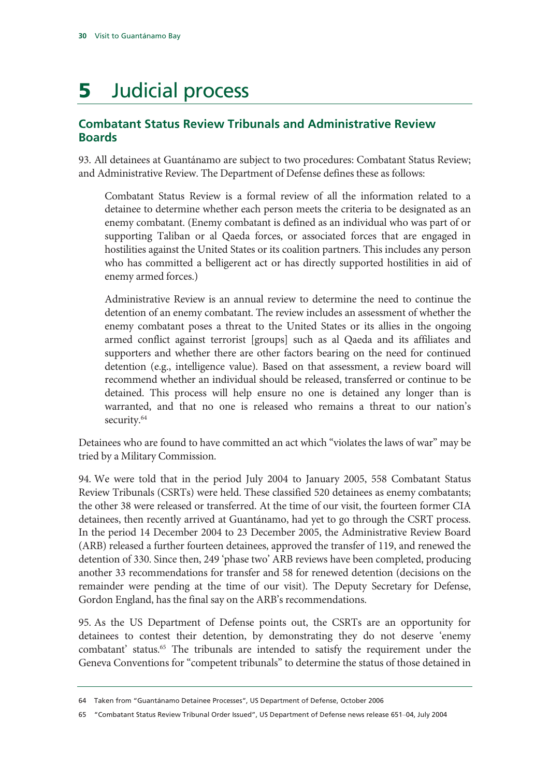## **5** Judicial process

#### **Combatant Status Review Tribunals and Administrative Review Boards**

93. All detainees at Guantánamo are subject to two procedures: Combatant Status Review; and Administrative Review. The Department of Defense defines these as follows:

Combatant Status Review is a formal review of all the information related to a detainee to determine whether each person meets the criteria to be designated as an enemy combatant. (Enemy combatant is defined as an individual who was part of or supporting Taliban or al Qaeda forces, or associated forces that are engaged in hostilities against the United States or its coalition partners. This includes any person who has committed a belligerent act or has directly supported hostilities in aid of enemy armed forces.)

Administrative Review is an annual review to determine the need to continue the detention of an enemy combatant. The review includes an assessment of whether the enemy combatant poses a threat to the United States or its allies in the ongoing armed conflict against terrorist [groups] such as al Qaeda and its affiliates and supporters and whether there are other factors bearing on the need for continued detention (e.g., intelligence value). Based on that assessment, a review board will recommend whether an individual should be released, transferred or continue to be detained. This process will help ensure no one is detained any longer than is warranted, and that no one is released who remains a threat to our nation's security.<sup>64</sup>

Detainees who are found to have committed an act which "violates the laws of war" may be tried by a Military Commission.

94. We were told that in the period July 2004 to January 2005, 558 Combatant Status Review Tribunals (CSRTs) were held. These classified 520 detainees as enemy combatants; the other 38 were released or transferred. At the time of our visit, the fourteen former CIA detainees, then recently arrived at Guantánamo, had yet to go through the CSRT process. In the period 14 December 2004 to 23 December 2005, the Administrative Review Board (ARB) released a further fourteen detainees, approved the transfer of 119, and renewed the detention of 330. Since then, 249 'phase two' ARB reviews have been completed, producing another 33 recommendations for transfer and 58 for renewed detention (decisions on the remainder were pending at the time of our visit). The Deputy Secretary for Defense, Gordon England, has the final say on the ARB's recommendations.

95. As the US Department of Defense points out, the CSRTs are an opportunity for detainees to contest their detention, by demonstrating they do not deserve 'enemy combatant' status.<sup>65</sup> The tribunals are intended to satisfy the requirement under the Geneva Conventions for "competent tribunals" to determine the status of those detained in

<sup>64</sup> Taken from "Guantánamo Detainee Processes", US Department of Defense, October 2006

<sup>65 &</sup>quot;Combatant Status Review Tribunal Order Issued", US Department of Defense news release 651–04, July 2004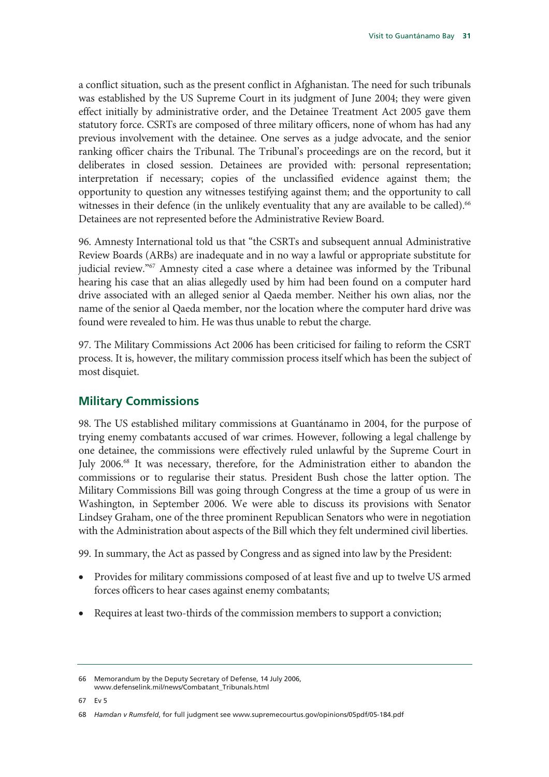a conflict situation, such as the present conflict in Afghanistan. The need for such tribunals was established by the US Supreme Court in its judgment of June 2004; they were given effect initially by administrative order, and the Detainee Treatment Act 2005 gave them statutory force. CSRTs are composed of three military officers, none of whom has had any previous involvement with the detainee. One serves as a judge advocate, and the senior ranking officer chairs the Tribunal. The Tribunal's proceedings are on the record, but it deliberates in closed session. Detainees are provided with: personal representation; interpretation if necessary; copies of the unclassified evidence against them; the opportunity to question any witnesses testifying against them; and the opportunity to call witnesses in their defence (in the unlikely eventuality that any are available to be called).<sup>66</sup> Detainees are not represented before the Administrative Review Board.

96. Amnesty International told us that "the CSRTs and subsequent annual Administrative Review Boards (ARBs) are inadequate and in no way a lawful or appropriate substitute for judicial review."<sup>67</sup> Amnesty cited a case where a detainee was informed by the Tribunal hearing his case that an alias allegedly used by him had been found on a computer hard drive associated with an alleged senior al Qaeda member. Neither his own alias, nor the name of the senior al Qaeda member, nor the location where the computer hard drive was found were revealed to him. He was thus unable to rebut the charge.

97. The Military Commissions Act 2006 has been criticised for failing to reform the CSRT process. It is, however, the military commission process itself which has been the subject of most disquiet.

#### **Military Commissions**

98. The US established military commissions at Guantánamo in 2004, for the purpose of trying enemy combatants accused of war crimes. However, following a legal challenge by one detainee, the commissions were effectively ruled unlawful by the Supreme Court in July 2006.<sup>68</sup> It was necessary, therefore, for the Administration either to abandon the commissions or to regularise their status. President Bush chose the latter option. The Military Commissions Bill was going through Congress at the time a group of us were in Washington, in September 2006. We were able to discuss its provisions with Senator Lindsey Graham, one of the three prominent Republican Senators who were in negotiation with the Administration about aspects of the Bill which they felt undermined civil liberties.

99. In summary, the Act as passed by Congress and as signed into law by the President:

- Provides for military commissions composed of at least five and up to twelve US armed forces officers to hear cases against enemy combatants;
- Requires at least two-thirds of the commission members to support a conviction;

67 Ev 5

<sup>66</sup> Memorandum by the Deputy Secretary of Defense, 14 July 2006, www.defenselink.mil/news/Combatant\_Tribunals.html

<sup>68</sup> *Hamdan v Rumsfeld*, for full judgment see www.supremecourtus.gov/opinions/05pdf/05-184.pdf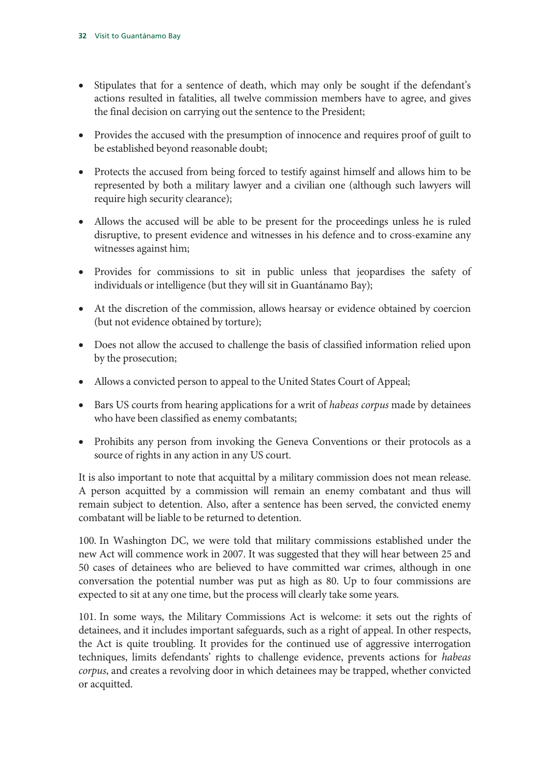- Stipulates that for a sentence of death, which may only be sought if the defendant's actions resulted in fatalities, all twelve commission members have to agree, and gives the final decision on carrying out the sentence to the President;
- Provides the accused with the presumption of innocence and requires proof of guilt to be established beyond reasonable doubt;
- Protects the accused from being forced to testify against himself and allows him to be represented by both a military lawyer and a civilian one (although such lawyers will require high security clearance);
- Allows the accused will be able to be present for the proceedings unless he is ruled disruptive, to present evidence and witnesses in his defence and to cross-examine any witnesses against him;
- Provides for commissions to sit in public unless that jeopardises the safety of individuals or intelligence (but they will sit in Guantánamo Bay);
- At the discretion of the commission, allows hearsay or evidence obtained by coercion (but not evidence obtained by torture);
- Does not allow the accused to challenge the basis of classified information relied upon by the prosecution;
- Allows a convicted person to appeal to the United States Court of Appeal;
- Bars US courts from hearing applications for a writ of *habeas corpus* made by detainees who have been classified as enemy combatants;
- Prohibits any person from invoking the Geneva Conventions or their protocols as a source of rights in any action in any US court.

It is also important to note that acquittal by a military commission does not mean release. A person acquitted by a commission will remain an enemy combatant and thus will remain subject to detention. Also, after a sentence has been served, the convicted enemy combatant will be liable to be returned to detention.

100. In Washington DC, we were told that military commissions established under the new Act will commence work in 2007. It was suggested that they will hear between 25 and 50 cases of detainees who are believed to have committed war crimes, although in one conversation the potential number was put as high as 80. Up to four commissions are expected to sit at any one time, but the process will clearly take some years.

101. In some ways, the Military Commissions Act is welcome: it sets out the rights of detainees, and it includes important safeguards, such as a right of appeal. In other respects, the Act is quite troubling. It provides for the continued use of aggressive interrogation techniques, limits defendants' rights to challenge evidence, prevents actions for *habeas corpus*, and creates a revolving door in which detainees may be trapped, whether convicted or acquitted.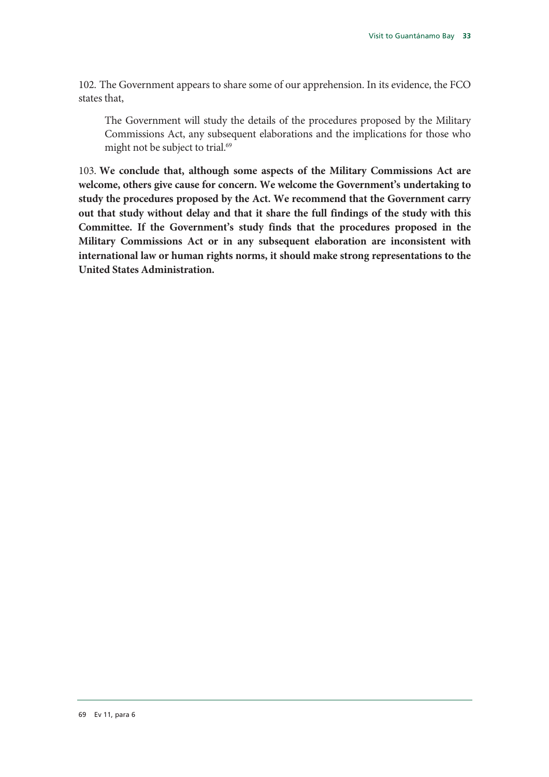102. The Government appears to share some of our apprehension. In its evidence, the FCO states that,

The Government will study the details of the procedures proposed by the Military Commissions Act, any subsequent elaborations and the implications for those who might not be subject to trial.<sup>69</sup>

103. **We conclude that, although some aspects of the Military Commissions Act are welcome, others give cause for concern. We welcome the Government's undertaking to study the procedures proposed by the Act. We recommend that the Government carry out that study without delay and that it share the full findings of the study with this Committee. If the Government's study finds that the procedures proposed in the Military Commissions Act or in any subsequent elaboration are inconsistent with international law or human rights norms, it should make strong representations to the United States Administration.**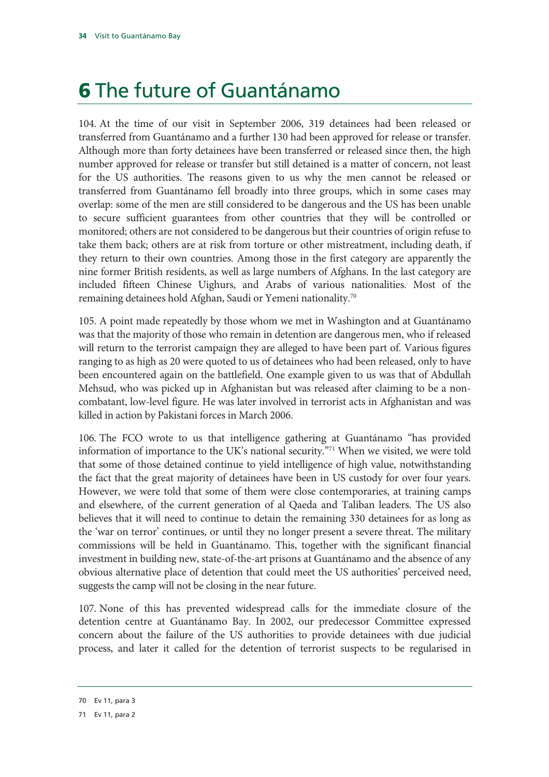## 6 The future of Guantánamo

104. At the time of our visit in September 2006, 319 detainees had been released or transferred from Guantánamo and a further 130 had been approved for release or transfer. Although more than forty detainees have been transferred or released since then, the high number approved for release or transfer but still detained is a matter of concern, not least for the US authorities. The reasons given to us why the men cannot be released or transferred from Guantánamo fell broadly into three groups, which in some cases may overlap: some of the men are still considered to be dangerous and the US has been unable to secure sufficient guarantees from other countries that they will be controlled or monitored; others are not considered to be dangerous but their countries of origin refuse to take them back; others are at risk from torture or other mistreatment, including death, if they return to their own countries. Among those in the first category are apparently the nine former British residents, as well as large numbers of Afghans. In the last category are included fifteen Chinese Uighurs, and Arabs of various nationalities. Most of the remaining detainees hold Afghan, Saudi or Yemeni nationality.70

105. A point made repeatedly by those whom we met in Washington and at Guantánamo was that the majority of those who remain in detention are dangerous men, who if released will return to the terrorist campaign they are alleged to have been part of. Various figures ranging to as high as 20 were quoted to us of detainees who had been released, only to have been encountered again on the battlefield. One example given to us was that of Abdullah Mehsud, who was picked up in Afghanistan but was released after claiming to be a noncombatant, low-level figure. He was later involved in terrorist acts in Afghanistan and was killed in action by Pakistani forces in March 2006.

106. The FCO wrote to us that intelligence gathering at Guantánamo "has provided information of importance to the UK's national security."71 When we visited, we were told that some of those detained continue to yield intelligence of high value, notwithstanding the fact that the great majority of detainees have been in US custody for over four years. However, we were told that some of them were close contemporaries, at training camps and elsewhere, of the current generation of al Qaeda and Taliban leaders. The US also believes that it will need to continue to detain the remaining 330 detainees for as long as the 'war on terror' continues, or until they no longer present a severe threat. The military commissions will be held in Guantánamo. This, together with the significant financial investment in building new, state-of-the-art prisons at Guantánamo and the absence of any obvious alternative place of detention that could meet the US authorities' perceived need, suggests the camp will not be closing in the near future.

107. None of this has prevented widespread calls for the immediate closure of the detention centre at Guantánamo Bay. In 2002, our predecessor Committee expressed concern about the failure of the US authorities to provide detainees with due judicial process, and later it called for the detention of terrorist suspects to be regularised in

<sup>70</sup> Ev 11, para 3

<sup>71</sup> Ev 11, para 2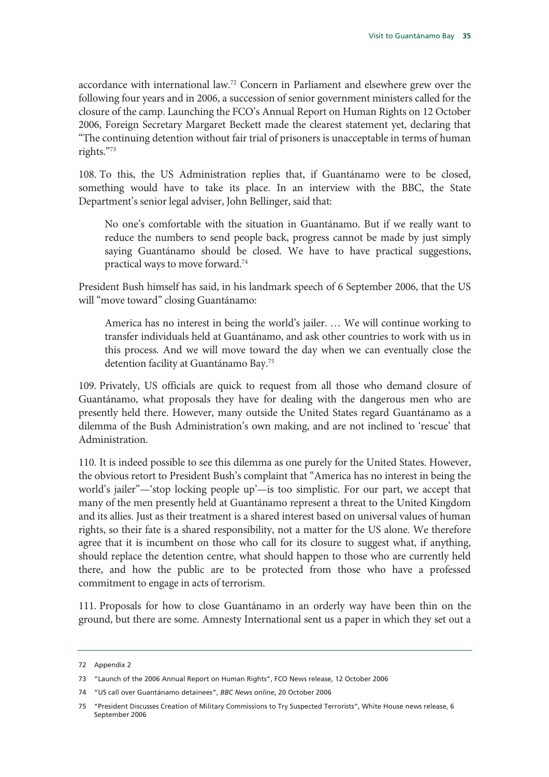accordance with international law.72 Concern in Parliament and elsewhere grew over the following four years and in 2006, a succession of senior government ministers called for the closure of the camp. Launching the FCO's Annual Report on Human Rights on 12 October 2006, Foreign Secretary Margaret Beckett made the clearest statement yet, declaring that "The continuing detention without fair trial of prisoners is unacceptable in terms of human rights."73

108. To this, the US Administration replies that, if Guantánamo were to be closed, something would have to take its place. In an interview with the BBC, the State Department's senior legal adviser, John Bellinger, said that:

No one's comfortable with the situation in Guantánamo. But if we really want to reduce the numbers to send people back, progress cannot be made by just simply saying Guantánamo should be closed. We have to have practical suggestions, practical ways to move forward.74

President Bush himself has said, in his landmark speech of 6 September 2006, that the US will "move toward" closing Guantánamo:

America has no interest in being the world's jailer. … We will continue working to transfer individuals held at Guantánamo, and ask other countries to work with us in this process. And we will move toward the day when we can eventually close the detention facility at Guantánamo Bay.75

109. Privately, US officials are quick to request from all those who demand closure of Guantánamo, what proposals they have for dealing with the dangerous men who are presently held there. However, many outside the United States regard Guantánamo as a dilemma of the Bush Administration's own making, and are not inclined to 'rescue' that Administration.

110. It is indeed possible to see this dilemma as one purely for the United States. However, the obvious retort to President Bush's complaint that "America has no interest in being the world's jailer"—'stop locking people up'—is too simplistic. For our part, we accept that many of the men presently held at Guantánamo represent a threat to the United Kingdom and its allies. Just as their treatment is a shared interest based on universal values of human rights, so their fate is a shared responsibility, not a matter for the US alone. We therefore agree that it is incumbent on those who call for its closure to suggest what, if anything, should replace the detention centre, what should happen to those who are currently held there, and how the public are to be protected from those who have a professed commitment to engage in acts of terrorism.

111. Proposals for how to close Guantánamo in an orderly way have been thin on the ground, but there are some. Amnesty International sent us a paper in which they set out a

74 "US call over Guantánamo detainees", *BBC News online*, 20 October 2006

<sup>72</sup> Appendix 2

<sup>73 &</sup>quot;Launch of the 2006 Annual Report on Human Rights", FCO News release, 12 October 2006

<sup>75 &</sup>quot;President Discusses Creation of Military Commissions to Try Suspected Terrorists", White House news release, 6 September 2006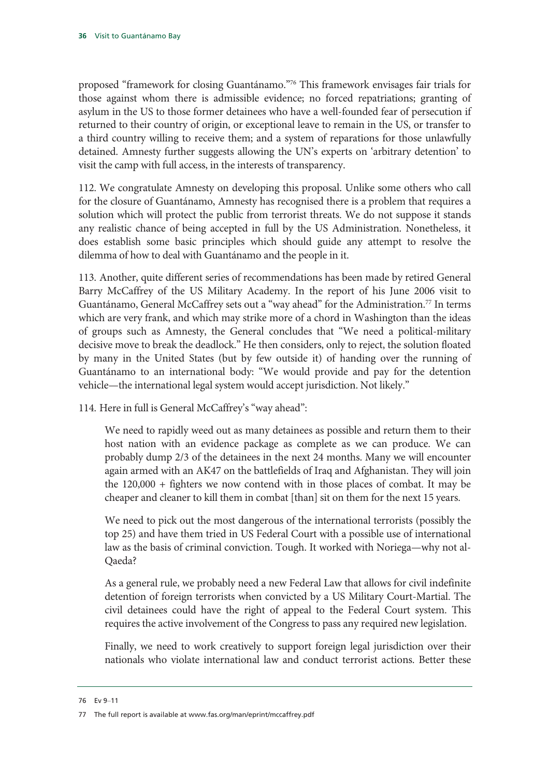proposed "framework for closing Guantánamo."76 This framework envisages fair trials for those against whom there is admissible evidence; no forced repatriations; granting of asylum in the US to those former detainees who have a well-founded fear of persecution if returned to their country of origin, or exceptional leave to remain in the US, or transfer to a third country willing to receive them; and a system of reparations for those unlawfully detained. Amnesty further suggests allowing the UN's experts on 'arbitrary detention' to visit the camp with full access, in the interests of transparency.

112. We congratulate Amnesty on developing this proposal. Unlike some others who call for the closure of Guantánamo, Amnesty has recognised there is a problem that requires a solution which will protect the public from terrorist threats. We do not suppose it stands any realistic chance of being accepted in full by the US Administration. Nonetheless, it does establish some basic principles which should guide any attempt to resolve the dilemma of how to deal with Guantánamo and the people in it.

113. Another, quite different series of recommendations has been made by retired General Barry McCaffrey of the US Military Academy. In the report of his June 2006 visit to Guantánamo, General McCaffrey sets out a "way ahead" for the Administration.<sup>77</sup> In terms which are very frank, and which may strike more of a chord in Washington than the ideas of groups such as Amnesty, the General concludes that "We need a political-military decisive move to break the deadlock." He then considers, only to reject, the solution floated by many in the United States (but by few outside it) of handing over the running of Guantánamo to an international body: "We would provide and pay for the detention vehicle—the international legal system would accept jurisdiction. Not likely."

114. Here in full is General McCaffrey's "way ahead":

We need to rapidly weed out as many detainees as possible and return them to their host nation with an evidence package as complete as we can produce. We can probably dump 2/3 of the detainees in the next 24 months. Many we will encounter again armed with an AK47 on the battlefields of Iraq and Afghanistan. They will join the 120,000 + fighters we now contend with in those places of combat. It may be cheaper and cleaner to kill them in combat [than] sit on them for the next 15 years.

We need to pick out the most dangerous of the international terrorists (possibly the top 25) and have them tried in US Federal Court with a possible use of international law as the basis of criminal conviction. Tough. It worked with Noriega—why not al-Qaeda?

As a general rule, we probably need a new Federal Law that allows for civil indefinite detention of foreign terrorists when convicted by a US Military Court-Martial. The civil detainees could have the right of appeal to the Federal Court system. This requires the active involvement of the Congress to pass any required new legislation.

Finally, we need to work creatively to support foreign legal jurisdiction over their nationals who violate international law and conduct terrorist actions. Better these

<sup>76</sup> Ev 9–11

<sup>77</sup> The full report is available at www.fas.org/man/eprint/mccaffrey.pdf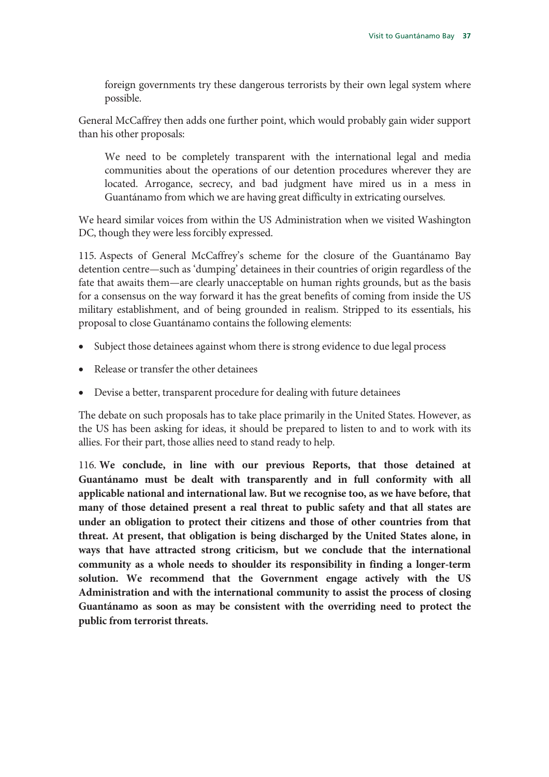foreign governments try these dangerous terrorists by their own legal system where possible.

General McCaffrey then adds one further point, which would probably gain wider support than his other proposals:

We need to be completely transparent with the international legal and media communities about the operations of our detention procedures wherever they are located. Arrogance, secrecy, and bad judgment have mired us in a mess in Guantánamo from which we are having great difficulty in extricating ourselves.

We heard similar voices from within the US Administration when we visited Washington DC, though they were less forcibly expressed.

115. Aspects of General McCaffrey's scheme for the closure of the Guantánamo Bay detention centre—such as 'dumping' detainees in their countries of origin regardless of the fate that awaits them—are clearly unacceptable on human rights grounds, but as the basis for a consensus on the way forward it has the great benefits of coming from inside the US military establishment, and of being grounded in realism. Stripped to its essentials, his proposal to close Guantánamo contains the following elements:

- Subject those detainees against whom there is strong evidence to due legal process
- Release or transfer the other detainees
- Devise a better, transparent procedure for dealing with future detainees

The debate on such proposals has to take place primarily in the United States. However, as the US has been asking for ideas, it should be prepared to listen to and to work with its allies. For their part, those allies need to stand ready to help.

116. **We conclude, in line with our previous Reports, that those detained at Guantánamo must be dealt with transparently and in full conformity with all applicable national and international law. But we recognise too, as we have before, that many of those detained present a real threat to public safety and that all states are under an obligation to protect their citizens and those of other countries from that threat. At present, that obligation is being discharged by the United States alone, in ways that have attracted strong criticism, but we conclude that the international community as a whole needs to shoulder its responsibility in finding a longer-term solution. We recommend that the Government engage actively with the US Administration and with the international community to assist the process of closing Guantánamo as soon as may be consistent with the overriding need to protect the public from terrorist threats.**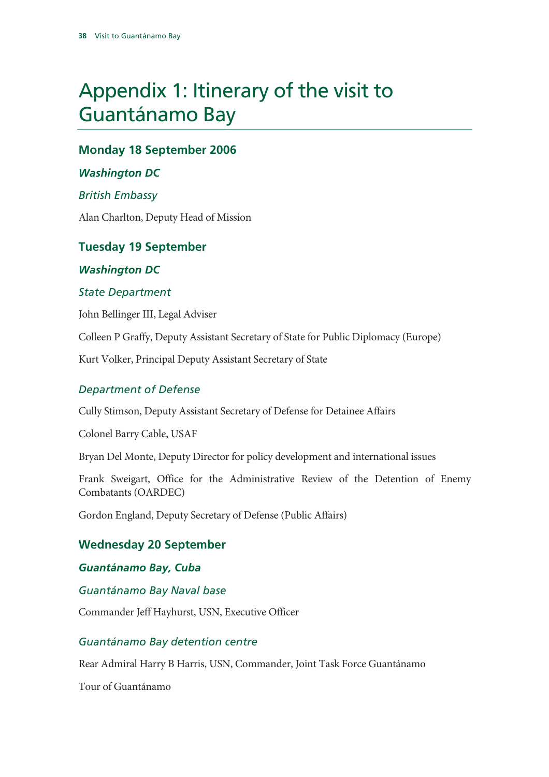# Appendix 1: Itinerary of the visit to Guantánamo Bay

## **Monday 18 September 2006**

#### *Washington DC*

#### *British Embassy*

Alan Charlton, Deputy Head of Mission

## **Tuesday 19 September**

#### *Washington DC*

#### *State Department*

John Bellinger III, Legal Adviser

Colleen P Graffy, Deputy Assistant Secretary of State for Public Diplomacy (Europe)

Kurt Volker, Principal Deputy Assistant Secretary of State

#### *Department of Defense*

Cully Stimson, Deputy Assistant Secretary of Defense for Detainee Affairs

Colonel Barry Cable, USAF

Bryan Del Monte, Deputy Director for policy development and international issues

Frank Sweigart, Office for the Administrative Review of the Detention of Enemy Combatants (OARDEC)

Gordon England, Deputy Secretary of Defense (Public Affairs)

### **Wednesday 20 September**

#### *Guantánamo Bay, Cuba*

*Guantánamo Bay Naval base* 

Commander Jeff Hayhurst, USN, Executive Officer

### *Guantánamo Bay detention centre*

Rear Admiral Harry B Harris, USN, Commander, Joint Task Force Guantánamo

Tour of Guantánamo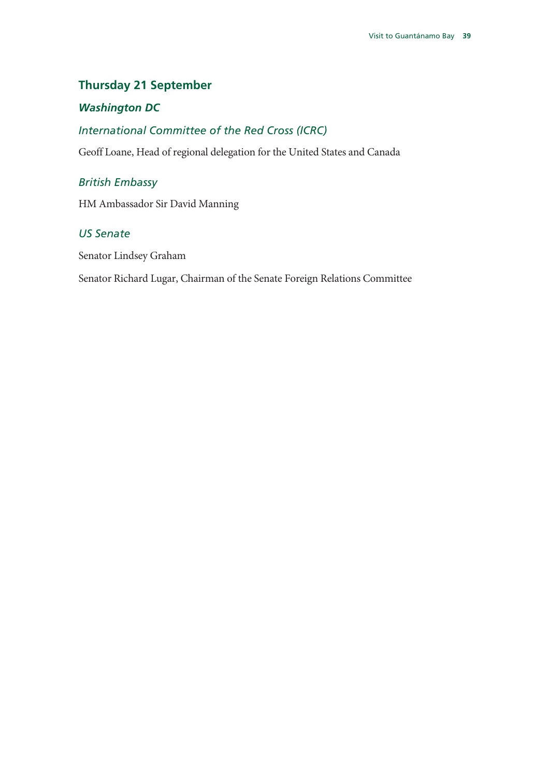## **Thursday 21 September**

### *Washington DC*

## *International Committee of the Red Cross (ICRC)*

Geoff Loane, Head of regional delegation for the United States and Canada

#### *British Embassy*

HM Ambassador Sir David Manning

#### *US Senate*

Senator Lindsey Graham

Senator Richard Lugar, Chairman of the Senate Foreign Relations Committee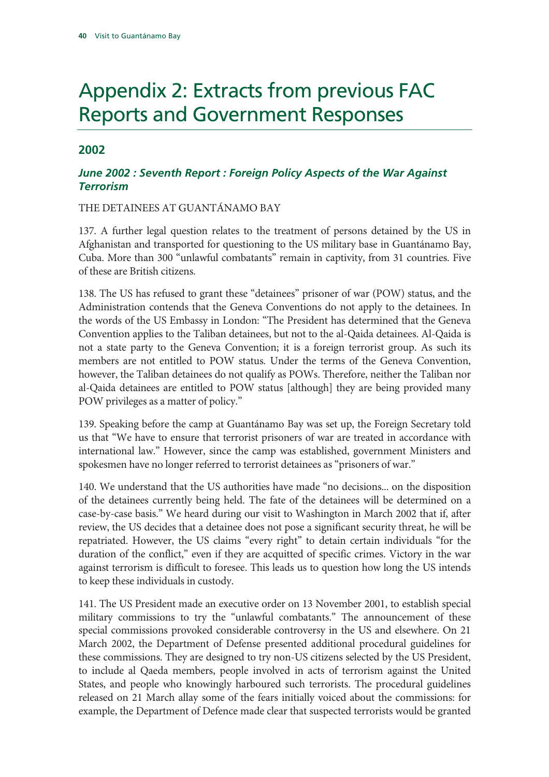# Appendix 2: Extracts from previous FAC Reports and Government Responses

#### **2002**

#### *June 2002 : Seventh Report : Foreign Policy Aspects of the War Against Terrorism*

THE DETAINEES AT GUANTÁNAMO BAY

137. A further legal question relates to the treatment of persons detained by the US in Afghanistan and transported for questioning to the US military base in Guantánamo Bay, Cuba. More than 300 "unlawful combatants" remain in captivity, from 31 countries. Five of these are British citizens.

138. The US has refused to grant these "detainees" prisoner of war (POW) status, and the Administration contends that the Geneva Conventions do not apply to the detainees. In the words of the US Embassy in London: "The President has determined that the Geneva Convention applies to the Taliban detainees, but not to the al-Qaida detainees. Al-Qaida is not a state party to the Geneva Convention; it is a foreign terrorist group. As such its members are not entitled to POW status. Under the terms of the Geneva Convention, however, the Taliban detainees do not qualify as POWs. Therefore, neither the Taliban nor al-Qaida detainees are entitled to POW status [although] they are being provided many POW privileges as a matter of policy."

139. Speaking before the camp at Guantánamo Bay was set up, the Foreign Secretary told us that "We have to ensure that terrorist prisoners of war are treated in accordance with international law." However, since the camp was established, government Ministers and spokesmen have no longer referred to terrorist detainees as "prisoners of war."

140. We understand that the US authorities have made "no decisions... on the disposition of the detainees currently being held. The fate of the detainees will be determined on a case-by-case basis." We heard during our visit to Washington in March 2002 that if, after review, the US decides that a detainee does not pose a significant security threat, he will be repatriated. However, the US claims "every right" to detain certain individuals "for the duration of the conflict," even if they are acquitted of specific crimes. Victory in the war against terrorism is difficult to foresee. This leads us to question how long the US intends to keep these individuals in custody.

141. The US President made an executive order on 13 November 2001, to establish special military commissions to try the "unlawful combatants." The announcement of these special commissions provoked considerable controversy in the US and elsewhere. On 21 March 2002, the Department of Defense presented additional procedural guidelines for these commissions. They are designed to try non-US citizens selected by the US President, to include al Qaeda members, people involved in acts of terrorism against the United States, and people who knowingly harboured such terrorists. The procedural guidelines released on 21 March allay some of the fears initially voiced about the commissions: for example, the Department of Defence made clear that suspected terrorists would be granted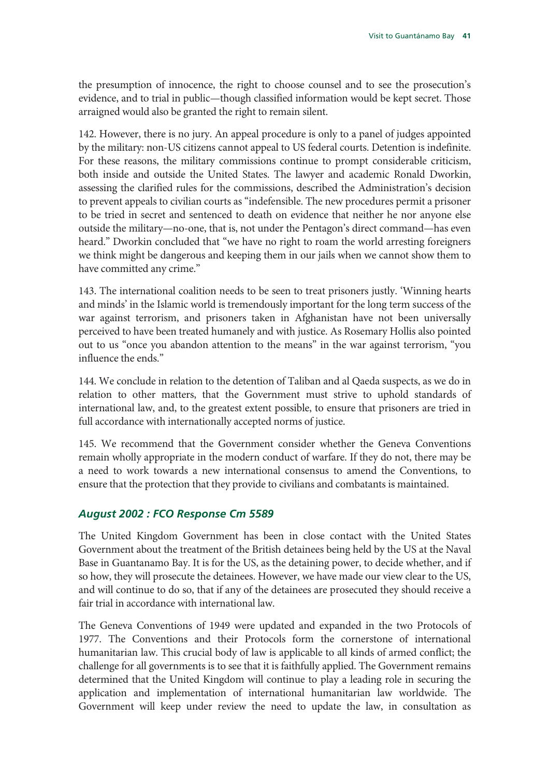the presumption of innocence, the right to choose counsel and to see the prosecution's evidence, and to trial in public—though classified information would be kept secret. Those arraigned would also be granted the right to remain silent.

142. However, there is no jury. An appeal procedure is only to a panel of judges appointed by the military: non-US citizens cannot appeal to US federal courts. Detention is indefinite. For these reasons, the military commissions continue to prompt considerable criticism, both inside and outside the United States. The lawyer and academic Ronald Dworkin, assessing the clarified rules for the commissions, described the Administration's decision to prevent appeals to civilian courts as "indefensible. The new procedures permit a prisoner to be tried in secret and sentenced to death on evidence that neither he nor anyone else outside the military—no-one, that is, not under the Pentagon's direct command—has even heard." Dworkin concluded that "we have no right to roam the world arresting foreigners we think might be dangerous and keeping them in our jails when we cannot show them to have committed any crime."

143. The international coalition needs to be seen to treat prisoners justly. 'Winning hearts and minds' in the Islamic world is tremendously important for the long term success of the war against terrorism, and prisoners taken in Afghanistan have not been universally perceived to have been treated humanely and with justice. As Rosemary Hollis also pointed out to us "once you abandon attention to the means" in the war against terrorism, "you influence the ends."

144. We conclude in relation to the detention of Taliban and al Qaeda suspects, as we do in relation to other matters, that the Government must strive to uphold standards of international law, and, to the greatest extent possible, to ensure that prisoners are tried in full accordance with internationally accepted norms of justice.

145. We recommend that the Government consider whether the Geneva Conventions remain wholly appropriate in the modern conduct of warfare. If they do not, there may be a need to work towards a new international consensus to amend the Conventions, to ensure that the protection that they provide to civilians and combatants is maintained.

#### *August 2002 : FCO Response Cm 5589*

The United Kingdom Government has been in close contact with the United States Government about the treatment of the British detainees being held by the US at the Naval Base in Guantanamo Bay. It is for the US, as the detaining power, to decide whether, and if so how, they will prosecute the detainees. However, we have made our view clear to the US, and will continue to do so, that if any of the detainees are prosecuted they should receive a fair trial in accordance with international law.

The Geneva Conventions of 1949 were updated and expanded in the two Protocols of 1977. The Conventions and their Protocols form the cornerstone of international humanitarian law. This crucial body of law is applicable to all kinds of armed conflict; the challenge for all governments is to see that it is faithfully applied. The Government remains determined that the United Kingdom will continue to play a leading role in securing the application and implementation of international humanitarian law worldwide. The Government will keep under review the need to update the law, in consultation as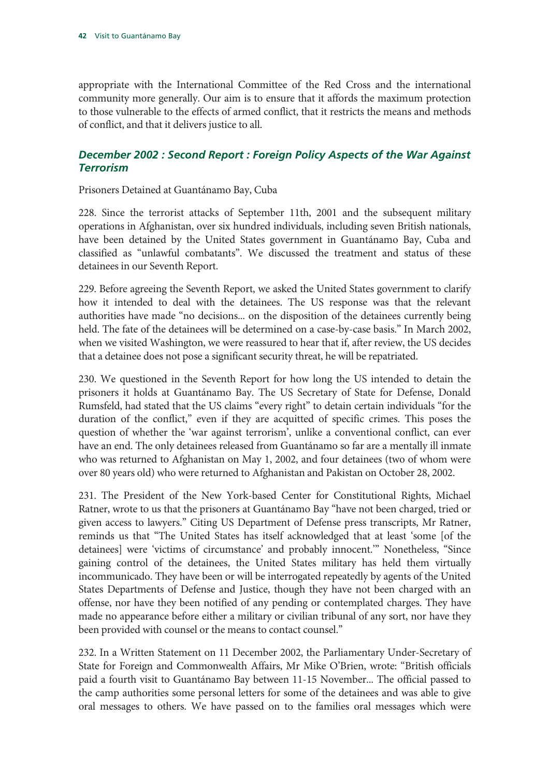appropriate with the International Committee of the Red Cross and the international community more generally. Our aim is to ensure that it affords the maximum protection to those vulnerable to the effects of armed conflict, that it restricts the means and methods of conflict, and that it delivers justice to all.

### *December 2002 : Second Report : Foreign Policy Aspects of the War Against Terrorism*

Prisoners Detained at Guantánamo Bay, Cuba

228. Since the terrorist attacks of September 11th, 2001 and the subsequent military operations in Afghanistan, over six hundred individuals, including seven British nationals, have been detained by the United States government in Guantánamo Bay, Cuba and classified as "unlawful combatants". We discussed the treatment and status of these detainees in our Seventh Report.

229. Before agreeing the Seventh Report, we asked the United States government to clarify how it intended to deal with the detainees. The US response was that the relevant authorities have made "no decisions... on the disposition of the detainees currently being held. The fate of the detainees will be determined on a case-by-case basis." In March 2002, when we visited Washington, we were reassured to hear that if, after review, the US decides that a detainee does not pose a significant security threat, he will be repatriated.

230. We questioned in the Seventh Report for how long the US intended to detain the prisoners it holds at Guantánamo Bay. The US Secretary of State for Defense, Donald Rumsfeld, had stated that the US claims "every right" to detain certain individuals "for the duration of the conflict," even if they are acquitted of specific crimes. This poses the question of whether the 'war against terrorism', unlike a conventional conflict, can ever have an end. The only detainees released from Guantánamo so far are a mentally ill inmate who was returned to Afghanistan on May 1, 2002, and four detainees (two of whom were over 80 years old) who were returned to Afghanistan and Pakistan on October 28, 2002.

231. The President of the New York-based Center for Constitutional Rights, Michael Ratner, wrote to us that the prisoners at Guantánamo Bay "have not been charged, tried or given access to lawyers." Citing US Department of Defense press transcripts, Mr Ratner, reminds us that "The United States has itself acknowledged that at least 'some [of the detainees] were 'victims of circumstance' and probably innocent.'" Nonetheless, "Since gaining control of the detainees, the United States military has held them virtually incommunicado. They have been or will be interrogated repeatedly by agents of the United States Departments of Defense and Justice, though they have not been charged with an offense, nor have they been notified of any pending or contemplated charges. They have made no appearance before either a military or civilian tribunal of any sort, nor have they been provided with counsel or the means to contact counsel."

232. In a Written Statement on 11 December 2002, the Parliamentary Under-Secretary of State for Foreign and Commonwealth Affairs, Mr Mike O'Brien, wrote: "British officials paid a fourth visit to Guantánamo Bay between 11-15 November... The official passed to the camp authorities some personal letters for some of the detainees and was able to give oral messages to others. We have passed on to the families oral messages which were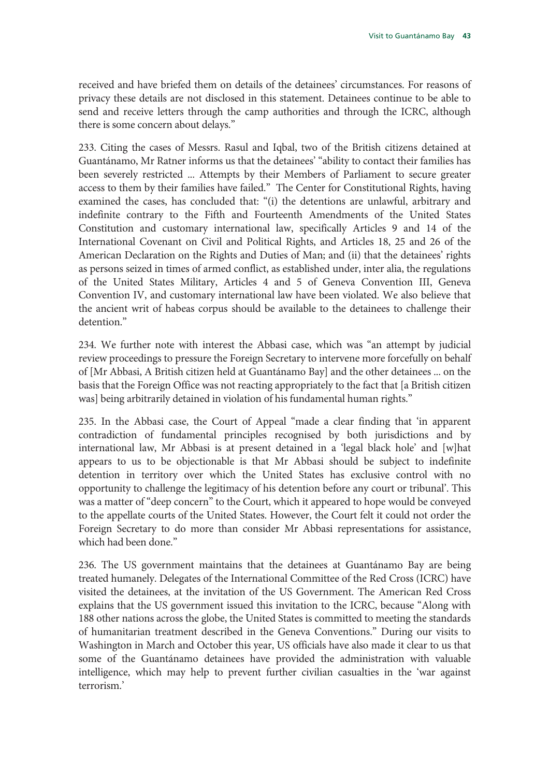received and have briefed them on details of the detainees' circumstances. For reasons of privacy these details are not disclosed in this statement. Detainees continue to be able to send and receive letters through the camp authorities and through the ICRC, although there is some concern about delays."

233. Citing the cases of Messrs. Rasul and Iqbal, two of the British citizens detained at Guantánamo, Mr Ratner informs us that the detainees' "ability to contact their families has been severely restricted ... Attempts by their Members of Parliament to secure greater access to them by their families have failed." The Center for Constitutional Rights, having examined the cases, has concluded that: "(i) the detentions are unlawful, arbitrary and indefinite contrary to the Fifth and Fourteenth Amendments of the United States Constitution and customary international law, specifically Articles 9 and 14 of the International Covenant on Civil and Political Rights, and Articles 18, 25 and 26 of the American Declaration on the Rights and Duties of Man; and (ii) that the detainees' rights as persons seized in times of armed conflict, as established under, inter alia, the regulations of the United States Military, Articles 4 and 5 of Geneva Convention III, Geneva Convention IV, and customary international law have been violated. We also believe that the ancient writ of habeas corpus should be available to the detainees to challenge their detention."

234. We further note with interest the Abbasi case, which was "an attempt by judicial review proceedings to pressure the Foreign Secretary to intervene more forcefully on behalf of [Mr Abbasi, A British citizen held at Guantánamo Bay] and the other detainees ... on the basis that the Foreign Office was not reacting appropriately to the fact that [a British citizen was] being arbitrarily detained in violation of his fundamental human rights."

235. In the Abbasi case, the Court of Appeal "made a clear finding that 'in apparent contradiction of fundamental principles recognised by both jurisdictions and by international law, Mr Abbasi is at present detained in a 'legal black hole' and [w]hat appears to us to be objectionable is that Mr Abbasi should be subject to indefinite detention in territory over which the United States has exclusive control with no opportunity to challenge the legitimacy of his detention before any court or tribunal'. This was a matter of "deep concern" to the Court, which it appeared to hope would be conveyed to the appellate courts of the United States. However, the Court felt it could not order the Foreign Secretary to do more than consider Mr Abbasi representations for assistance, which had been done."

236. The US government maintains that the detainees at Guantánamo Bay are being treated humanely. Delegates of the International Committee of the Red Cross (ICRC) have visited the detainees, at the invitation of the US Government. The American Red Cross explains that the US government issued this invitation to the ICRC, because "Along with 188 other nations across the globe, the United States is committed to meeting the standards of humanitarian treatment described in the Geneva Conventions." During our visits to Washington in March and October this year, US officials have also made it clear to us that some of the Guantánamo detainees have provided the administration with valuable intelligence, which may help to prevent further civilian casualties in the 'war against terrorism.'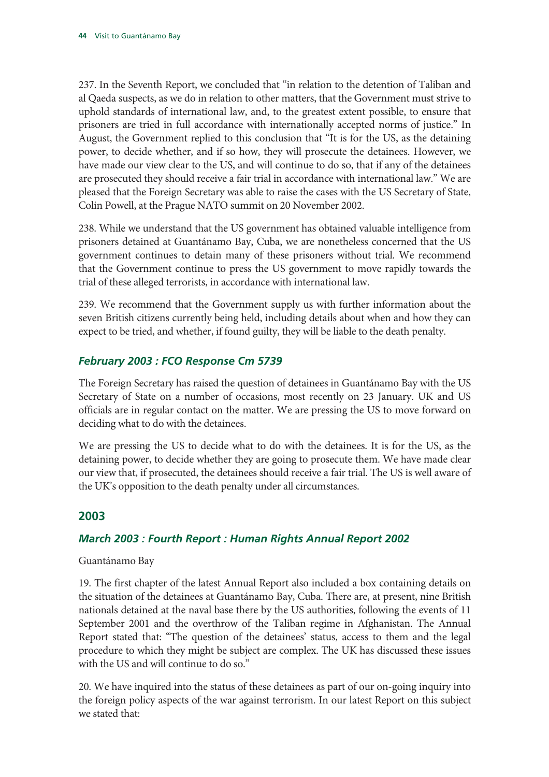237. In the Seventh Report, we concluded that "in relation to the detention of Taliban and al Qaeda suspects, as we do in relation to other matters, that the Government must strive to uphold standards of international law, and, to the greatest extent possible, to ensure that prisoners are tried in full accordance with internationally accepted norms of justice." In August, the Government replied to this conclusion that "It is for the US, as the detaining power, to decide whether, and if so how, they will prosecute the detainees. However, we have made our view clear to the US, and will continue to do so, that if any of the detainees are prosecuted they should receive a fair trial in accordance with international law." We are pleased that the Foreign Secretary was able to raise the cases with the US Secretary of State, Colin Powell, at the Prague NATO summit on 20 November 2002.

238. While we understand that the US government has obtained valuable intelligence from prisoners detained at Guantánamo Bay, Cuba, we are nonetheless concerned that the US government continues to detain many of these prisoners without trial. We recommend that the Government continue to press the US government to move rapidly towards the trial of these alleged terrorists, in accordance with international law.

239. We recommend that the Government supply us with further information about the seven British citizens currently being held, including details about when and how they can expect to be tried, and whether, if found guilty, they will be liable to the death penalty.

### *February 2003 : FCO Response Cm 5739*

The Foreign Secretary has raised the question of detainees in Guantánamo Bay with the US Secretary of State on a number of occasions, most recently on 23 January. UK and US officials are in regular contact on the matter. We are pressing the US to move forward on deciding what to do with the detainees.

We are pressing the US to decide what to do with the detainees. It is for the US, as the detaining power, to decide whether they are going to prosecute them. We have made clear our view that, if prosecuted, the detainees should receive a fair trial. The US is well aware of the UK's opposition to the death penalty under all circumstances.

### **2003**

#### *March 2003 : Fourth Report : Human Rights Annual Report 2002*

Guantánamo Bay

19. The first chapter of the latest Annual Report also included a box containing details on the situation of the detainees at Guantánamo Bay, Cuba. There are, at present, nine British nationals detained at the naval base there by the US authorities, following the events of 11 September 2001 and the overthrow of the Taliban regime in Afghanistan. The Annual Report stated that: "The question of the detainees' status, access to them and the legal procedure to which they might be subject are complex. The UK has discussed these issues with the US and will continue to do so."

20. We have inquired into the status of these detainees as part of our on-going inquiry into the foreign policy aspects of the war against terrorism. In our latest Report on this subject we stated that: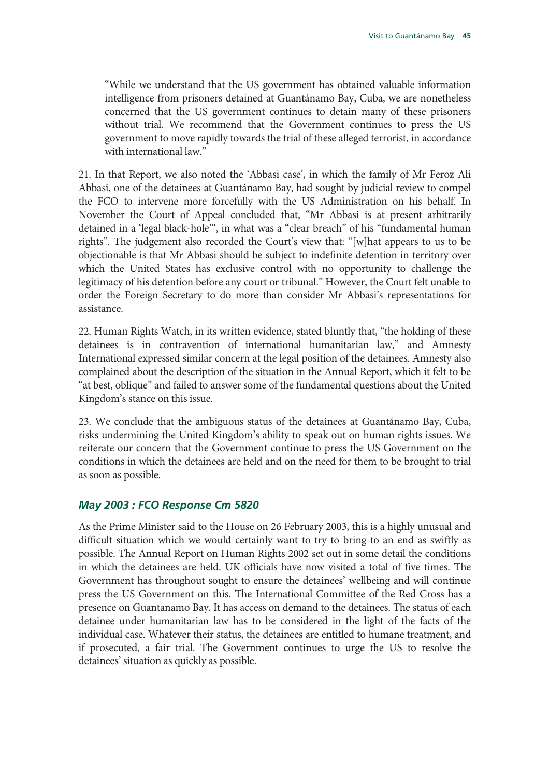"While we understand that the US government has obtained valuable information intelligence from prisoners detained at Guantánamo Bay, Cuba, we are nonetheless concerned that the US government continues to detain many of these prisoners without trial. We recommend that the Government continues to press the US government to move rapidly towards the trial of these alleged terrorist, in accordance with international law."

21. In that Report, we also noted the 'Abbasi case', in which the family of Mr Feroz Ali Abbasi, one of the detainees at Guantánamo Bay, had sought by judicial review to compel the FCO to intervene more forcefully with the US Administration on his behalf. In November the Court of Appeal concluded that, "Mr Abbasi is at present arbitrarily detained in a 'legal black-hole'", in what was a "clear breach" of his "fundamental human rights". The judgement also recorded the Court's view that: "[w]hat appears to us to be objectionable is that Mr Abbasi should be subject to indefinite detention in territory over which the United States has exclusive control with no opportunity to challenge the legitimacy of his detention before any court or tribunal." However, the Court felt unable to order the Foreign Secretary to do more than consider Mr Abbasi's representations for assistance.

22. Human Rights Watch, in its written evidence, stated bluntly that, "the holding of these detainees is in contravention of international humanitarian law," and Amnesty International expressed similar concern at the legal position of the detainees. Amnesty also complained about the description of the situation in the Annual Report, which it felt to be "at best, oblique" and failed to answer some of the fundamental questions about the United Kingdom's stance on this issue.

23. We conclude that the ambiguous status of the detainees at Guantánamo Bay, Cuba, risks undermining the United Kingdom's ability to speak out on human rights issues. We reiterate our concern that the Government continue to press the US Government on the conditions in which the detainees are held and on the need for them to be brought to trial as soon as possible.

#### *May 2003 : FCO Response Cm 5820*

As the Prime Minister said to the House on 26 February 2003, this is a highly unusual and difficult situation which we would certainly want to try to bring to an end as swiftly as possible. The Annual Report on Human Rights 2002 set out in some detail the conditions in which the detainees are held. UK officials have now visited a total of five times. The Government has throughout sought to ensure the detainees' wellbeing and will continue press the US Government on this. The International Committee of the Red Cross has a presence on Guantanamo Bay. It has access on demand to the detainees. The status of each detainee under humanitarian law has to be considered in the light of the facts of the individual case. Whatever their status, the detainees are entitled to humane treatment, and if prosecuted, a fair trial. The Government continues to urge the US to resolve the detainees' situation as quickly as possible.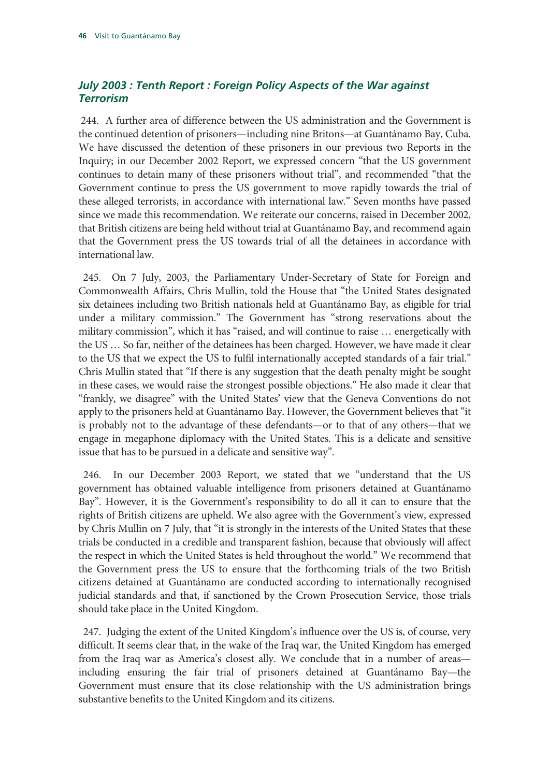### *July 2003 : Tenth Report : Foreign Policy Aspects of the War against Terrorism*

 244. A further area of difference between the US administration and the Government is the continued detention of prisoners—including nine Britons—at Guantánamo Bay, Cuba. We have discussed the detention of these prisoners in our previous two Reports in the Inquiry; in our December 2002 Report, we expressed concern "that the US government continues to detain many of these prisoners without trial", and recommended "that the Government continue to press the US government to move rapidly towards the trial of these alleged terrorists, in accordance with international law." Seven months have passed since we made this recommendation. We reiterate our concerns, raised in December 2002, that British citizens are being held without trial at Guantánamo Bay, and recommend again that the Government press the US towards trial of all the detainees in accordance with international law.

 245. On 7 July, 2003, the Parliamentary Under-Secretary of State for Foreign and Commonwealth Affairs, Chris Mullin, told the House that "the United States designated six detainees including two British nationals held at Guantánamo Bay, as eligible for trial under a military commission." The Government has "strong reservations about the military commission", which it has "raised, and will continue to raise … energetically with the US … So far, neither of the detainees has been charged. However, we have made it clear to the US that we expect the US to fulfil internationally accepted standards of a fair trial." Chris Mullin stated that "If there is any suggestion that the death penalty might be sought in these cases, we would raise the strongest possible objections." He also made it clear that "frankly, we disagree" with the United States' view that the Geneva Conventions do not apply to the prisoners held at Guantánamo Bay. However, the Government believes that "it is probably not to the advantage of these defendants—or to that of any others—that we engage in megaphone diplomacy with the United States. This is a delicate and sensitive issue that has to be pursued in a delicate and sensitive way".

 246. In our December 2003 Report, we stated that we "understand that the US government has obtained valuable intelligence from prisoners detained at Guantánamo Bay". However, it is the Government's responsibility to do all it can to ensure that the rights of British citizens are upheld. We also agree with the Government's view, expressed by Chris Mullin on 7 July, that "it is strongly in the interests of the United States that these trials be conducted in a credible and transparent fashion, because that obviously will affect the respect in which the United States is held throughout the world." We recommend that the Government press the US to ensure that the forthcoming trials of the two British citizens detained at Guantánamo are conducted according to internationally recognised judicial standards and that, if sanctioned by the Crown Prosecution Service, those trials should take place in the United Kingdom.

 247. Judging the extent of the United Kingdom's influence over the US is, of course, very difficult. It seems clear that, in the wake of the Iraq war, the United Kingdom has emerged from the Iraq war as America's closest ally. We conclude that in a number of areas including ensuring the fair trial of prisoners detained at Guantánamo Bay—the Government must ensure that its close relationship with the US administration brings substantive benefits to the United Kingdom and its citizens.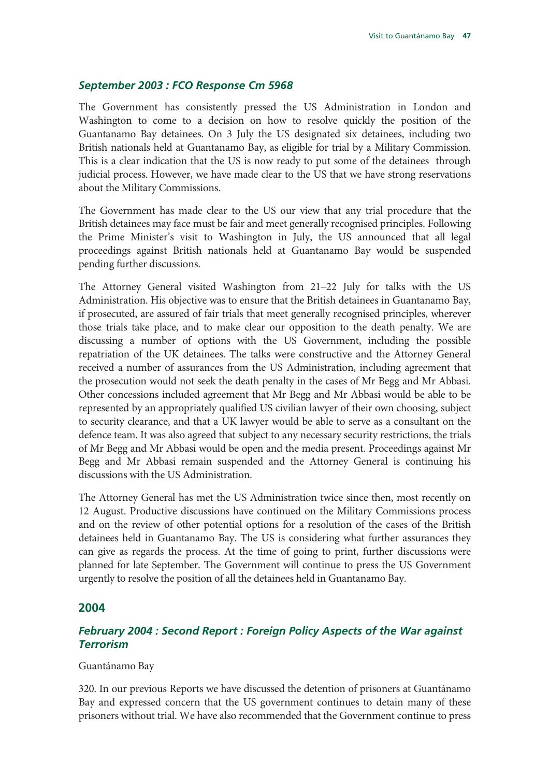#### *September 2003 : FCO Response Cm 5968*

The Government has consistently pressed the US Administration in London and Washington to come to a decision on how to resolve quickly the position of the Guantanamo Bay detainees. On 3 July the US designated six detainees, including two British nationals held at Guantanamo Bay, as eligible for trial by a Military Commission. This is a clear indication that the US is now ready to put some of the detainees through judicial process. However, we have made clear to the US that we have strong reservations about the Military Commissions.

The Government has made clear to the US our view that any trial procedure that the British detainees may face must be fair and meet generally recognised principles. Following the Prime Minister's visit to Washington in July, the US announced that all legal proceedings against British nationals held at Guantanamo Bay would be suspended pending further discussions.

The Attorney General visited Washington from 21–22 July for talks with the US Administration. His objective was to ensure that the British detainees in Guantanamo Bay, if prosecuted, are assured of fair trials that meet generally recognised principles, wherever those trials take place, and to make clear our opposition to the death penalty. We are discussing a number of options with the US Government, including the possible repatriation of the UK detainees. The talks were constructive and the Attorney General received a number of assurances from the US Administration, including agreement that the prosecution would not seek the death penalty in the cases of Mr Begg and Mr Abbasi. Other concessions included agreement that Mr Begg and Mr Abbasi would be able to be represented by an appropriately qualified US civilian lawyer of their own choosing, subject to security clearance, and that a UK lawyer would be able to serve as a consultant on the defence team. It was also agreed that subject to any necessary security restrictions, the trials of Mr Begg and Mr Abbasi would be open and the media present. Proceedings against Mr Begg and Mr Abbasi remain suspended and the Attorney General is continuing his discussions with the US Administration.

The Attorney General has met the US Administration twice since then, most recently on 12 August. Productive discussions have continued on the Military Commissions process and on the review of other potential options for a resolution of the cases of the British detainees held in Guantanamo Bay. The US is considering what further assurances they can give as regards the process. At the time of going to print, further discussions were planned for late September. The Government will continue to press the US Government urgently to resolve the position of all the detainees held in Guantanamo Bay.

#### **2004**

#### *February 2004 : Second Report : Foreign Policy Aspects of the War against Terrorism*

#### Guantánamo Bay

320. In our previous Reports we have discussed the detention of prisoners at Guantánamo Bay and expressed concern that the US government continues to detain many of these prisoners without trial. We have also recommended that the Government continue to press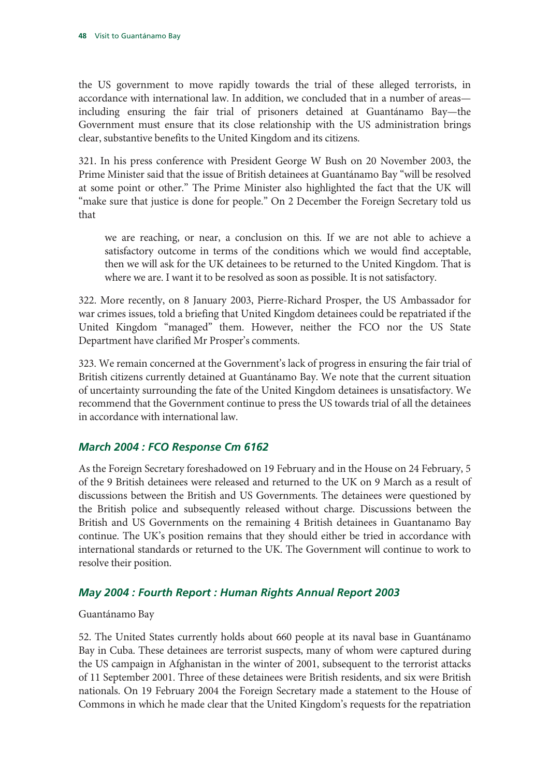the US government to move rapidly towards the trial of these alleged terrorists, in accordance with international law. In addition, we concluded that in a number of areas including ensuring the fair trial of prisoners detained at Guantánamo Bay—the Government must ensure that its close relationship with the US administration brings clear, substantive benefits to the United Kingdom and its citizens.

321. In his press conference with President George W Bush on 20 November 2003, the Prime Minister said that the issue of British detainees at Guantánamo Bay "will be resolved at some point or other." The Prime Minister also highlighted the fact that the UK will "make sure that justice is done for people." On 2 December the Foreign Secretary told us that

we are reaching, or near, a conclusion on this. If we are not able to achieve a satisfactory outcome in terms of the conditions which we would find acceptable, then we will ask for the UK detainees to be returned to the United Kingdom. That is where we are. I want it to be resolved as soon as possible. It is not satisfactory.

322. More recently, on 8 January 2003, Pierre-Richard Prosper, the US Ambassador for war crimes issues, told a briefing that United Kingdom detainees could be repatriated if the United Kingdom "managed" them. However, neither the FCO nor the US State Department have clarified Mr Prosper's comments.

323. We remain concerned at the Government's lack of progress in ensuring the fair trial of British citizens currently detained at Guantánamo Bay. We note that the current situation of uncertainty surrounding the fate of the United Kingdom detainees is unsatisfactory. We recommend that the Government continue to press the US towards trial of all the detainees in accordance with international law.

#### *March 2004 : FCO Response Cm 6162*

As the Foreign Secretary foreshadowed on 19 February and in the House on 24 February, 5 of the 9 British detainees were released and returned to the UK on 9 March as a result of discussions between the British and US Governments. The detainees were questioned by the British police and subsequently released without charge. Discussions between the British and US Governments on the remaining 4 British detainees in Guantanamo Bay continue. The UK's position remains that they should either be tried in accordance with international standards or returned to the UK. The Government will continue to work to resolve their position.

#### *May 2004 : Fourth Report : Human Rights Annual Report 2003*

#### Guantánamo Bay

52. The United States currently holds about 660 people at its naval base in Guantánamo Bay in Cuba. These detainees are terrorist suspects, many of whom were captured during the US campaign in Afghanistan in the winter of 2001, subsequent to the terrorist attacks of 11 September 2001. Three of these detainees were British residents, and six were British nationals. On 19 February 2004 the Foreign Secretary made a statement to the House of Commons in which he made clear that the United Kingdom's requests for the repatriation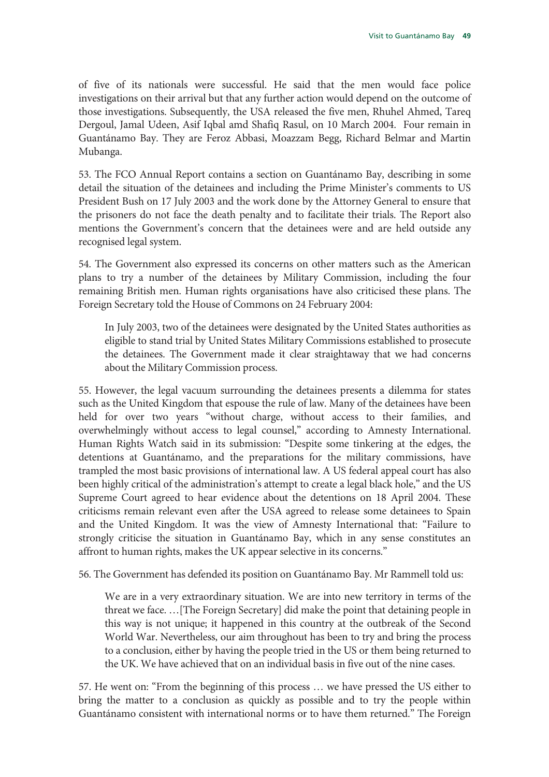of five of its nationals were successful. He said that the men would face police investigations on their arrival but that any further action would depend on the outcome of those investigations. Subsequently, the USA released the five men, Rhuhel Ahmed, Tareq Dergoul, Jamal Udeen, Asif Iqbal amd Shafiq Rasul, on 10 March 2004. Four remain in Guantánamo Bay. They are Feroz Abbasi, Moazzam Begg, Richard Belmar and Martin Mubanga.

53. The FCO Annual Report contains a section on Guantánamo Bay, describing in some detail the situation of the detainees and including the Prime Minister's comments to US President Bush on 17 July 2003 and the work done by the Attorney General to ensure that the prisoners do not face the death penalty and to facilitate their trials. The Report also mentions the Government's concern that the detainees were and are held outside any recognised legal system.

54. The Government also expressed its concerns on other matters such as the American plans to try a number of the detainees by Military Commission, including the four remaining British men. Human rights organisations have also criticised these plans. The Foreign Secretary told the House of Commons on 24 February 2004:

In July 2003, two of the detainees were designated by the United States authorities as eligible to stand trial by United States Military Commissions established to prosecute the detainees. The Government made it clear straightaway that we had concerns about the Military Commission process.

55. However, the legal vacuum surrounding the detainees presents a dilemma for states such as the United Kingdom that espouse the rule of law. Many of the detainees have been held for over two years "without charge, without access to their families, and overwhelmingly without access to legal counsel," according to Amnesty International. Human Rights Watch said in its submission: "Despite some tinkering at the edges, the detentions at Guantánamo, and the preparations for the military commissions, have trampled the most basic provisions of international law. A US federal appeal court has also been highly critical of the administration's attempt to create a legal black hole," and the US Supreme Court agreed to hear evidence about the detentions on 18 April 2004. These criticisms remain relevant even after the USA agreed to release some detainees to Spain and the United Kingdom. It was the view of Amnesty International that: "Failure to strongly criticise the situation in Guantánamo Bay, which in any sense constitutes an affront to human rights, makes the UK appear selective in its concerns."

56. The Government has defended its position on Guantánamo Bay. Mr Rammell told us:

We are in a very extraordinary situation. We are into new territory in terms of the threat we face. …[The Foreign Secretary] did make the point that detaining people in this way is not unique; it happened in this country at the outbreak of the Second World War. Nevertheless, our aim throughout has been to try and bring the process to a conclusion, either by having the people tried in the US or them being returned to the UK. We have achieved that on an individual basis in five out of the nine cases.

57. He went on: "From the beginning of this process … we have pressed the US either to bring the matter to a conclusion as quickly as possible and to try the people within Guantánamo consistent with international norms or to have them returned." The Foreign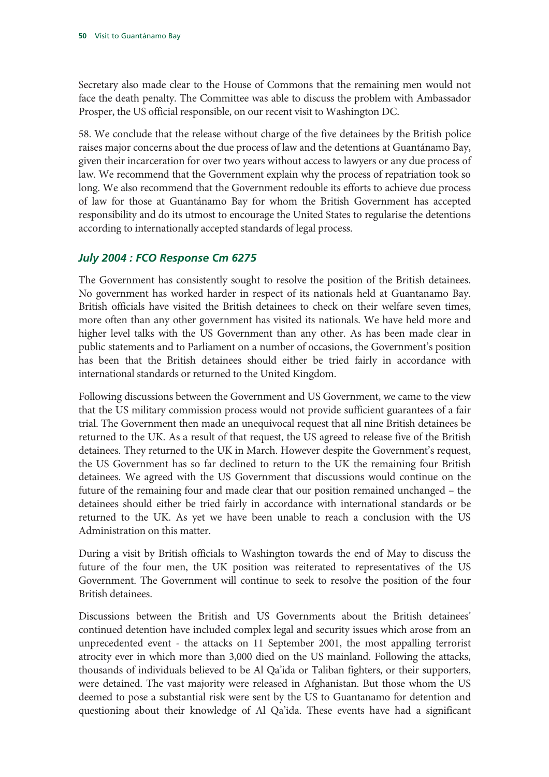Secretary also made clear to the House of Commons that the remaining men would not face the death penalty. The Committee was able to discuss the problem with Ambassador Prosper, the US official responsible, on our recent visit to Washington DC.

58. We conclude that the release without charge of the five detainees by the British police raises major concerns about the due process of law and the detentions at Guantánamo Bay, given their incarceration for over two years without access to lawyers or any due process of law. We recommend that the Government explain why the process of repatriation took so long. We also recommend that the Government redouble its efforts to achieve due process of law for those at Guantánamo Bay for whom the British Government has accepted responsibility and do its utmost to encourage the United States to regularise the detentions according to internationally accepted standards of legal process.

#### *July 2004 : FCO Response Cm 6275*

The Government has consistently sought to resolve the position of the British detainees. No government has worked harder in respect of its nationals held at Guantanamo Bay. British officials have visited the British detainees to check on their welfare seven times, more often than any other government has visited its nationals. We have held more and higher level talks with the US Government than any other. As has been made clear in public statements and to Parliament on a number of occasions, the Government's position has been that the British detainees should either be tried fairly in accordance with international standards or returned to the United Kingdom.

Following discussions between the Government and US Government, we came to the view that the US military commission process would not provide sufficient guarantees of a fair trial. The Government then made an unequivocal request that all nine British detainees be returned to the UK. As a result of that request, the US agreed to release five of the British detainees. They returned to the UK in March. However despite the Government's request, the US Government has so far declined to return to the UK the remaining four British detainees. We agreed with the US Government that discussions would continue on the future of the remaining four and made clear that our position remained unchanged – the detainees should either be tried fairly in accordance with international standards or be returned to the UK. As yet we have been unable to reach a conclusion with the US Administration on this matter.

During a visit by British officials to Washington towards the end of May to discuss the future of the four men, the UK position was reiterated to representatives of the US Government. The Government will continue to seek to resolve the position of the four British detainees.

Discussions between the British and US Governments about the British detainees' continued detention have included complex legal and security issues which arose from an unprecedented event - the attacks on 11 September 2001, the most appalling terrorist atrocity ever in which more than 3,000 died on the US mainland. Following the attacks, thousands of individuals believed to be Al Qa'ida or Taliban fighters, or their supporters, were detained. The vast majority were released in Afghanistan. But those whom the US deemed to pose a substantial risk were sent by the US to Guantanamo for detention and questioning about their knowledge of Al Qa'ida. These events have had a significant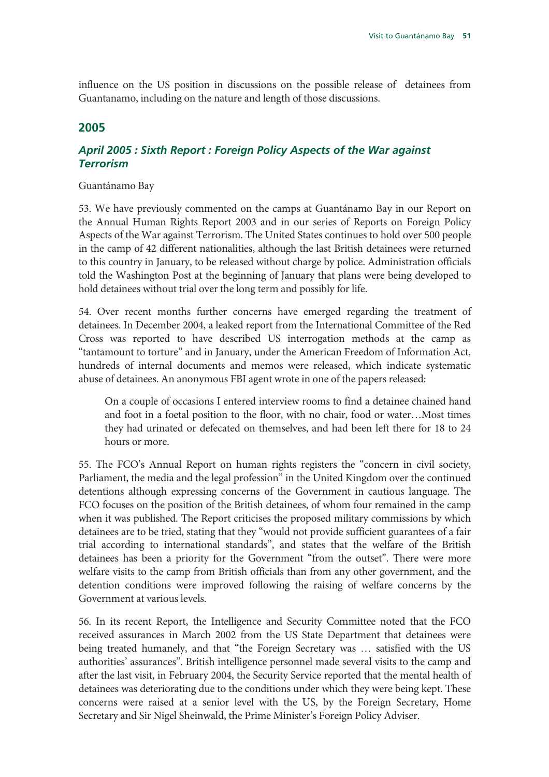influence on the US position in discussions on the possible release of detainees from Guantanamo, including on the nature and length of those discussions.

### **2005**

#### *April 2005 : Sixth Report : Foreign Policy Aspects of the War against Terrorism*

#### Guantánamo Bay

53. We have previously commented on the camps at Guantánamo Bay in our Report on the Annual Human Rights Report 2003 and in our series of Reports on Foreign Policy Aspects of the War against Terrorism. The United States continues to hold over 500 people in the camp of 42 different nationalities, although the last British detainees were returned to this country in January, to be released without charge by police. Administration officials told the Washington Post at the beginning of January that plans were being developed to hold detainees without trial over the long term and possibly for life.

54. Over recent months further concerns have emerged regarding the treatment of detainees. In December 2004, a leaked report from the International Committee of the Red Cross was reported to have described US interrogation methods at the camp as "tantamount to torture" and in January, under the American Freedom of Information Act, hundreds of internal documents and memos were released, which indicate systematic abuse of detainees. An anonymous FBI agent wrote in one of the papers released:

On a couple of occasions I entered interview rooms to find a detainee chained hand and foot in a foetal position to the floor, with no chair, food or water…Most times they had urinated or defecated on themselves, and had been left there for 18 to 24 hours or more.

55. The FCO's Annual Report on human rights registers the "concern in civil society, Parliament, the media and the legal profession" in the United Kingdom over the continued detentions although expressing concerns of the Government in cautious language. The FCO focuses on the position of the British detainees, of whom four remained in the camp when it was published. The Report criticises the proposed military commissions by which detainees are to be tried, stating that they "would not provide sufficient guarantees of a fair trial according to international standards", and states that the welfare of the British detainees has been a priority for the Government "from the outset". There were more welfare visits to the camp from British officials than from any other government, and the detention conditions were improved following the raising of welfare concerns by the Government at various levels.

56. In its recent Report, the Intelligence and Security Committee noted that the FCO received assurances in March 2002 from the US State Department that detainees were being treated humanely, and that "the Foreign Secretary was … satisfied with the US authorities' assurances". British intelligence personnel made several visits to the camp and after the last visit, in February 2004, the Security Service reported that the mental health of detainees was deteriorating due to the conditions under which they were being kept. These concerns were raised at a senior level with the US, by the Foreign Secretary, Home Secretary and Sir Nigel Sheinwald, the Prime Minister's Foreign Policy Adviser.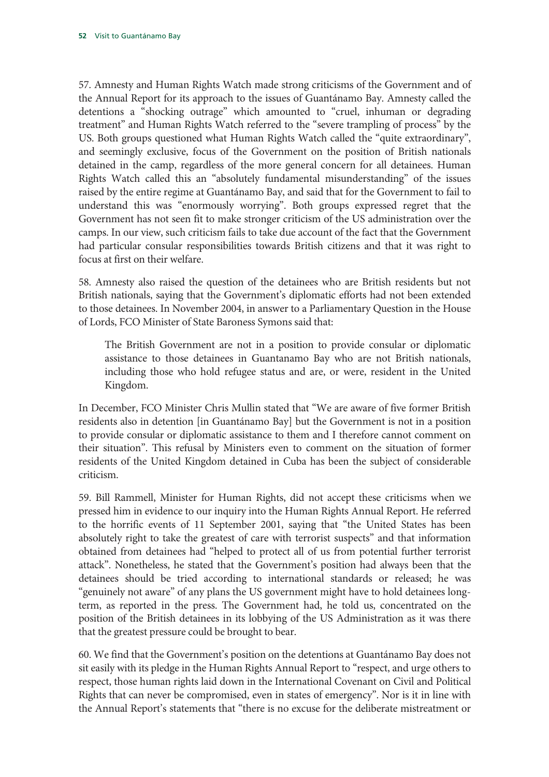57. Amnesty and Human Rights Watch made strong criticisms of the Government and of the Annual Report for its approach to the issues of Guantánamo Bay. Amnesty called the detentions a "shocking outrage" which amounted to "cruel, inhuman or degrading treatment" and Human Rights Watch referred to the "severe trampling of process" by the US. Both groups questioned what Human Rights Watch called the "quite extraordinary", and seemingly exclusive, focus of the Government on the position of British nationals detained in the camp, regardless of the more general concern for all detainees. Human Rights Watch called this an "absolutely fundamental misunderstanding" of the issues raised by the entire regime at Guantánamo Bay, and said that for the Government to fail to understand this was "enormously worrying". Both groups expressed regret that the Government has not seen fit to make stronger criticism of the US administration over the camps. In our view, such criticism fails to take due account of the fact that the Government had particular consular responsibilities towards British citizens and that it was right to focus at first on their welfare.

58. Amnesty also raised the question of the detainees who are British residents but not British nationals, saying that the Government's diplomatic efforts had not been extended to those detainees. In November 2004, in answer to a Parliamentary Question in the House of Lords, FCO Minister of State Baroness Symons said that:

The British Government are not in a position to provide consular or diplomatic assistance to those detainees in Guantanamo Bay who are not British nationals, including those who hold refugee status and are, or were, resident in the United Kingdom.

In December, FCO Minister Chris Mullin stated that "We are aware of five former British residents also in detention [in Guantánamo Bay] but the Government is not in a position to provide consular or diplomatic assistance to them and I therefore cannot comment on their situation". This refusal by Ministers even to comment on the situation of former residents of the United Kingdom detained in Cuba has been the subject of considerable criticism.

59. Bill Rammell, Minister for Human Rights, did not accept these criticisms when we pressed him in evidence to our inquiry into the Human Rights Annual Report. He referred to the horrific events of 11 September 2001, saying that "the United States has been absolutely right to take the greatest of care with terrorist suspects" and that information obtained from detainees had "helped to protect all of us from potential further terrorist attack". Nonetheless, he stated that the Government's position had always been that the detainees should be tried according to international standards or released; he was "genuinely not aware" of any plans the US government might have to hold detainees longterm, as reported in the press. The Government had, he told us, concentrated on the position of the British detainees in its lobbying of the US Administration as it was there that the greatest pressure could be brought to bear.

60. We find that the Government's position on the detentions at Guantánamo Bay does not sit easily with its pledge in the Human Rights Annual Report to "respect, and urge others to respect, those human rights laid down in the International Covenant on Civil and Political Rights that can never be compromised, even in states of emergency". Nor is it in line with the Annual Report's statements that "there is no excuse for the deliberate mistreatment or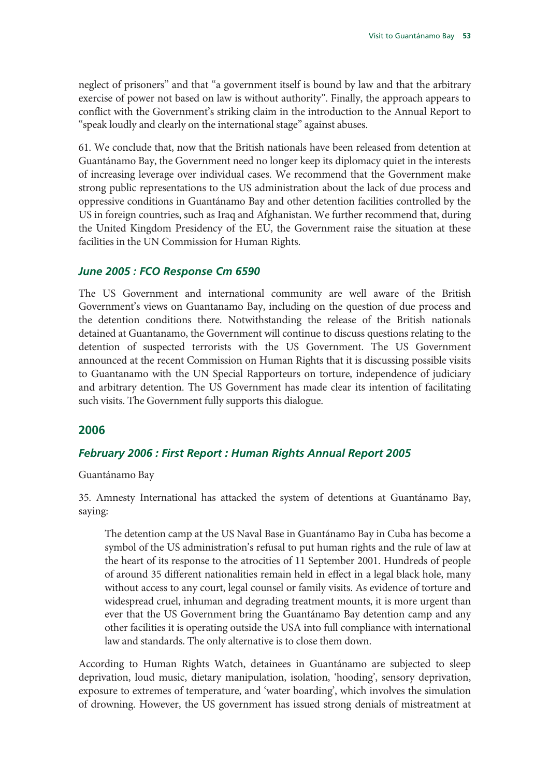neglect of prisoners" and that "a government itself is bound by law and that the arbitrary exercise of power not based on law is without authority". Finally, the approach appears to conflict with the Government's striking claim in the introduction to the Annual Report to "speak loudly and clearly on the international stage" against abuses.

61. We conclude that, now that the British nationals have been released from detention at Guantánamo Bay, the Government need no longer keep its diplomacy quiet in the interests of increasing leverage over individual cases. We recommend that the Government make strong public representations to the US administration about the lack of due process and oppressive conditions in Guantánamo Bay and other detention facilities controlled by the US in foreign countries, such as Iraq and Afghanistan. We further recommend that, during the United Kingdom Presidency of the EU, the Government raise the situation at these facilities in the UN Commission for Human Rights.

#### *June 2005 : FCO Response Cm 6590*

The US Government and international community are well aware of the British Government's views on Guantanamo Bay, including on the question of due process and the detention conditions there. Notwithstanding the release of the British nationals detained at Guantanamo, the Government will continue to discuss questions relating to the detention of suspected terrorists with the US Government. The US Government announced at the recent Commission on Human Rights that it is discussing possible visits to Guantanamo with the UN Special Rapporteurs on torture, independence of judiciary and arbitrary detention. The US Government has made clear its intention of facilitating such visits. The Government fully supports this dialogue.

#### **2006**

#### *February 2006 : First Report : Human Rights Annual Report 2005*

Guantánamo Bay

35. Amnesty International has attacked the system of detentions at Guantánamo Bay, saying:

The detention camp at the US Naval Base in Guantánamo Bay in Cuba has become a symbol of the US administration's refusal to put human rights and the rule of law at the heart of its response to the atrocities of 11 September 2001. Hundreds of people of around 35 different nationalities remain held in effect in a legal black hole, many without access to any court, legal counsel or family visits. As evidence of torture and widespread cruel, inhuman and degrading treatment mounts, it is more urgent than ever that the US Government bring the Guantánamo Bay detention camp and any other facilities it is operating outside the USA into full compliance with international law and standards. The only alternative is to close them down.

According to Human Rights Watch, detainees in Guantánamo are subjected to sleep deprivation, loud music, dietary manipulation, isolation, 'hooding', sensory deprivation, exposure to extremes of temperature, and 'water boarding', which involves the simulation of drowning. However, the US government has issued strong denials of mistreatment at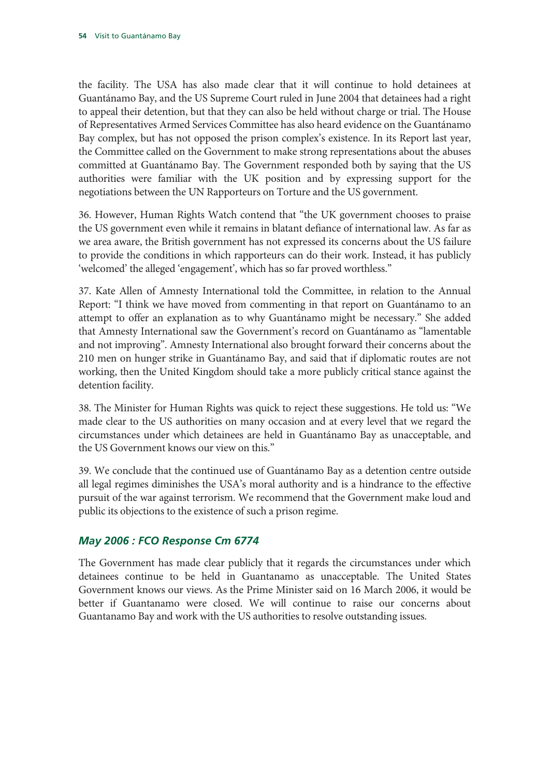the facility. The USA has also made clear that it will continue to hold detainees at Guantánamo Bay, and the US Supreme Court ruled in June 2004 that detainees had a right to appeal their detention, but that they can also be held without charge or trial. The House of Representatives Armed Services Committee has also heard evidence on the Guantánamo Bay complex, but has not opposed the prison complex's existence. In its Report last year, the Committee called on the Government to make strong representations about the abuses committed at Guantánamo Bay. The Government responded both by saying that the US authorities were familiar with the UK position and by expressing support for the negotiations between the UN Rapporteurs on Torture and the US government.

36. However, Human Rights Watch contend that "the UK government chooses to praise the US government even while it remains in blatant defiance of international law. As far as we area aware, the British government has not expressed its concerns about the US failure to provide the conditions in which rapporteurs can do their work. Instead, it has publicly 'welcomed' the alleged 'engagement', which has so far proved worthless."

37. Kate Allen of Amnesty International told the Committee, in relation to the Annual Report: "I think we have moved from commenting in that report on Guantánamo to an attempt to offer an explanation as to why Guantánamo might be necessary." She added that Amnesty International saw the Government's record on Guantánamo as "lamentable and not improving". Amnesty International also brought forward their concerns about the 210 men on hunger strike in Guantánamo Bay, and said that if diplomatic routes are not working, then the United Kingdom should take a more publicly critical stance against the detention facility.

38. The Minister for Human Rights was quick to reject these suggestions. He told us: "We made clear to the US authorities on many occasion and at every level that we regard the circumstances under which detainees are held in Guantánamo Bay as unacceptable, and the US Government knows our view on this."

39. We conclude that the continued use of Guantánamo Bay as a detention centre outside all legal regimes diminishes the USA's moral authority and is a hindrance to the effective pursuit of the war against terrorism. We recommend that the Government make loud and public its objections to the existence of such a prison regime.

#### *May 2006 : FCO Response Cm 6774*

The Government has made clear publicly that it regards the circumstances under which detainees continue to be held in Guantanamo as unacceptable. The United States Government knows our views. As the Prime Minister said on 16 March 2006, it would be better if Guantanamo were closed. We will continue to raise our concerns about Guantanamo Bay and work with the US authorities to resolve outstanding issues.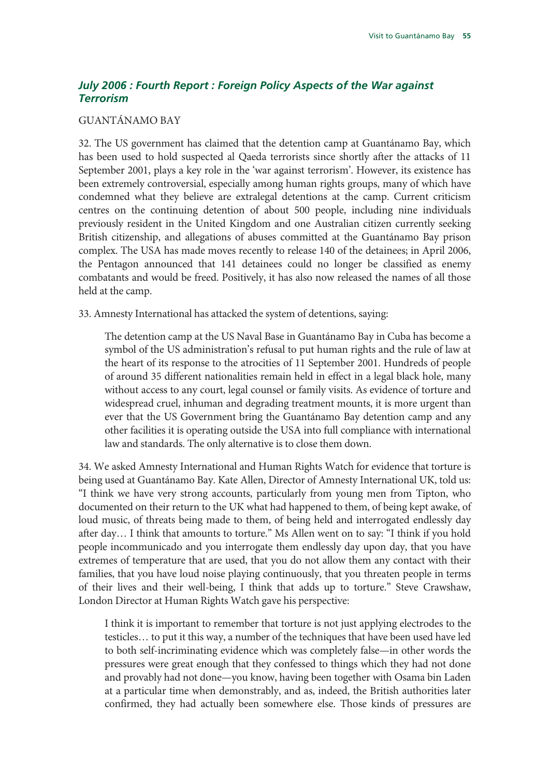### *July 2006 : Fourth Report : Foreign Policy Aspects of the War against Terrorism*

#### GUANTÁNAMO BAY

32. The US government has claimed that the detention camp at Guantánamo Bay, which has been used to hold suspected al Qaeda terrorists since shortly after the attacks of 11 September 2001, plays a key role in the 'war against terrorism'. However, its existence has been extremely controversial, especially among human rights groups, many of which have condemned what they believe are extralegal detentions at the camp. Current criticism centres on the continuing detention of about 500 people, including nine individuals previously resident in the United Kingdom and one Australian citizen currently seeking British citizenship, and allegations of abuses committed at the Guantánamo Bay prison complex. The USA has made moves recently to release 140 of the detainees; in April 2006, the Pentagon announced that 141 detainees could no longer be classified as enemy combatants and would be freed. Positively, it has also now released the names of all those held at the camp.

33. Amnesty International has attacked the system of detentions, saying:

The detention camp at the US Naval Base in Guantánamo Bay in Cuba has become a symbol of the US administration's refusal to put human rights and the rule of law at the heart of its response to the atrocities of 11 September 2001. Hundreds of people of around 35 different nationalities remain held in effect in a legal black hole, many without access to any court, legal counsel or family visits. As evidence of torture and widespread cruel, inhuman and degrading treatment mounts, it is more urgent than ever that the US Government bring the Guantánamo Bay detention camp and any other facilities it is operating outside the USA into full compliance with international law and standards. The only alternative is to close them down.

34. We asked Amnesty International and Human Rights Watch for evidence that torture is being used at Guantánamo Bay. Kate Allen, Director of Amnesty International UK, told us: "I think we have very strong accounts, particularly from young men from Tipton, who documented on their return to the UK what had happened to them, of being kept awake, of loud music, of threats being made to them, of being held and interrogated endlessly day after day… I think that amounts to torture." Ms Allen went on to say: "I think if you hold people incommunicado and you interrogate them endlessly day upon day, that you have extremes of temperature that are used, that you do not allow them any contact with their families, that you have loud noise playing continuously, that you threaten people in terms of their lives and their well-being, I think that adds up to torture." Steve Crawshaw, London Director at Human Rights Watch gave his perspective:

I think it is important to remember that torture is not just applying electrodes to the testicles… to put it this way, a number of the techniques that have been used have led to both self-incriminating evidence which was completely false—in other words the pressures were great enough that they confessed to things which they had not done and provably had not done—you know, having been together with Osama bin Laden at a particular time when demonstrably, and as, indeed, the British authorities later confirmed, they had actually been somewhere else. Those kinds of pressures are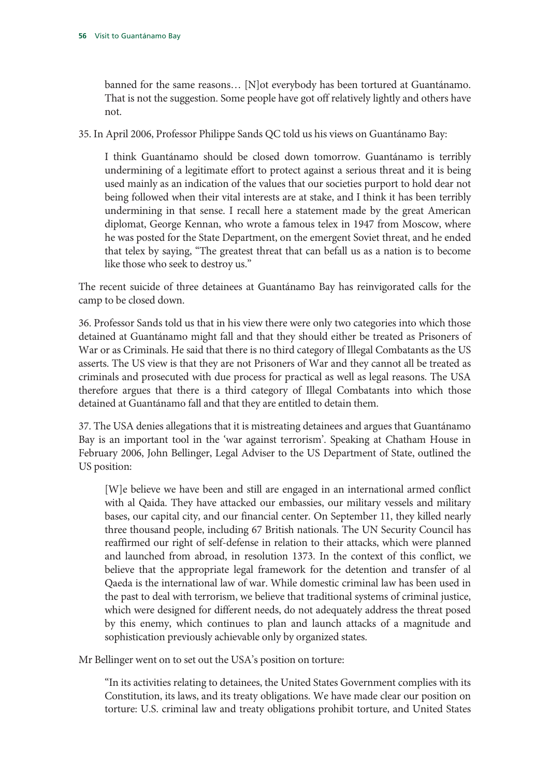banned for the same reasons… [N]ot everybody has been tortured at Guantánamo. That is not the suggestion. Some people have got off relatively lightly and others have not.

35. In April 2006, Professor Philippe Sands QC told us his views on Guantánamo Bay:

I think Guantánamo should be closed down tomorrow. Guantánamo is terribly undermining of a legitimate effort to protect against a serious threat and it is being used mainly as an indication of the values that our societies purport to hold dear not being followed when their vital interests are at stake, and I think it has been terribly undermining in that sense. I recall here a statement made by the great American diplomat, George Kennan, who wrote a famous telex in 1947 from Moscow, where he was posted for the State Department, on the emergent Soviet threat, and he ended that telex by saying, "The greatest threat that can befall us as a nation is to become like those who seek to destroy us."

The recent suicide of three detainees at Guantánamo Bay has reinvigorated calls for the camp to be closed down.

36. Professor Sands told us that in his view there were only two categories into which those detained at Guantánamo might fall and that they should either be treated as Prisoners of War or as Criminals. He said that there is no third category of Illegal Combatants as the US asserts. The US view is that they are not Prisoners of War and they cannot all be treated as criminals and prosecuted with due process for practical as well as legal reasons. The USA therefore argues that there is a third category of Illegal Combatants into which those detained at Guantánamo fall and that they are entitled to detain them.

37. The USA denies allegations that it is mistreating detainees and argues that Guantánamo Bay is an important tool in the 'war against terrorism'. Speaking at Chatham House in February 2006, John Bellinger, Legal Adviser to the US Department of State, outlined the US position:

[W]e believe we have been and still are engaged in an international armed conflict with al Qaida. They have attacked our embassies, our military vessels and military bases, our capital city, and our financial center. On September 11, they killed nearly three thousand people, including 67 British nationals. The UN Security Council has reaffirmed our right of self-defense in relation to their attacks, which were planned and launched from abroad, in resolution 1373. In the context of this conflict, we believe that the appropriate legal framework for the detention and transfer of al Qaeda is the international law of war. While domestic criminal law has been used in the past to deal with terrorism, we believe that traditional systems of criminal justice, which were designed for different needs, do not adequately address the threat posed by this enemy, which continues to plan and launch attacks of a magnitude and sophistication previously achievable only by organized states.

Mr Bellinger went on to set out the USA's position on torture:

"In its activities relating to detainees, the United States Government complies with its Constitution, its laws, and its treaty obligations. We have made clear our position on torture: U.S. criminal law and treaty obligations prohibit torture, and United States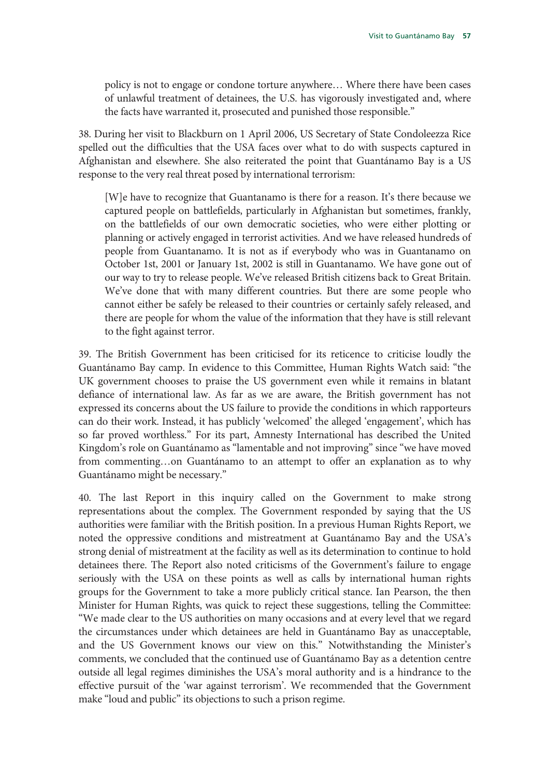policy is not to engage or condone torture anywhere… Where there have been cases of unlawful treatment of detainees, the U.S. has vigorously investigated and, where the facts have warranted it, prosecuted and punished those responsible."

38. During her visit to Blackburn on 1 April 2006, US Secretary of State Condoleezza Rice spelled out the difficulties that the USA faces over what to do with suspects captured in Afghanistan and elsewhere. She also reiterated the point that Guantánamo Bay is a US response to the very real threat posed by international terrorism:

[W]e have to recognize that Guantanamo is there for a reason. It's there because we captured people on battlefields, particularly in Afghanistan but sometimes, frankly, on the battlefields of our own democratic societies, who were either plotting or planning or actively engaged in terrorist activities. And we have released hundreds of people from Guantanamo. It is not as if everybody who was in Guantanamo on October 1st, 2001 or January 1st, 2002 is still in Guantanamo. We have gone out of our way to try to release people. We've released British citizens back to Great Britain. We've done that with many different countries. But there are some people who cannot either be safely be released to their countries or certainly safely released, and there are people for whom the value of the information that they have is still relevant to the fight against terror.

39. The British Government has been criticised for its reticence to criticise loudly the Guantánamo Bay camp. In evidence to this Committee, Human Rights Watch said: "the UK government chooses to praise the US government even while it remains in blatant defiance of international law. As far as we are aware, the British government has not expressed its concerns about the US failure to provide the conditions in which rapporteurs can do their work. Instead, it has publicly 'welcomed' the alleged 'engagement', which has so far proved worthless." For its part, Amnesty International has described the United Kingdom's role on Guantánamo as "lamentable and not improving" since "we have moved from commenting…on Guantánamo to an attempt to offer an explanation as to why Guantánamo might be necessary."

40. The last Report in this inquiry called on the Government to make strong representations about the complex. The Government responded by saying that the US authorities were familiar with the British position. In a previous Human Rights Report, we noted the oppressive conditions and mistreatment at Guantánamo Bay and the USA's strong denial of mistreatment at the facility as well as its determination to continue to hold detainees there. The Report also noted criticisms of the Government's failure to engage seriously with the USA on these points as well as calls by international human rights groups for the Government to take a more publicly critical stance. Ian Pearson, the then Minister for Human Rights, was quick to reject these suggestions, telling the Committee: "We made clear to the US authorities on many occasions and at every level that we regard the circumstances under which detainees are held in Guantánamo Bay as unacceptable, and the US Government knows our view on this." Notwithstanding the Minister's comments, we concluded that the continued use of Guantánamo Bay as a detention centre outside all legal regimes diminishes the USA's moral authority and is a hindrance to the effective pursuit of the 'war against terrorism'. We recommended that the Government make "loud and public" its objections to such a prison regime.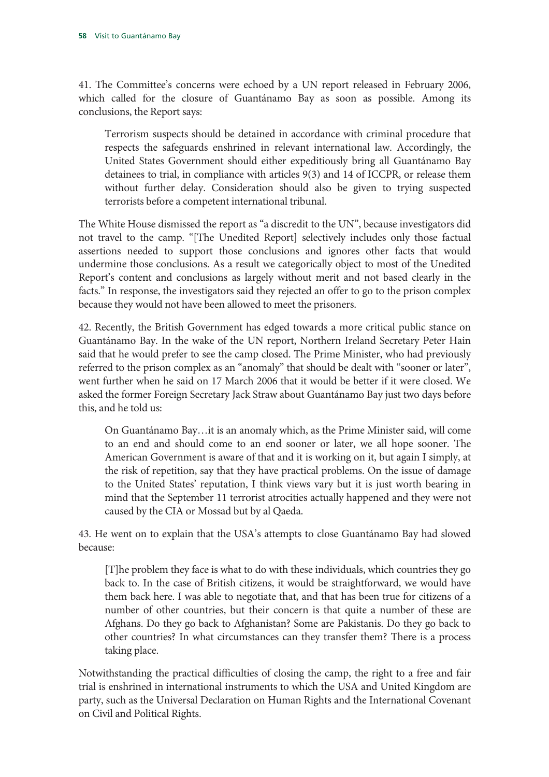41. The Committee's concerns were echoed by a UN report released in February 2006, which called for the closure of Guantánamo Bay as soon as possible. Among its conclusions, the Report says:

Terrorism suspects should be detained in accordance with criminal procedure that respects the safeguards enshrined in relevant international law. Accordingly, the United States Government should either expeditiously bring all Guantánamo Bay detainees to trial, in compliance with articles 9(3) and 14 of ICCPR, or release them without further delay. Consideration should also be given to trying suspected terrorists before a competent international tribunal.

The White House dismissed the report as "a discredit to the UN", because investigators did not travel to the camp. "[The Unedited Report] selectively includes only those factual assertions needed to support those conclusions and ignores other facts that would undermine those conclusions. As a result we categorically object to most of the Unedited Report's content and conclusions as largely without merit and not based clearly in the facts." In response, the investigators said they rejected an offer to go to the prison complex because they would not have been allowed to meet the prisoners.

42. Recently, the British Government has edged towards a more critical public stance on Guantánamo Bay. In the wake of the UN report, Northern Ireland Secretary Peter Hain said that he would prefer to see the camp closed. The Prime Minister, who had previously referred to the prison complex as an "anomaly" that should be dealt with "sooner or later", went further when he said on 17 March 2006 that it would be better if it were closed. We asked the former Foreign Secretary Jack Straw about Guantánamo Bay just two days before this, and he told us:

On Guantánamo Bay…it is an anomaly which, as the Prime Minister said, will come to an end and should come to an end sooner or later, we all hope sooner. The American Government is aware of that and it is working on it, but again I simply, at the risk of repetition, say that they have practical problems. On the issue of damage to the United States' reputation, I think views vary but it is just worth bearing in mind that the September 11 terrorist atrocities actually happened and they were not caused by the CIA or Mossad but by al Qaeda.

43. He went on to explain that the USA's attempts to close Guantánamo Bay had slowed because:

[T]he problem they face is what to do with these individuals, which countries they go back to. In the case of British citizens, it would be straightforward, we would have them back here. I was able to negotiate that, and that has been true for citizens of a number of other countries, but their concern is that quite a number of these are Afghans. Do they go back to Afghanistan? Some are Pakistanis. Do they go back to other countries? In what circumstances can they transfer them? There is a process taking place.

Notwithstanding the practical difficulties of closing the camp, the right to a free and fair trial is enshrined in international instruments to which the USA and United Kingdom are party, such as the Universal Declaration on Human Rights and the International Covenant on Civil and Political Rights.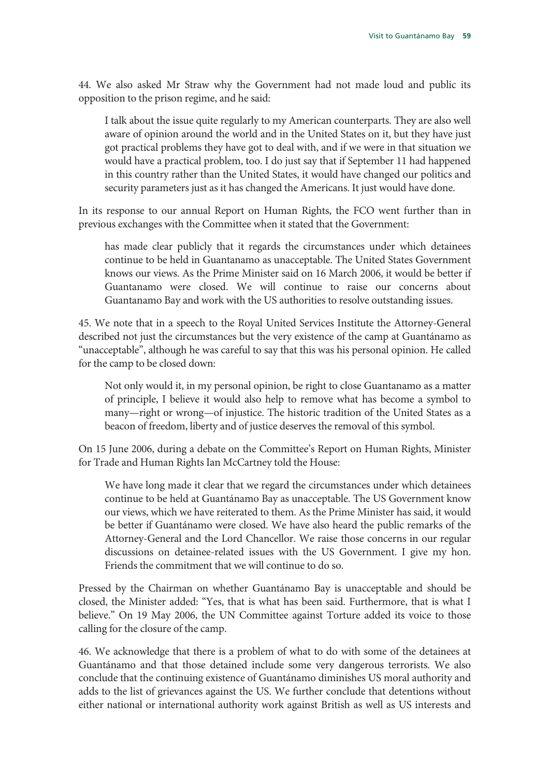44. We also asked Mr Straw why the Government had not made loud and public its opposition to the prison regime, and he said:

I talk about the issue quite regularly to my American counterparts. They are also well aware of opinion around the world and in the United States on it, but they have just got practical problems they have got to deal with, and if we were in that situation we would have a practical problem, too. I do just say that if September 11 had happened in this country rather than the United States, it would have changed our politics and security parameters just as it has changed the Americans. It just would have done.

In its response to our annual Report on Human Rights, the FCO went further than in previous exchanges with the Committee when it stated that the Government:

has made clear publicly that it regards the circumstances under which detainees continue to be held in Guantanamo as unacceptable. The United States Government knows our views. As the Prime Minister said on 16 March 2006, it would be better if Guantanamo were closed. We will continue to raise our concerns about Guantanamo Bay and work with the US authorities to resolve outstanding issues.

45. We note that in a speech to the Royal United Services Institute the Attorney-General described not just the circumstances but the very existence of the camp at Guantánamo as "unacceptable", although he was careful to say that this was his personal opinion. He called for the camp to be closed down:

Not only would it, in my personal opinion, be right to close Guantanamo as a matter of principle, I believe it would also help to remove what has become a symbol to many—right or wrong—of injustice. The historic tradition of the United States as a beacon of freedom, liberty and of justice deserves the removal of this symbol.

On 15 June 2006, during a debate on the Committee's Report on Human Rights, Minister for Trade and Human Rights Ian McCartney told the House:

We have long made it clear that we regard the circumstances under which detainees continue to be held at Guantánamo Bay as unacceptable. The US Government know our views, which we have reiterated to them. As the Prime Minister has said, it would be better if Guantánamo were closed. We have also heard the public remarks of the Attorney-General and the Lord Chancellor. We raise those concerns in our regular discussions on detainee-related issues with the US Government. I give my hon. Friends the commitment that we will continue to do so.

Pressed by the Chairman on whether Guantánamo Bay is unacceptable and should be closed, the Minister added: "Yes, that is what has been said. Furthermore, that is what I believe." On 19 May 2006, the UN Committee against Torture added its voice to those calling for the closure of the camp.

46. We acknowledge that there is a problem of what to do with some of the detainees at Guantánamo and that those detained include some very dangerous terrorists. We also conclude that the continuing existence of Guantánamo diminishes US moral authority and adds to the list of grievances against the US. We further conclude that detentions without either national or international authority work against British as well as US interests and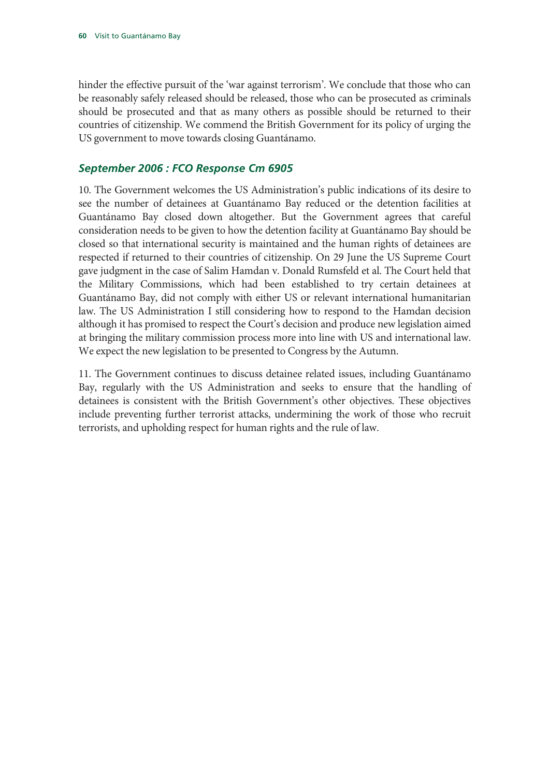hinder the effective pursuit of the 'war against terrorism'. We conclude that those who can be reasonably safely released should be released, those who can be prosecuted as criminals should be prosecuted and that as many others as possible should be returned to their countries of citizenship. We commend the British Government for its policy of urging the US government to move towards closing Guantánamo.

#### *September 2006 : FCO Response Cm 6905*

10. The Government welcomes the US Administration's public indications of its desire to see the number of detainees at Guantánamo Bay reduced or the detention facilities at Guantánamo Bay closed down altogether. But the Government agrees that careful consideration needs to be given to how the detention facility at Guantánamo Bay should be closed so that international security is maintained and the human rights of detainees are respected if returned to their countries of citizenship. On 29 June the US Supreme Court gave judgment in the case of Salim Hamdan v. Donald Rumsfeld et al. The Court held that the Military Commissions, which had been established to try certain detainees at Guantánamo Bay, did not comply with either US or relevant international humanitarian law. The US Administration I still considering how to respond to the Hamdan decision although it has promised to respect the Court's decision and produce new legislation aimed at bringing the military commission process more into line with US and international law. We expect the new legislation to be presented to Congress by the Autumn.

11. The Government continues to discuss detainee related issues, including Guantánamo Bay, regularly with the US Administration and seeks to ensure that the handling of detainees is consistent with the British Government's other objectives. These objectives include preventing further terrorist attacks, undermining the work of those who recruit terrorists, and upholding respect for human rights and the rule of law.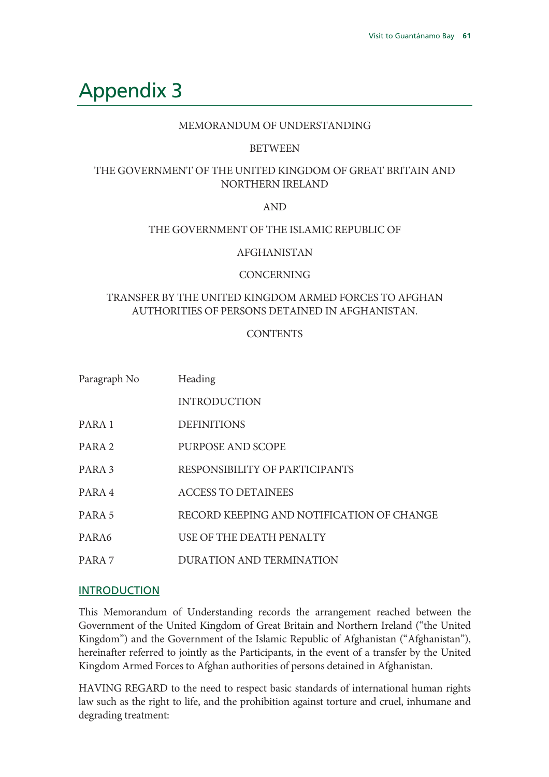## Appendix 3

#### MEMORANDUM OF UNDERSTANDING

#### **BETWEEN**

### THE GOVERNMENT OF THE UNITED KINGDOM OF GREAT BRITAIN AND NORTHERN IRELAND

#### AND

#### THE GOVERNMENT OF THE ISLAMIC REPUBLIC OF

#### AFGHANISTAN

#### CONCERNING

#### TRANSFER BY THE UNITED KINGDOM ARMED FORCES TO AFGHAN AUTHORITIES OF PERSONS DETAINED IN AFGHANISTAN.

#### **CONTENTS**

| Paragraph No      | Heading                                   |
|-------------------|-------------------------------------------|
|                   | <b>INTRODUCTION</b>                       |
| PARA 1            | <b>DEFINITIONS</b>                        |
| PARA <sub>2</sub> | PURPOSE AND SCOPE                         |
| PARA <sub>3</sub> | RESPONSIBILITY OF PARTICIPANTS            |
| PARA 4            | <b>ACCESS TO DETAINEES</b>                |
| PARA <sub>5</sub> | RECORD KEEPING AND NOTIFICATION OF CHANGE |
| PARA6             | USE OF THE DEATH PENALTY                  |
| PARA <sub>7</sub> | <b>DURATION AND TERMINATION</b>           |

#### INTRODUCTION

This Memorandum of Understanding records the arrangement reached between the Government of the United Kingdom of Great Britain and Northern Ireland ("the United Kingdom") and the Government of the Islamic Republic of Afghanistan ("Afghanistan"), hereinafter referred to jointly as the Participants, in the event of a transfer by the United Kingdom Armed Forces to Afghan authorities of persons detained in Afghanistan.

HAVING REGARD to the need to respect basic standards of international human rights law such as the right to life, and the prohibition against torture and cruel, inhumane and degrading treatment: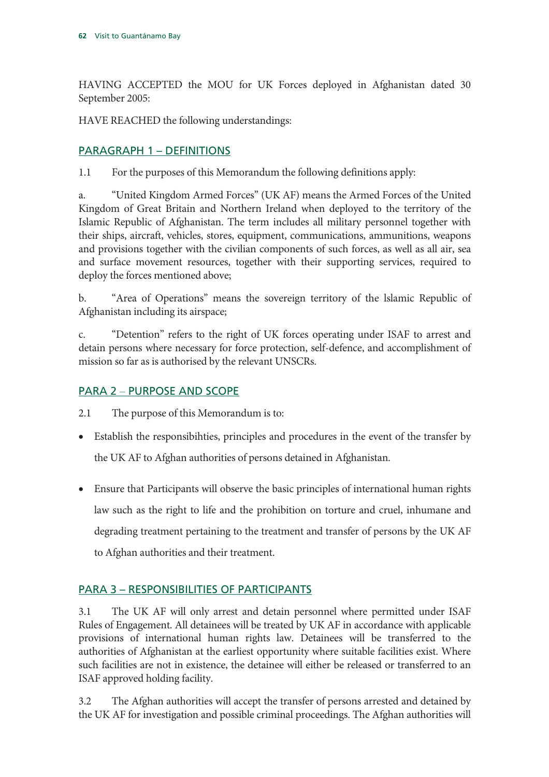HAVING ACCEPTED the MOU for UK Forces deployed in Afghanistan dated 30 September 2005:

HAVE REACHED the following understandings:

## PARAGRAPH 1 – DEFINITIONS

1.1 For the purposes of this Memorandum the following definitions apply:

a. "United Kingdom Armed Forces" (UK AF) means the Armed Forces of the United Kingdom of Great Britain and Northern Ireland when deployed to the territory of the Islamic Republic of Afghanistan. The term includes all military personnel together with their ships, aircraft, vehicles, stores, equipment, communications, ammunitions, weapons and provisions together with the civilian components of such forces, as well as all air, sea and surface movement resources, together with their supporting services, required to deploy the forces mentioned above;

b. "Area of Operations" means the sovereign territory of the lslamic Republic of Afghanistan including its airspace;

c. "Detention" refers to the right of UK forces operating under ISAF to arrest and detain persons where necessary for force protection, self-defence, and accomplishment of mission so far as is authorised by the relevant UNSCRs.

## PARA 2 – PURPOSE AND SCOPE

2.1 The purpose of this Memorandum is to:

- Establish the responsibihties, principles and procedures in the event of the transfer by the UK AF to Afghan authorities of persons detained in Afghanistan.
- Ensure that Participants will observe the basic principles of international human rights law such as the right to life and the prohibition on torture and cruel, inhumane and degrading treatment pertaining to the treatment and transfer of persons by the UK AF to Afghan authorities and their treatment.

## PARA 3 – RESPONSIBILITIES OF PARTICIPANTS

3.1 The UK AF will only arrest and detain personnel where permitted under ISAF Rules of Engagement. All detainees will be treated by UK AF in accordance with applicable provisions of international human rights law. Detainees will be transferred to the authorities of Afghanistan at the earliest opportunity where suitable facilities exist. Where such facilities are not in existence, the detainee will either be released or transferred to an ISAF approved holding facility.

3.2 The Afghan authorities will accept the transfer of persons arrested and detained by the UK AF for investigation and possible criminal proceedings. The Afghan authorities will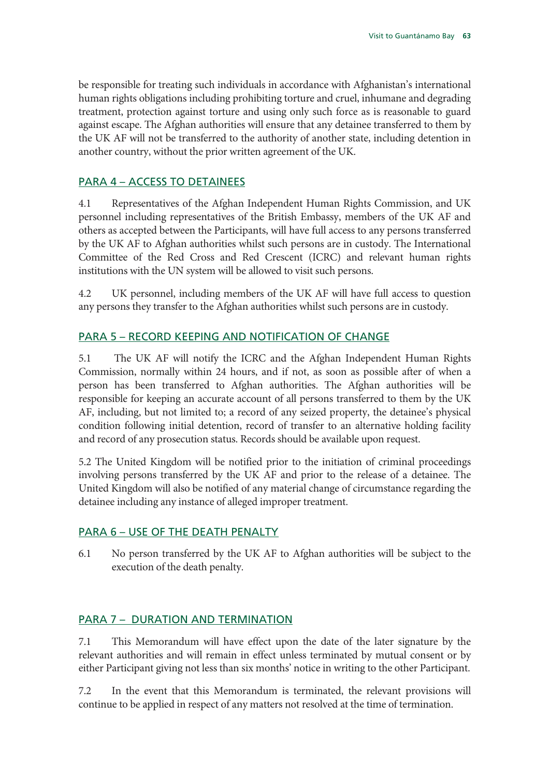be responsible for treating such individuals in accordance with Afghanistan's international human rights obligations including prohibiting torture and cruel, inhumane and degrading treatment, protection against torture and using only such force as is reasonable to guard against escape. The Afghan authorities will ensure that any detainee transferred to them by the UK AF will not be transferred to the authority of another state, including detention in another country, without the prior written agreement of the UK.

#### PARA 4 – ACCESS TO DETAINEES

4.1 Representatives of the Afghan Independent Human Rights Commission, and UK personnel including representatives of the British Embassy, members of the UK AF and others as accepted between the Participants, will have full access to any persons transferred by the UK AF to Afghan authorities whilst such persons are in custody. The International Committee of the Red Cross and Red Crescent (ICRC) and relevant human rights institutions with the UN system will be allowed to visit such persons.

4.2 UK personnel, including members of the UK AF will have full access to question any persons they transfer to the Afghan authorities whilst such persons are in custody.

#### PARA 5 – RECORD KEEPING AND NOTIFICATION OF CHANGE

5.1 The UK AF will notify the ICRC and the Afghan Independent Human Rights Commission, normally within 24 hours, and if not, as soon as possible after of when a person has been transferred to Afghan authorities. The Afghan authorities will be responsible for keeping an accurate account of all persons transferred to them by the UK AF, including, but not limited to; a record of any seized property, the detainee's physical condition following initial detention, record of transfer to an alternative holding facility and record of any prosecution status. Records should be available upon request.

5.2 The United Kingdom will be notified prior to the initiation of criminal proceedings involving persons transferred by the UK AF and prior to the release of a detainee. The United Kingdom will also be notified of any material change of circumstance regarding the detainee including any instance of alleged improper treatment.

#### PARA 6 – USE OF THE DEATH PENALTY

6.1 No person transferred by the UK AF to Afghan authorities will be subject to the execution of the death penalty.

#### PARA 7 – DURATION AND TERMINATION

7.1 This Memorandum will have effect upon the date of the later signature by the relevant authorities and will remain in effect unless terminated by mutual consent or by either Participant giving not less than six months' notice in writing to the other Participant.

7.2 In the event that this Memorandum is terminated, the relevant provisions will continue to be applied in respect of any matters not resolved at the time of termination.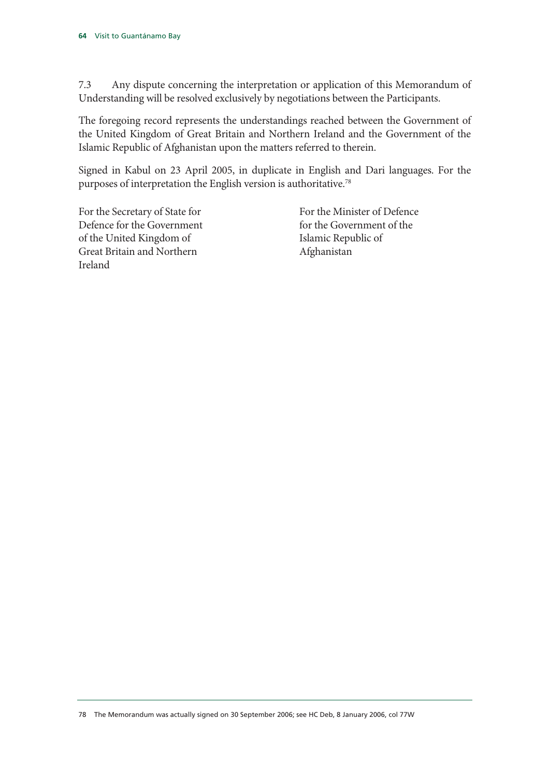7.3 Any dispute concerning the interpretation or application of this Memorandum of Understanding will be resolved exclusively by negotiations between the Participants.

The foregoing record represents the understandings reached between the Government of the United Kingdom of Great Britain and Northern Ireland and the Government of the Islamic Republic of Afghanistan upon the matters referred to therein.

Signed in Kabul on 23 April 2005, in duplicate in English and Dari languages. For the purposes of interpretation the English version is authoritative.78

For the Secretary of State for Defence for the Government of the United Kingdom of Great Britain and Northern Ireland

 For the Minister of Defence for the Government of the Islamic Republic of Afghanistan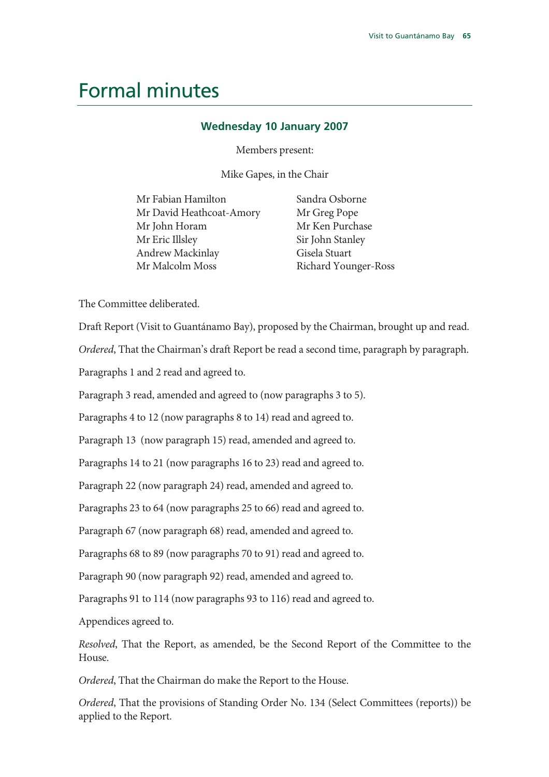## Formal minutes

#### **Wednesday 10 January 2007**

Members present:

Mike Gapes, in the Chair

| Mr Fabian Hamilton       | Sandra Osborne   |
|--------------------------|------------------|
| Mr David Heathcoat-Amory | Mr Greg Pope     |
| Mr John Horam            | Mr Ken Purchase  |
| Mr Eric Illsley          | Sir John Stanley |
| Andrew Mackinlay         | Gisela Stuart    |
| Mr Malcolm Moss          | Richard Younger- |

ılev Gisela Stuart Richard Younger-Ross

The Committee deliberated.

Draft Report (Visit to Guantánamo Bay), proposed by the Chairman, brought up and read.

*Ordered*, That the Chairman's draft Report be read a second time, paragraph by paragraph.

Paragraphs 1 and 2 read and agreed to.

Paragraph 3 read, amended and agreed to (now paragraphs 3 to 5).

Paragraphs 4 to 12 (now paragraphs 8 to 14) read and agreed to.

Paragraph 13 (now paragraph 15) read, amended and agreed to.

Paragraphs 14 to 21 (now paragraphs 16 to 23) read and agreed to.

Paragraph 22 (now paragraph 24) read, amended and agreed to.

Paragraphs 23 to 64 (now paragraphs 25 to 66) read and agreed to.

Paragraph 67 (now paragraph 68) read, amended and agreed to.

Paragraphs 68 to 89 (now paragraphs 70 to 91) read and agreed to.

Paragraph 90 (now paragraph 92) read, amended and agreed to.

Paragraphs 91 to 114 (now paragraphs 93 to 116) read and agreed to.

Appendices agreed to.

*Resolved*, That the Report, as amended, be the Second Report of the Committee to the House.

*Ordered*, That the Chairman do make the Report to the House.

*Ordered*, That the provisions of Standing Order No. 134 (Select Committees (reports)) be applied to the Report.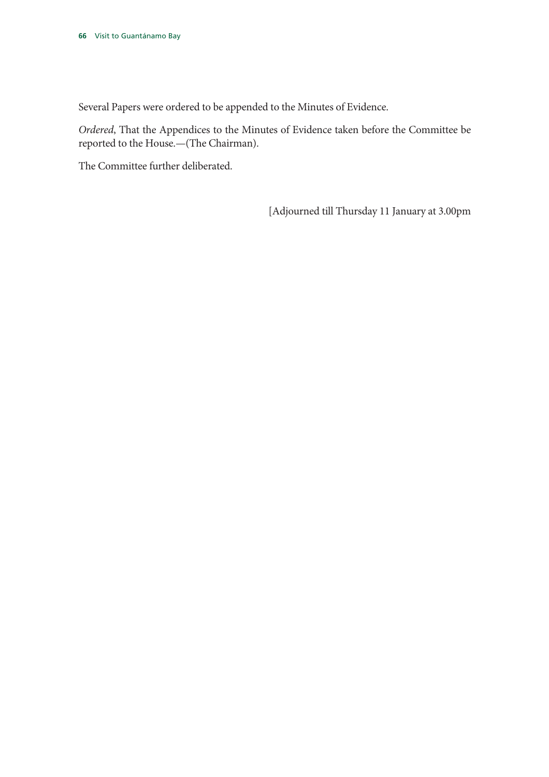Several Papers were ordered to be appended to the Minutes of Evidence.

*Ordered*, That the Appendices to the Minutes of Evidence taken before the Committee be reported to the House.—(The Chairman).

The Committee further deliberated.

[Adjourned till Thursday 11 January at 3.00pm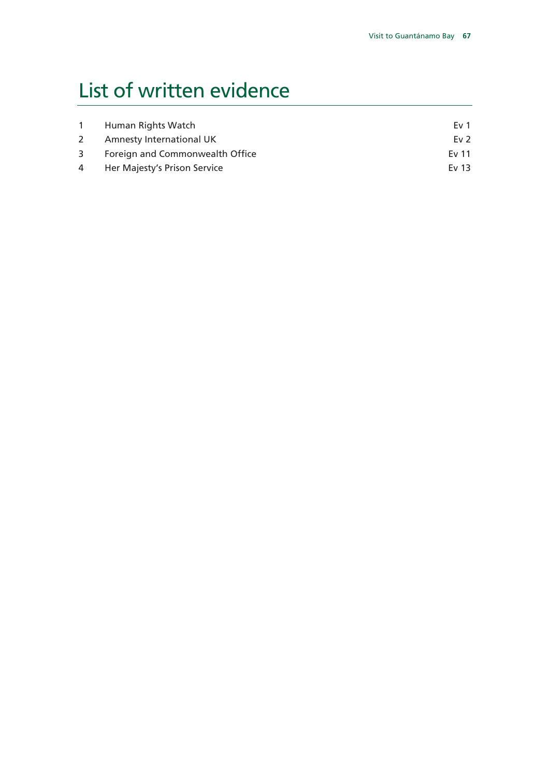# List of written evidence

| $\mathbf{1}$ | Human Rights Watch                | Ev 1   |
|--------------|-----------------------------------|--------|
| $2^{\circ}$  | Amnesty International UK          | Ev $2$ |
|              | 3 Foreign and Commonwealth Office | Ev 11  |
|              | 4 Her Majesty's Prison Service    | Ev 13  |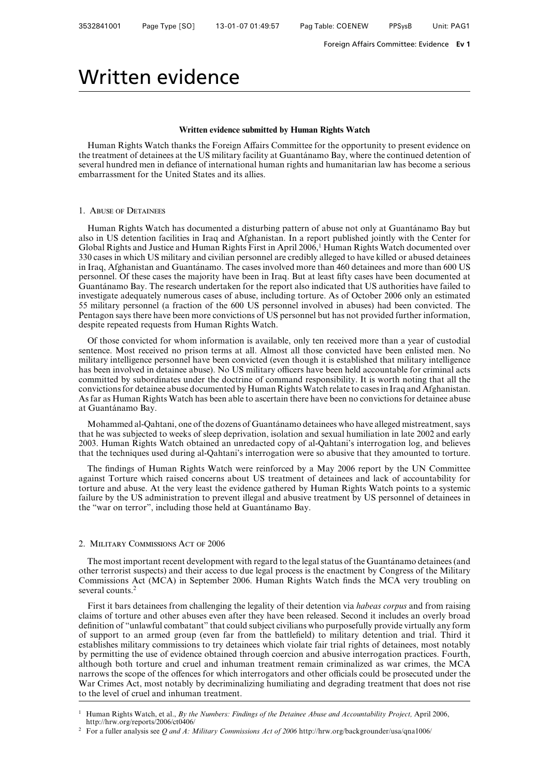## Written evidence

#### **Written evidence submitted by Human Rights Watch**

Human Rights Watch thanks the Foreign Affairs Committee for the opportunity to present evidence on the treatment of detainees at the US military facility at Guantánamo Bay, where the continued detention of several hundred men in defiance of international human rights and humanitarian law has become a serious embarrassment for the United States and its allies.

#### 1. Abuse of Detainees

Human Rights Watch has documented a disturbing pattern of abuse not only at Guantánamo Bay but also in US detention facilities in Iraq and Afghanistan. In a report published jointly with the Center for Global Rights and Justice and Human Rights First in April 2006,<sup>1</sup> Human Rights Watch documented over 330 cases in which US military and civilian personnel are credibly alleged to have killed or abused detainees in Iraq, Afghanistan and Guantánamo. The cases involved more than 460 detainees and more than 600 US personnel. Of these cases the majority have been in Iraq. But at least fifty cases have been documented at Guantánamo Bay. The research undertaken for the report also indicated that US authorities have failed to investigate adequately numerous cases of abuse, including torture. As of October 2006 only an estimated 55 military personnel (a fraction of the 600 US personnel involved in abuses) had been convicted. The Pentagon says there have been more convictions of US personnel but has not provided further information, despite repeated requests from Human Rights Watch.

Of those convicted for whom information is available, only ten received more than a year of custodial sentence. Most received no prison terms at all. Almost all those convicted have been enlisted men. No military intelligence personnel have been convicted (even though it is established that military intelligence has been involved in detainee abuse). No US military officers have been held accountable for criminal acts committed by subordinates under the doctrine of command responsibility. It is worth noting that all the convictions for detainee abuse documented by Human Rights Watch relate to cases in Iraq and Afghanistan. As far as Human Rights Watch has been able to ascertain there have been no convictions for detainee abuse at Guantánamo Bay.

Mohammed al-Qahtani, one of the dozens of Guantánamo detainees who have alleged mistreatment, says that he was subjected to weeks of sleep deprivation, isolation and sexual humiliation in late 2002 and early 2003. Human Rights Watch obtained an unredacted copy of al-Qahtani's interrogation log, and believes that the techniques used during al-Qahtani's interrogation were so abusive that they amounted to torture.

The findings of Human Rights Watch were reinforced by a May 2006 report by the UN Committee against Torture which raised concerns about US treatment of detainees and lack of accountability for torture and abuse. At the very least the evidence gathered by Human Rights Watch points to a systemic failure by the US administration to prevent illegal and abusive treatment by US personnel of detainees in the "war on terror", including those held at Guantánamo Bay.

#### 2. Military Commissions Act of 2006

The most important recent development with regard to the legal status of the Guantánamo detainees (and other terrorist suspects) and their access to due legal process is the enactment by Congress of the Military Commissions Act (MCA) in September 2006. Human Rights Watch finds the MCA very troubling on several counts.<sup>2</sup>

First it bars detainees from challenging the legality of their detention via *habeas corpus* and from raising claims of torture and other abuses even after they have been released. Second it includes an overly broad definition of "unlawful combatant" that could subject civilians who purposefully provide virtually any form of support to an armed group (even far from the battlefield) to military detention and trial. Third it establishes military commissions to try detainees which violate fair trial rights of detainees, most notably by permitting the use of evidence obtained through coercion and abusive interrogation practices. Fourth, although both torture and cruel and inhuman treatment remain criminalized as war crimes, the MCA narrows the scope of the offences for which interrogators and other officials could be prosecuted under the War Crimes Act, most notably by decriminalizing humiliating and degrading treatment that does not rise to the level of cruel and inhuman treatment.

<sup>1</sup> Human Rights Watch, et al., *By the Numbers: Findings of the Detainee Abuse and Accountability Project,* April 2006, http://hrw.org/reports/2006/ct0406/

<sup>2</sup> For a fuller analysis see *Q and A: Military Commissions Act of 2006* http://hrw.org/backgrounder/usa/qna1006/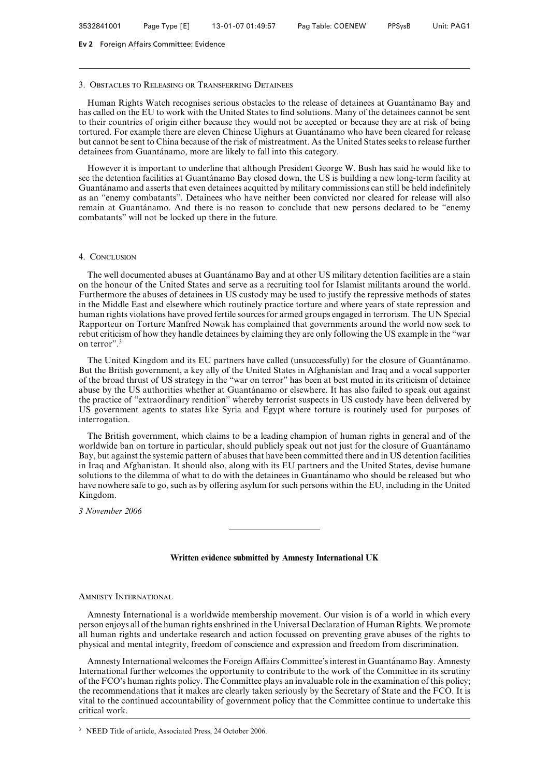#### 3. Obstacles to Releasing or Transferring Detainees

Human Rights Watch recognises serious obstacles to the release of detainees at Guantánamo Bay and has called on the EU to work with the United States to find solutions. Many of the detainees cannot be sent to their countries of origin either because they would not be accepted or because they are at risk of being tortured. For example there are eleven Chinese Uighurs at Guantánamo who have been cleared for release but cannot be sent to China because of the risk of mistreatment. As the United States seeks to release further detainees from Guantánamo, more are likely to fall into this category.

However it is important to underline that although President George W. Bush has said he would like to see the detention facilities at Guantánamo Bay closed down, the US is building a new long-term facility at Guantánamo and asserts that even detainees acquitted by military commissions can still be held indefinitely as an "enemy combatants". Detainees who have neither been convicted nor cleared for release will also remain at Guantánamo. And there is no reason to conclude that new persons declared to be "enemy combatants" will not be locked up there in the future.

#### 4. CONCLUSION

The well documented abuses at Guantánamo Bay and at other US military detention facilities are a stain on the honour of the United States and serve as a recruiting tool for Islamist militants around the world. Furthermore the abuses of detainees in US custody may be used to justify the repressive methods of states in the Middle East and elsewhere which routinely practice torture and where years of state repression and human rights violations have proved fertile sources for armed groups engaged in terrorism. The UN Special Rapporteur on Torture Manfred Nowak has complained that governments around the world now seek to rebut criticism of how they handle detainees by claiming they are only following the US example in the "war on terror".3

The United Kingdom and its EU partners have called (unsuccessfully) for the closure of Guantánamo. But the British government, a key ally of the United States in Afghanistan and Iraq and a vocal supporter of the broad thrust of US strategy in the "war on terror" has been at best muted in its criticism of detainee abuse by the US authorities whether at Guantánamo or elsewhere. It has also failed to speak out against the practice of "extraordinary rendition" whereby terrorist suspects in US custody have been delivered by US government agents to states like Syria and Egypt where torture is routinely used for purposes of interrogation.

The British government, which claims to be a leading champion of human rights in general and of the worldwide ban on torture in particular, should publicly speak out not just for the closure of Guantánamo Bay, but against the systemic pattern of abuses that have been committed there and in US detention facilities in Iraq and Afghanistan. It should also, along with its EU partners and the United States, devise humane solutions to the dilemma of what to do with the detainees in Guantánamo who should be released but who have nowhere safe to go, such as by offering asylum for such persons within the EU, including in the United Kingdom.

*3 November 2006*

#### **Written evidence submitted by Amnesty International UK**

#### Amnesty International

Amnesty International is a worldwide membership movement. Our vision is of a world in which every person enjoys all of the human rights enshrined in the Universal Declaration of Human Rights. We promote all human rights and undertake research and action focussed on preventing grave abuses of the rights to physical and mental integrity, freedom of conscience and expression and freedom from discrimination.

Amnesty International welcomes the Foreign Affairs Committee's interest in Guantánamo Bay. Amnesty International further welcomes the opportunity to contribute to the work of the Committee in its scrutiny of the FCO's human rights policy. The Committee plays an invaluable role in the examination of this policy; the recommendations that it makes are clearly taken seriously by the Secretary of State and the FCO. It is vital to the continued accountability of government policy that the Committee continue to undertake this critical work.

<sup>3</sup> NEED Title of article, Associated Press, 24 October 2006.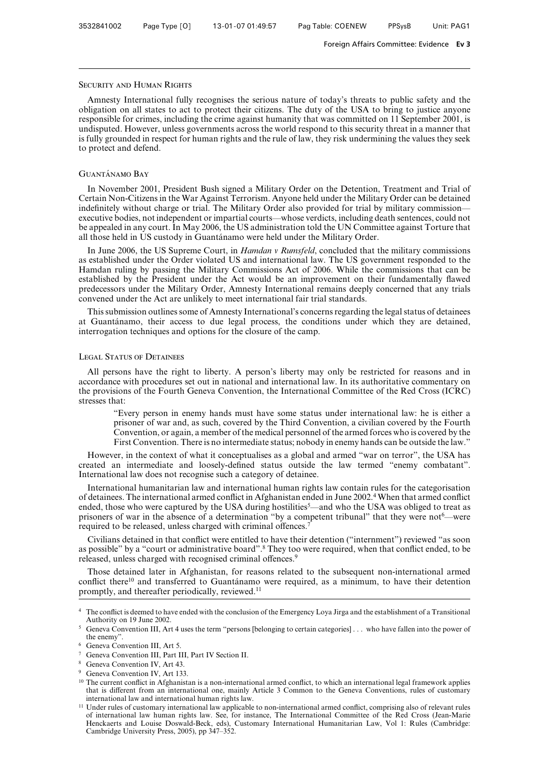#### Security and Human Rights

Amnesty International fully recognises the serious nature of today's threats to public safety and the obligation on all states to act to protect their citizens. The duty of the USA to bring to justice anyone responsible for crimes, including the crime against humanity that was committed on 11 September 2001, is undisputed. However, unless governments across the world respond to this security threat in a manner that is fully grounded in respect for human rights and the rule of law, they risk undermining the values they seek to protect and defend.

#### GUANTÁNAMO BAY

In November 2001, President Bush signed a Military Order on the Detention, Treatment and Trial of Certain Non-Citizens in the War Against Terrorism. Anyone held under the Military Order can be detained indefinitely without charge or trial. The Military Order also provided for trial by military commission executive bodies, not independent or impartial courts—whose verdicts, including death sentences, could not be appealed in any court. In May 2006, the US administration told the UN Committee against Torture that all those held in US custody in Guantánamo were held under the Military Order.

In June 2006, the US Supreme Court, in *Hamdan v Rumsfeld*, concluded that the military commissions as established under the Order violated US and international law. The US government responded to the Hamdan ruling by passing the Military Commissions Act of 2006. While the commissions that can be established by the President under the Act would be an improvement on their fundamentally flawed predecessors under the Military Order, Amnesty International remains deeply concerned that any trials convened under the Act are unlikely to meet international fair trial standards.

This submission outlines some of Amnesty International's concerns regarding the legal status of detainees at Guantánamo, their access to due legal process, the conditions under which they are detained, interrogation techniques and options for the closure of the camp.

#### Legal Status of Detainees

All persons have the right to liberty. A person's liberty may only be restricted for reasons and in accordance with procedures set out in national and international law. In its authoritative commentary on the provisions of the Fourth Geneva Convention, the International Committee of the Red Cross (ICRC) stresses that:

"Every person in enemy hands must have some status under international law: he is either a prisoner of war and, as such, covered by the Third Convention, a civilian covered by the Fourth Convention, or again, a member of the medical personnel of the armed forces who is covered by the First Convention. There is no intermediate status; nobody in enemy hands can be outside the law."

However, in the context of what it conceptualises as a global and armed "war on terror", the USA has created an intermediate and loosely-defined status outside the law termed "enemy combatant". International law does not recognise such a category of detainee.

International humanitarian law and international human rights law contain rules for the categorisation of detainees. The international armed conflict in Afghanistan ended in June 2002.4 When that armed conflict ended, those who were captured by the USA during hostilities<sup>5</sup>—and who the USA was obliged to treat as prisoners of war in the absence of a determination "by a competent tribunal" that they were not <sup>6</sup>—were required to be released, unless charged with criminal offences.<sup>7</sup>

Civilians detained in that conflict were entitled to have their detention ("internment") reviewed "as soon as possible" by a "court or administrative board".<sup>8</sup> They too were required, when that conflict ended, to be released, unless charged with recognised criminal offences.<sup>9</sup>

Those detained later in Afghanistan, for reasons related to the subsequent non-international armed conflict there<sup>10</sup> and transferred to Guantánamo were required, as a minimum, to have their detention promptly, and thereafter periodically, reviewed.<sup>11</sup>

<sup>4</sup> The conflict is deemed to have ended with the conclusion of the Emergency Loya Jirga and the establishment of a Transitional Authority on 19 June 2002.

<sup>5</sup> Geneva Convention III, Art 4 uses the term "persons [belonging to certain categories] . . . who have fallen into the power of the enemy".

<sup>6</sup> Geneva Convention III, Art 5.

<sup>7</sup> Geneva Convention III, Part III, Part IV Section II.

Geneva Convention IV, Art 43.

Geneva Convention IV, Art 133.

 $10$  The current conflict in Afghanistan is a non-international armed conflict, to which an international legal framework applies that is different from an international one, mainly Article 3 Common to the Geneva Conventions, rules of customary international law and international human rights law.

<sup>&</sup>lt;sup>11</sup> Under rules of customary international law applicable to non-international armed conflict, comprising also of relevant rules of international law human rights law. See, for instance, The International Committee of the Red Cross (Jean-Marie Henckaerts and Louise Doswald-Beck, eds), Customary International Humanitarian Law, Vol 1: Rules (Cambridge: Cambridge University Press, 2005), pp 347–352.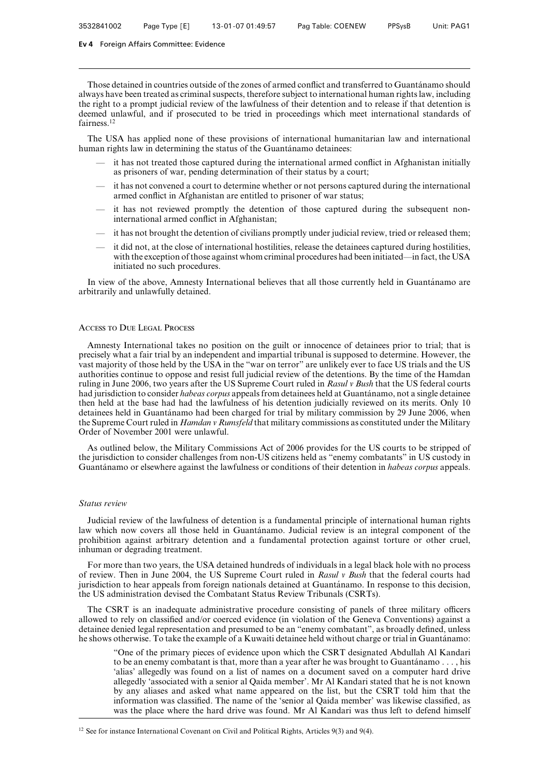Those detained in countries outside of the zones of armed conflict and transferred to Guantánamo should always have been treated as criminal suspects, therefore subject to international human rights law, including the right to a prompt judicial review of the lawfulness of their detention and to release if that detention is deemed unlawful, and if prosecuted to be tried in proceedings which meet international standards of fairness.<sup>12</sup>

The USA has applied none of these provisions of international humanitarian law and international human rights law in determining the status of the Guantánamo detainees:

- it has not treated those captured during the international armed conflict in Afghanistan initially as prisoners of war, pending determination of their status by a court;
- it has not convened a court to determine whether or not persons captured during the international armed conflict in Afghanistan are entitled to prisoner of war status;
- it has not reviewed promptly the detention of those captured during the subsequent noninternational armed conflict in Afghanistan;
- it has not brought the detention of civilians promptly under judicial review, tried or released them;
- it did not, at the close of international hostilities, release the detainees captured during hostilities, with the exception of those against whom criminal procedures had been initiated—in fact, the USA initiated no such procedures.

In view of the above, Amnesty International believes that all those currently held in Guantánamo are arbitrarily and unlawfully detained.

# Access to Due Legal Process

Amnesty International takes no position on the guilt or innocence of detainees prior to trial; that is precisely what a fair trial by an independent and impartial tribunal is supposed to determine. However, the vast majority of those held by the USA in the "war on terror" are unlikely ever to face US trials and the US authorities continue to oppose and resist full judicial review of the detentions. By the time of the Hamdan ruling in June 2006, two years after the US Supreme Court ruled in *Rasul v Bush* that the US federal courts had jurisdiction to consider *habeas corpus* appeals from detainees held at Guantánamo, not a single detainee then held at the base had had the lawfulness of his detention judicially reviewed on its merits. Only 10 detainees held in Guantánamo had been charged for trial by military commission by 29 June 2006, when the Supreme Court ruled in *Hamdan v Rumsfeld* that military commissions as constituted under the Military Order of November 2001 were unlawful.

As outlined below, the Military Commissions Act of 2006 provides for the US courts to be stripped of the jurisdiction to consider challenges from non-US citizens held as "enemy combatants" in US custody in Guantánamo or elsewhere against the lawfulness or conditions of their detention in *habeas corpus* appeals.

#### *Status review*

Judicial review of the lawfulness of detention is a fundamental principle of international human rights law which now covers all those held in Guantánamo. Judicial review is an integral component of the prohibition against arbitrary detention and a fundamental protection against torture or other cruel, inhuman or degrading treatment.

For more than two years, the USA detained hundreds of individuals in a legal black hole with no process of review. Then in June 2004, the US Supreme Court ruled in *Rasul v Bush* that the federal courts had jurisdiction to hear appeals from foreign nationals detained at Guantánamo. In response to this decision, the US administration devised the Combatant Status Review Tribunals (CSRTs).

The CSRT is an inadequate administrative procedure consisting of panels of three military officers allowed to rely on classified and/or coerced evidence (in violation of the Geneva Conventions) against a detainee denied legal representation and presumed to be an "enemy combatant", as broadly defined, unless he shows otherwise. To take the example of a Kuwaiti detainee held without charge or trial in Guantánamo:

"One of the primary pieces of evidence upon which the CSRT designated Abdullah Al Kandari to be an enemy combatant is that, more than a year after he was brought to Guantánamo . . . , his 'alias' allegedly was found on a list of names on a document saved on a computer hard drive allegedly 'associated with a senior al Qaida member'. Mr Al Kandari stated that he is not known by any aliases and asked what name appeared on the list, but the CSRT told him that the information was classified. The name of the 'senior al Qaida member' was likewise classified, as was the place where the hard drive was found. Mr Al Kandari was thus left to defend himself

<sup>12</sup> See for instance International Covenant on Civil and Political Rights, Articles 9(3) and 9(4).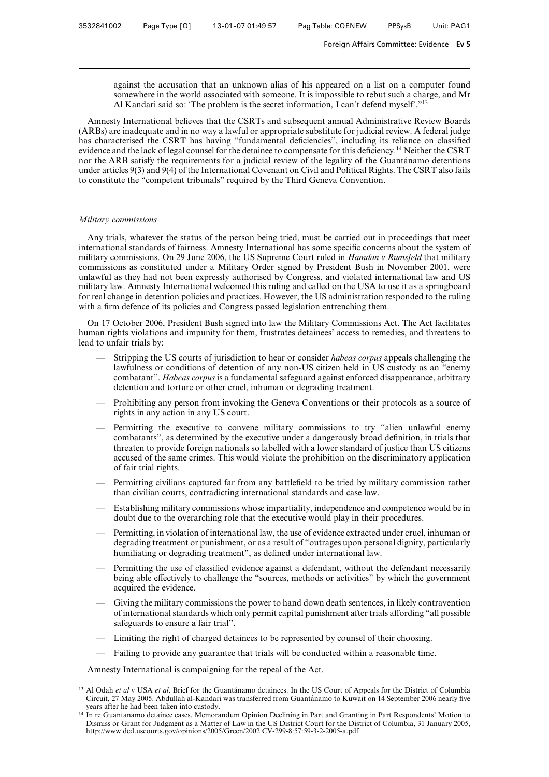against the accusation that an unknown alias of his appeared on a list on a computer found somewhere in the world associated with someone. It is impossible to rebut such a charge, and Mr Al Kandari said so: 'The problem is the secret information, I can't defend myself'."13

Amnesty International believes that the CSRTs and subsequent annual Administrative Review Boards (ARBs) are inadequate and in no way a lawful or appropriate substitute for judicial review. A federal judge has characterised the CSRT has having "fundamental deficiencies", including its reliance on classified evidence and the lack of legal counsel for the detainee to compensate for this deficiency.<sup>14</sup> Neither the CSRT nor the ARB satisfy the requirements for a judicial review of the legality of the Guantánamo detentions under articles 9(3) and 9(4) of the International Covenant on Civil and Political Rights. The CSRT also fails to constitute the "competent tribunals" required by the Third Geneva Convention.

#### *Military commissions*

Any trials, whatever the status of the person being tried, must be carried out in proceedings that meet international standards of fairness. Amnesty International has some specific concerns about the system of military commissions. On 29 June 2006, the US Supreme Court ruled in *Hamdan v Rumsfeld* that military commissions as constituted under a Military Order signed by President Bush in November 2001, were unlawful as they had not been expressly authorised by Congress, and violated international law and US military law. Amnesty International welcomed this ruling and called on the USA to use it as a springboard for real change in detention policies and practices. However, the US administration responded to the ruling with a firm defence of its policies and Congress passed legislation entrenching them.

On 17 October 2006, President Bush signed into law the Military Commissions Act. The Act facilitates human rights violations and impunity for them, frustrates detainees' access to remedies, and threatens to lead to unfair trials by:

- Stripping the US courts of jurisdiction to hear or consider *habeas corpus* appeals challenging the lawfulness or conditions of detention of any non-US citizen held in US custody as an "enemy combatant". *Habeas corpus* is a fundamental safeguard against enforced disappearance, arbitrary detention and torture or other cruel, inhuman or degrading treatment.
- Prohibiting any person from invoking the Geneva Conventions or their protocols as a source of rights in any action in any US court.
- Permitting the executive to convene military commissions to try "alien unlawful enemy combatants", as determined by the executive under a dangerously broad definition, in trials that threaten to provide foreign nationals so labelled with a lower standard of justice than US citizens accused of the same crimes. This would violate the prohibition on the discriminatory application of fair trial rights.
- Permitting civilians captured far from any battlefield to be tried by military commission rather than civilian courts, contradicting international standards and case law.
- Establishing military commissions whose impartiality, independence and competence would be in doubt due to the overarching role that the executive would play in their procedures.
- Permitting, in violation of international law, the use of evidence extracted under cruel, inhuman or degrading treatment or punishment, or as a result of "outrages upon personal dignity, particularly humiliating or degrading treatment", as defined under international law.
- Permitting the use of classified evidence against a defendant, without the defendant necessarily being able effectively to challenge the "sources, methods or activities" by which the government acquired the evidence.
- Giving the military commissions the power to hand down death sentences, in likely contravention of international standards which only permit capital punishment after trials affording "all possible safeguards to ensure a fair trial".
- Limiting the right of charged detainees to be represented by counsel of their choosing.
- Failing to provide any guarantee that trials will be conducted within a reasonable time.

Amnesty International is campaigning for the repeal of the Act.

<sup>&</sup>lt;sup>13</sup> Al Odah et al v USA et al. Brief for the Guantánamo detainees. In the US Court of Appeals for the District of Columbia Circuit, 27 May 2005. Abdullah al-Kandari was transferred from Guantánamo to Kuwait on 14 September 2006 nearly five years after he had been taken into custody.

<sup>14</sup> In re Guantanamo detainee cases, Memorandum Opinion Declining in Part and Granting in Part Respondents' Motion to Dismiss or Grant for Judgment as a Matter of Law in the US District Court for the District of Columbia, 31 January 2005, http://www.dcd.uscourts.gov/opinions/2005/Green/2002 CV-299-8:57:59-3-2-2005-a.pdf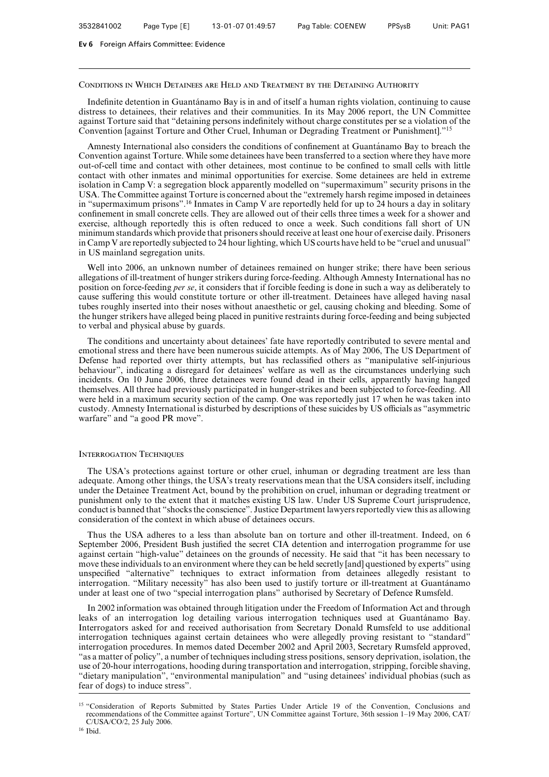#### Conditions in Which Detainees are Held and Treatment by the Detaining Authority

Indefinite detention in Guantánamo Bay is in and of itself a human rights violation, continuing to cause distress to detainees, their relatives and their communities. In its May 2006 report, the UN Committee against Torture said that "detaining persons indefinitely without charge constitutes per se a violation of the Convention [against Torture and Other Cruel, Inhuman or Degrading Treatment or Punishment]."15

Amnesty International also considers the conditions of confinement at Guantánamo Bay to breach the Convention against Torture. While some detainees have been transferred to a section where they have more out-of-cell time and contact with other detainees, most continue to be confined to small cells with little contact with other inmates and minimal opportunities for exercise. Some detainees are held in extreme isolation in Camp V: a segregation block apparently modelled on "supermaximum" security prisons in the USA. The Committee against Torture is concerned about the "extremely harsh regime imposed in detainees in "supermaximum prisons".<sup>16</sup> Inmates in Camp V are reportedly held for up to 24 hours a day in solitary confinement in small concrete cells. They are allowed out of their cells three times a week for a shower and exercise, although reportedly this is often reduced to once a week. Such conditions fall short of UN minimum standards which provide that prisoners should receive at least one hour of exercise daily. Prisoners in Camp V are reportedly subjected to 24 hour lighting, which US courts have held to be "cruel and unusual" in US mainland segregation units.

Well into 2006, an unknown number of detainees remained on hunger strike; there have been serious allegations of ill-treatment of hunger strikers during force-feeding. Although Amnesty International has no position on force-feeding *per se*, it considers that if forcible feeding is done in such a way as deliberately to cause suffering this would constitute torture or other ill-treatment. Detainees have alleged having nasal tubes roughly inserted into their noses without anaesthetic or gel, causing choking and bleeding. Some of the hunger strikers have alleged being placed in punitive restraints during force-feeding and being subjected to verbal and physical abuse by guards.

The conditions and uncertainty about detainees' fate have reportedly contributed to severe mental and emotional stress and there have been numerous suicide attempts. As of May 2006, The US Department of Defense had reported over thirty attempts, but has reclassified others as "manipulative self-injurious behaviour", indicating a disregard for detainees' welfare as well as the circumstances underlying such incidents. On 10 June 2006, three detainees were found dead in their cells, apparently having hanged themselves. All three had previously participated in hunger-strikes and been subjected to force-feeding. All were held in a maximum security section of the camp. One was reportedly just 17 when he was taken into custody. Amnesty International is disturbed by descriptions of these suicides by US officials as "asymmetric warfare" and "a good PR move".

#### Interrogation Techniques

The USA's protections against torture or other cruel, inhuman or degrading treatment are less than adequate. Among other things, the USA's treaty reservations mean that the USA considers itself, including under the Detainee Treatment Act, bound by the prohibition on cruel, inhuman or degrading treatment or punishment only to the extent that it matches existing US law. Under US Supreme Court jurisprudence, conduct is banned that "shocks the conscience". Justice Department lawyers reportedly view this as allowing consideration of the context in which abuse of detainees occurs.

Thus the USA adheres to a less than absolute ban on torture and other ill-treatment. Indeed, on 6 September 2006, President Bush justified the secret CIA detention and interrogation programme for use against certain "high-value" detainees on the grounds of necessity. He said that "it has been necessary to move these individuals to an environment where they can be held secretly [and] questioned by experts" using unspecified "alternative" techniques to extract information from detainees allegedly resistant to interrogation. "Military necessity" has also been used to justify torture or ill-treatment at Guantánamo under at least one of two "special interrogation plans" authorised by Secretary of Defence Rumsfeld.

In 2002 information was obtained through litigation under the Freedom of Information Act and through leaks of an interrogation log detailing various interrogation techniques used at Guantánamo Bay. Interrogators asked for and received authorisation from Secretary Donald Rumsfeld to use additional interrogation techniques against certain detainees who were allegedly proving resistant to "standard" interrogation procedures. In memos dated December 2002 and April 2003, Secretary Rumsfeld approved, "as a matter of policy", a number of techniques including stress positions, sensory deprivation, isolation, the use of 20-hour interrogations, hooding during transportation and interrogation, stripping, forcible shaving, "dietary manipulation", "environmental manipulation" and "using detainees' individual phobias (such as fear of dogs) to induce stress".

<sup>&</sup>lt;sup>15</sup> "Consideration of Reports Submitted by States Parties Under Article 19 of the Convention, Conclusions and recommendations of the Committee against Torture", UN Committee against Torture, 36th session 1–19 May 2006, CAT/ C/USA/CO/2, 25 July 2006.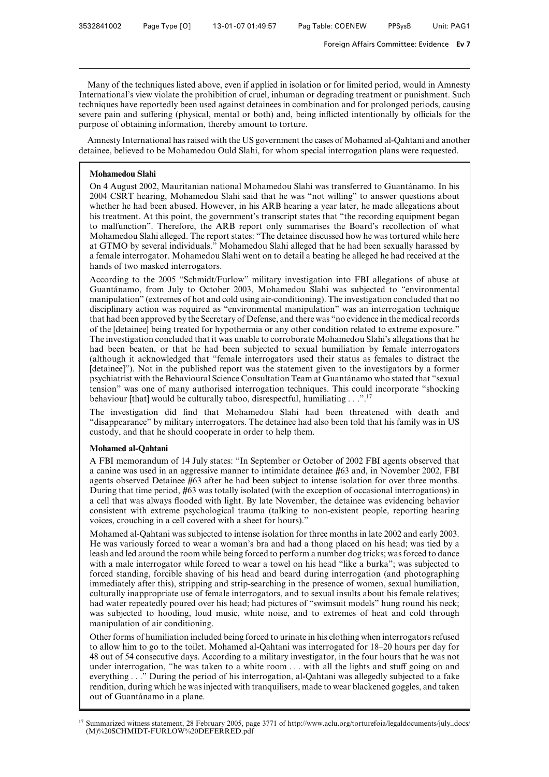Many of the techniques listed above, even if applied in isolation or for limited period, would in Amnesty International's view violate the prohibition of cruel, inhuman or degrading treatment or punishment. Such techniques have reportedly been used against detainees in combination and for prolonged periods, causing severe pain and suffering (physical, mental or both) and, being inflicted intentionally by officials for the purpose of obtaining information, thereby amount to torture.

Amnesty International has raised with the US government the cases of Mohamed al-Qahtani and another detainee, believed to be Mohamedou Ould Slahi, for whom special interrogation plans were requested.

# **Mohamedou Slahi**

On 4 August 2002, Mauritanian national Mohamedou Slahi was transferred to Guantánamo. In his 2004 CSRT hearing, Mohamedou Slahi said that he was "not willing" to answer questions about whether he had been abused. However, in his ARB hearing a year later, he made allegations about his treatment. At this point, the government's transcript states that "the recording equipment began to malfunction". Therefore, the ARB report only summarises the Board's recollection of what Mohamedou Slahi alleged. The report states: "The detainee discussed how he was tortured while here at GTMO by several individuals." Mohamedou Slahi alleged that he had been sexually harassed by a female interrogator. Mohamedou Slahi went on to detail a beating he alleged he had received at the hands of two masked interrogators.

According to the 2005 "Schmidt/Furlow" military investigation into FBI allegations of abuse at Guantánamo, from July to October 2003, Mohamedou Slahi was subjected to "environmental manipulation" (extremes of hot and cold using air-conditioning). The investigation concluded that no disciplinary action was required as "environmental manipulation" was an interrogation technique that had been approved by the Secretary of Defense, and there was "no evidence in the medical records of the [detainee] being treated for hypothermia or any other condition related to extreme exposure." The investigation concluded that it was unable to corroborate Mohamedou Slahi's allegations that he had been beaten, or that he had been subjected to sexual humiliation by female interrogators (although it acknowledged that "female interrogators used their status as females to distract the [detainee]"). Not in the published report was the statement given to the investigators by a former psychiatrist with the Behavioural Science Consultation Team at Guanta´namo who stated that "sexual tension" was one of many authorised interrogation techniques. This could incorporate "shocking behaviour [that] would be culturally taboo, disrespectful, humiliating  $\dots$ ".<sup>17</sup>

The investigation did find that Mohamedou Slahi had been threatened with death and "disappearance" by military interrogators. The detainee had also been told that his family was in US custody, and that he should cooperate in order to help them.

# **Mohamed al-Qahtani**

A FBI memorandum of 14 July states: "In September or October of 2002 FBI agents observed that a canine was used in an aggressive manner to intimidate detainee #63 and, in November 2002, FBI agents observed Detainee #63 after he had been subject to intense isolation for over three months. During that time period, #63 was totally isolated (with the exception of occasional interrogations) in a cell that was always flooded with light. By late November, the detainee was evidencing behavior consistent with extreme psychological trauma (talking to non-existent people, reporting hearing voices, crouching in a cell covered with a sheet for hours)."

Mohamed al-Qahtani was subjected to intense isolation for three months in late 2002 and early 2003. He was variously forced to wear a woman's bra and had a thong placed on his head; was tied by a leash and led around the room while being forced to perform a number dog tricks; was forced to dance with a male interrogator while forced to wear a towel on his head "like a burka"; was subjected to forced standing, forcible shaving of his head and beard during interrogation (and photographing immediately after this), stripping and strip-searching in the presence of women, sexual humiliation, culturally inappropriate use of female interrogators, and to sexual insults about his female relatives; had water repeatedly poured over his head; had pictures of "swimsuit models" hung round his neck; was subjected to hooding, loud music, white noise, and to extremes of heat and cold through manipulation of air conditioning.

Other forms of humiliation included being forced to urinate in his clothing when interrogators refused to allow him to go to the toilet. Mohamed al-Qahtani was interrogated for 18–20 hours per day for 48 out of 54 consecutive days. According to a military investigator, in the four hours that he was not under interrogation, "he was taken to a white room  $\dots$  with all the lights and stuff going on and everything . . ." During the period of his interrogation, al-Qahtani was allegedly subjected to a fake rendition, during which he was injected with tranquilisers, made to wear blackened goggles, and taken out of Guantánamo in a plane.

<sup>17</sup> Summarized witness statement, 28 February 2005, page 3771 of http://www.aclu.org/torturefoia/legaldocuments/july–docs/ (M)%20SCHMIDT-FURLOW%20DEFERRED.pdf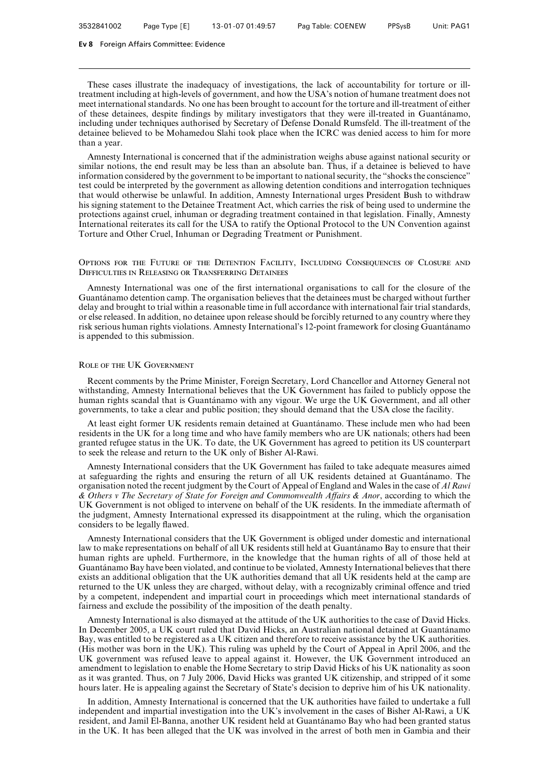These cases illustrate the inadequacy of investigations, the lack of accountability for torture or illtreatment including at high-levels of government, and how the USA's notion of humane treatment does not meet international standards. No one has been brought to account for the torture and ill-treatment of either of these detainees, despite findings by military investigators that they were ill-treated in Guantánamo, including under techniques authorised by Secretary of Defense Donald Rumsfeld. The ill-treatment of the detainee believed to be Mohamedou Slahi took place when the ICRC was denied access to him for more than a year.

Amnesty International is concerned that if the administration weighs abuse against national security or similar notions, the end result may be less than an absolute ban. Thus, if a detainee is believed to have information considered by the government to be important to national security, the "shocks the conscience" test could be interpreted by the government as allowing detention conditions and interrogation techniques that would otherwise be unlawful. In addition, Amnesty International urges President Bush to withdraw his signing statement to the Detainee Treatment Act, which carries the risk of being used to undermine the protections against cruel, inhuman or degrading treatment contained in that legislation. Finally, Amnesty International reiterates its call for the USA to ratify the Optional Protocol to the UN Convention against Torture and Other Cruel, Inhuman or Degrading Treatment or Punishment.

## Options for the Future of the Detention Facility, Including Consequences of Closure and Difficulties in Releasing or Transferring Detainees

Amnesty International was one of the first international organisations to call for the closure of the Guantánamo detention camp. The organisation believes that the detainees must be charged without further delay and brought to trial within a reasonable time in full accordance with international fair trial standards, or else released. In addition, no detainee upon release should be forcibly returned to any country where they risk serious human rights violations. Amnesty International's 12-point framework for closing Guantánamo is appended to this submission.

#### Role of the UK Government

Recent comments by the Prime Minister, Foreign Secretary, Lord Chancellor and Attorney General not withstanding, Amnesty International believes that the UK Government has failed to publicly oppose the human rights scandal that is Guantánamo with any vigour. We urge the UK Government, and all other governments, to take a clear and public position; they should demand that the USA close the facility.

At least eight former UK residents remain detained at Guantánamo. These include men who had been residents in the UK for a long time and who have family members who are UK nationals; others had been granted refugee status in the UK. To date, the UK Government has agreed to petition its US counterpart to seek the release and return to the UK only of Bisher Al-Rawi.

Amnesty International considers that the UK Government has failed to take adequate measures aimed at safeguarding the rights and ensuring the return of all UK residents detained at Guantánamo. The organisation noted the recent judgment by the Court of Appeal of England and Wales in the case of *Al Rawi & Others v The Secretary of State for Foreign and Commonwealth AVairs & Anor*, according to which the UK Government is not obliged to intervene on behalf of the UK residents. In the immediate aftermath of the judgment, Amnesty International expressed its disappointment at the ruling, which the organisation considers to be legally flawed.

Amnesty International considers that the UK Government is obliged under domestic and international law to make representations on behalf of all UK residents still held at Guantánamo Bay to ensure that their human rights are upheld. Furthermore, in the knowledge that the human rights of all of those held at Guantánamo Bay have been violated, and continue to be violated, Amnesty International believes that there exists an additional obligation that the UK authorities demand that all UK residents held at the camp are returned to the UK unless they are charged, without delay, with a recognizably criminal offence and tried by a competent, independent and impartial court in proceedings which meet international standards of fairness and exclude the possibility of the imposition of the death penalty.

Amnesty International is also dismayed at the attitude of the UK authorities to the case of David Hicks. In December 2005, a UK court ruled that David Hicks, an Australian national detained at Guantánamo Bay, was entitled to be registered as a UK citizen and therefore to receive assistance by the UK authorities. (His mother was born in the UK). This ruling was upheld by the Court of Appeal in April 2006, and the UK government was refused leave to appeal against it. However, the UK Government introduced an amendment to legislation to enable the Home Secretary to strip David Hicks of his UK nationality as soon as it was granted. Thus, on 7 July 2006, David Hicks was granted UK citizenship, and stripped of it some hours later. He is appealing against the Secretary of State's decision to deprive him of his UK nationality.

In addition, Amnesty International is concerned that the UK authorities have failed to undertake a full independent and impartial investigation into the UK's involvement in the cases of Bisher Al-Rawi, a UK resident, and Jamil El-Banna, another UK resident held at Guantánamo Bay who had been granted status in the UK. It has been alleged that the UK was involved in the arrest of both men in Gambia and their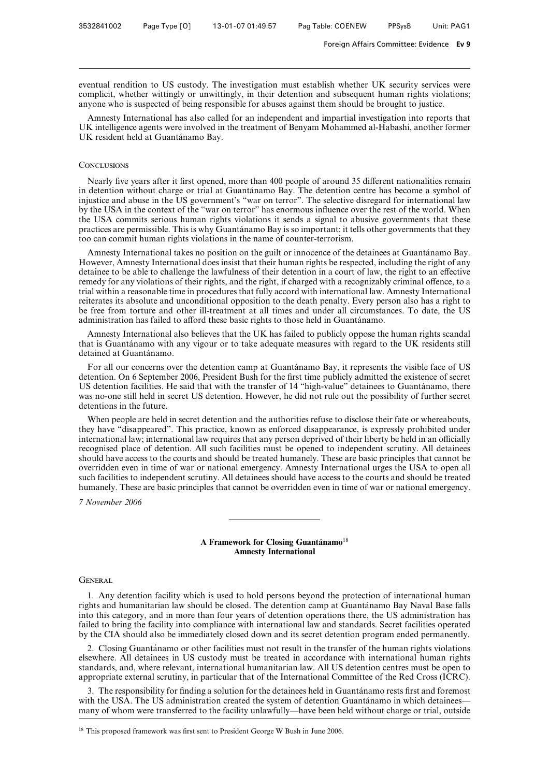eventual rendition to US custody. The investigation must establish whether UK security services were complicit, whether wittingly or unwittingly, in their detention and subsequent human rights violations; anyone who is suspected of being responsible for abuses against them should be brought to justice.

Amnesty International has also called for an independent and impartial investigation into reports that UK intelligence agents were involved in the treatment of Benyam Mohammed al-Habashi, another former UK resident held at Guantánamo Bay.

### **CONCLUSIONS**

Nearly five years after it first opened, more than 400 people of around 35 different nationalities remain in detention without charge or trial at Guantánamo Bay. The detention centre has become a symbol of injustice and abuse in the US government's "war on terror". The selective disregard for international law by the USA in the context of the "war on terror" has enormous influence over the rest of the world. When the USA commits serious human rights violations it sends a signal to abusive governments that these practices are permissible. This is why Guantánamo Bay is so important: it tells other governments that they too can commit human rights violations in the name of counter-terrorism.

Amnesty International takes no position on the guilt or innocence of the detainees at Guantánamo Bay. However, Amnesty International does insist that their human rights be respected, including the right of any detainee to be able to challenge the lawfulness of their detention in a court of law, the right to an effective remedy for any violations of their rights, and the right, if charged with a recognizably criminal offence, to a trial within a reasonable time in procedures that fully accord with international law. Amnesty International reiterates its absolute and unconditional opposition to the death penalty. Every person also has a right to be free from torture and other ill-treatment at all times and under all circumstances. To date, the US administration has failed to afford these basic rights to those held in Guantánamo.

Amnesty International also believes that the UK has failed to publicly oppose the human rights scandal that is Guantánamo with any vigour or to take adequate measures with regard to the UK residents still detained at Guantánamo.

For all our concerns over the detention camp at Guantanamo Bay, it represents the visible face of US detention. On 6 September 2006, President Bush for the first time publicly admitted the existence of secret US detention facilities. He said that with the transfer of 14 "high-value" detainees to Guantánamo, there was no-one still held in secret US detention. However, he did not rule out the possibility of further secret detentions in the future.

When people are held in secret detention and the authorities refuse to disclose their fate or whereabouts, they have "disappeared". This practice, known as enforced disappearance, is expressly prohibited under international law; international law requires that any person deprived of their liberty be held in an officially recognised place of detention. All such facilities must be opened to independent scrutiny. All detainees should have access to the courts and should be treated humanely. These are basic principles that cannot be overridden even in time of war or national emergency. Amnesty International urges the USA to open all such facilities to independent scrutiny. All detainees should have access to the courts and should be treated humanely. These are basic principles that cannot be overridden even in time of war or national emergency.

*7 November 2006*

# A Framework for Closing Guantánamo<sup>18</sup> **Amnesty International**

#### GENERAL

1. Any detention facility which is used to hold persons beyond the protection of international human rights and humanitarian law should be closed. The detention camp at Guantánamo Bay Naval Base falls into this category, and in more than four years of detention operations there, the US administration has failed to bring the facility into compliance with international law and standards. Secret facilities operated by the CIA should also be immediately closed down and its secret detention program ended permanently.

2. Closing Guantánamo or other facilities must not result in the transfer of the human rights violations elsewhere. All detainees in US custody must be treated in accordance with international human rights standards, and, where relevant, international humanitarian law. All US detention centres must be open to appropriate external scrutiny, in particular that of the International Committee of the Red Cross (ICRC).

3. The responsibility for finding a solution for the detainees held in Guantanamo rests first and foremost with the USA. The US administration created the system of detention Guantánamo in which detainees many of whom were transferred to the facility unlawfully—have been held without charge or trial, outside

<sup>18</sup> This proposed framework was first sent to President George W Bush in June 2006.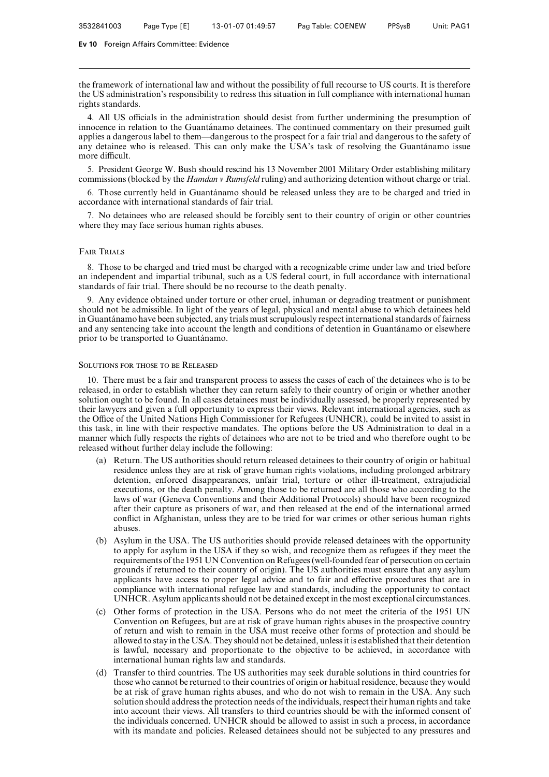the framework of international law and without the possibility of full recourse to US courts. It is therefore the US administration's responsibility to redress this situation in full compliance with international human rights standards.

4. All US officials in the administration should desist from further undermining the presumption of innocence in relation to the Guantánamo detainees. The continued commentary on their presumed guilt applies a dangerous label to them—dangerous to the prospect for a fair trial and dangerous to the safety of any detainee who is released. This can only make the USA's task of resolving the Guantánamo issue more difficult.

5. President George W. Bush should rescind his 13 November 2001 Military Order establishing military commissions (blocked by the *Hamdan v Rumsfeld* ruling) and authorizing detention without charge or trial.

6. Those currently held in Guanta´namo should be released unless they are to be charged and tried in accordance with international standards of fair trial.

7. No detainees who are released should be forcibly sent to their country of origin or other countries where they may face serious human rights abuses.

#### Fair Trials

8. Those to be charged and tried must be charged with a recognizable crime under law and tried before an independent and impartial tribunal, such as a US federal court, in full accordance with international standards of fair trial. There should be no recourse to the death penalty.

9. Any evidence obtained under torture or other cruel, inhuman or degrading treatment or punishment should not be admissible. In light of the years of legal, physical and mental abuse to which detainees held in Guantánamo have been subjected, any trials must scrupulously respect international standards of fairness and any sentencing take into account the length and conditions of detention in Guantánamo or elsewhere prior to be transported to Guantánamo.

#### Solutions for those to be Released

10. There must be a fair and transparent process to assess the cases of each of the detainees who is to be released, in order to establish whether they can return safely to their country of origin or whether another solution ought to be found. In all cases detainees must be individually assessed, be properly represented by their lawyers and given a full opportunity to express their views. Relevant international agencies, such as the Office of the United Nations High Commissioner for Refugees (UNHCR), could be invited to assist in this task, in line with their respective mandates. The options before the US Administration to deal in a manner which fully respects the rights of detainees who are not to be tried and who therefore ought to be released without further delay include the following:

- (a) Return. The US authorities should return released detainees to their country of origin or habitual residence unless they are at risk of grave human rights violations, including prolonged arbitrary detention, enforced disappearances, unfair trial, torture or other ill-treatment, extrajudicial executions, or the death penalty. Among those to be returned are all those who according to the laws of war (Geneva Conventions and their Additional Protocols) should have been recognized after their capture as prisoners of war, and then released at the end of the international armed conflict in Afghanistan, unless they are to be tried for war crimes or other serious human rights abuses.
- (b) Asylum in the USA. The US authorities should provide released detainees with the opportunity to apply for asylum in the USA if they so wish, and recognize them as refugees if they meet the requirements of the 1951 UN Convention on Refugees (well-founded fear of persecution on certain grounds if returned to their country of origin). The US authorities must ensure that any asylum applicants have access to proper legal advice and to fair and effective procedures that are in compliance with international refugee law and standards, including the opportunity to contact UNHCR. Asylum applicants should not be detained except in the most exceptional circumstances.
- (c) Other forms of protection in the USA. Persons who do not meet the criteria of the 1951 UN Convention on Refugees, but are at risk of grave human rights abuses in the prospective country of return and wish to remain in the USA must receive other forms of protection and should be allowed to stay in the USA. They should not be detained, unless it is established that their detention is lawful, necessary and proportionate to the objective to be achieved, in accordance with international human rights law and standards.
- (d) Transfer to third countries. The US authorities may seek durable solutions in third countries for those who cannot be returned to their countries of origin or habitual residence, because they would be at risk of grave human rights abuses, and who do not wish to remain in the USA. Any such solution should address the protection needs of the individuals, respect their human rights and take into account their views. All transfers to third countries should be with the informed consent of the individuals concerned. UNHCR should be allowed to assist in such a process, in accordance with its mandate and policies. Released detainees should not be subjected to any pressures and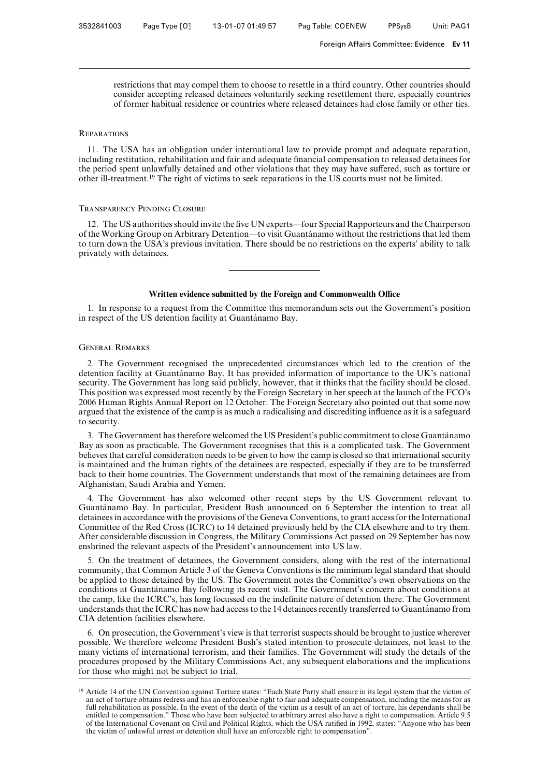restrictions that may compel them to choose to resettle in a third country. Other countries should consider accepting released detainees voluntarily seeking resettlement there, especially countries of former habitual residence or countries where released detainees had close family or other ties.

## **REPARATIONS**

11. The USA has an obligation under international law to provide prompt and adequate reparation, including restitution, rehabilitation and fair and adequate financial compensation to released detainees for the period spent unlawfully detained and other violations that they may have suffered, such as torture or other ill-treatment.19 The right of victims to seek reparations in the US courts must not be limited.

#### Transparency Pending Closure

12. The US authorities should invite the five UN experts—four Special Rapporteurs and the Chairperson of the Working Group on Arbitrary Detention—to visit Guanta´namo without the restrictions that led them to turn down the USA's previous invitation. There should be no restrictions on the experts' ability to talk privately with detainees.

### Written evidence submitted by the Foreign and Commonwealth Office

1. In response to a request from the Committee this memorandum sets out the Government's position in respect of the US detention facility at Guantánamo Bay.

#### General Remarks

2. The Government recognised the unprecedented circumstances which led to the creation of the detention facility at Guantánamo Bay. It has provided information of importance to the UK's national security. The Government has long said publicly, however, that it thinks that the facility should be closed. This position was expressed most recently by the Foreign Secretary in her speech at the launch of the FCO's 2006 Human Rights Annual Report on 12 October. The Foreign Secretary also pointed out that some now argued that the existence of the camp is as much a radicalising and discrediting influence as it is a safeguard to security.

3. The Government has therefore welcomed the US President's public commitment to close Guantánamo Bay as soon as practicable. The Government recognises that this is a complicated task. The Government believes that careful consideration needs to be given to how the camp is closed so that international security is maintained and the human rights of the detainees are respected, especially if they are to be transferred back to their home countries. The Government understands that most of the remaining detainees are from Afghanistan, Saudi Arabia and Yemen.

4. The Government has also welcomed other recent steps by the US Government relevant to Guantánamo Bay. In particular, President Bush announced on 6 September the intention to treat all detainees in accordance with the provisions of the Geneva Conventions, to grant access for the International Committee of the Red Cross (ICRC) to 14 detained previously held by the CIA elsewhere and to try them. After considerable discussion in Congress, the Military Commissions Act passed on 29 September has now enshrined the relevant aspects of the President's announcement into US law.

5. On the treatment of detainees, the Government considers, along with the rest of the international community, that Common Article 3 of the Geneva Conventions is the minimum legal standard that should be applied to those detained by the US. The Government notes the Committee's own observations on the conditions at Guantánamo Bay following its recent visit. The Government's concern about conditions at the camp, like the ICRC's, has long focussed on the indefinite nature of detention there. The Government understands that the ICRC has now had access to the 14 detainees recently transferred to Guantánamo from CIA detention facilities elsewhere.

6. On prosecution, the Government's view is that terrorist suspects should be brought to justice wherever possible. We therefore welcome President Bush's stated intention to prosecute detainees, not least to the many victims of international terrorism, and their families. The Government will study the details of the procedures proposed by the Military Commissions Act, any subsequent elaborations and the implications for those who might not be subject to trial.

<sup>&</sup>lt;sup>19</sup> Article 14 of the UN Convention against Torture states: "Each State Party shall ensure in its legal system that the victim of an act of torture obtains redress and has an enforceable right to fair and adequate compensation, including the means for as full rehabilitation as possible. In the event of the death of the victim as a result of an act of torture, his dependants shall be entitled to compensation." Those who have been subjected to arbitrary arrest also have a right to compensation. Article 9.5 of the International Covenant on Civil and Political Rights, which the USA ratified in 1992, states: "Anyone who has been the victim of unlawful arrest or detention shall have an enforceable right to compensation".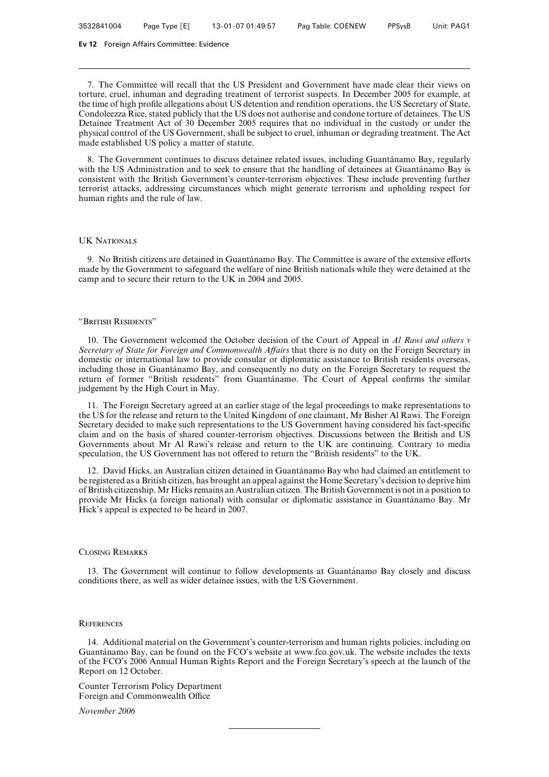7. The Committee will recall that the US President and Government have made clear their views on torture, cruel, inhuman and degrading treatment of terrorist suspects. In December 2005 for example, at the time of high profile allegations about US detention and rendition operations, the US Secretary of State, Condoleezza Rice, stated publicly that the US does not authorise and condone torture of detainees. The US Detainee Treatment Act of 30 December 2005 requires that no individual in the custody or under the physical control of the US Government, shall be subject to cruel, inhuman or degrading treatment. The Act made established US policy a matter of statute.

8. The Government continues to discuss detainee related issues, including Guantánamo Bay, regularly with the US Administration and to seek to ensure that the handling of detainees at Guantánamo Bay is consistent with the British Government's counter-terrorism objectives. These include preventing further terrorist attacks, addressing circumstances which might generate terrorism and upholding respect for human rights and the rule of law.

## UK Nationals

9. No British citizens are detained in Guantánamo Bay. The Committee is aware of the extensive efforts made by the Government to safeguard the welfare of nine British nationals while they were detained at the camp and to secure their return to the UK in 2004 and 2005.

#### "British Residents"

10. The Government welcomed the October decision of the Court of Appeal in *Al Rawi and others v Secretary of State for Foreign and Commonwealth AVairs* that there is no duty on the Foreign Secretary in domestic or international law to provide consular or diplomatic assistance to British residents overseas, including those in Guantánamo Bay, and consequently no duty on the Foreign Secretary to request the return of former "British residents" from Guantánamo. The Court of Appeal confirms the similar judgement by the High Court in May.

11. The Foreign Secretary agreed at an earlier stage of the legal proceedings to make representations to the US for the release and return to the United Kingdom of one claimant, Mr Bisher Al Rawi. The Foreign Secretary decided to make such representations to the US Government having considered his fact-specific claim and on the basis of shared counter-terrorism objectives. Discussions between the British and US Governments about Mr Al Rawi's release and return to the UK are continuing. Contrary to media speculation, the US Government has not offered to return the "British residents" to the UK.

12. David Hicks, an Australian citizen detained in Guantánamo Bay who had claimed an entitlement to be registered as a British citizen, has brought an appeal against the Home Secretary's decision to deprive him of British citizenship. Mr Hicks remains an Australian citizen. The British Government is not in a position to provide Mr Hicks (a foreign national) with consular or diplomatic assistance in Guantánamo Bay. Mr Hick's appeal is expected to be heard in 2007.

### Closing Remarks

13. The Government will continue to follow developments at Guantánamo Bay closely and discuss conditions there, as well as wider detainee issues, with the US Government.

## **REFERENCES**

14. Additional material on the Government's counter-terrorism and human rights policies, including on Guantánamo Bay, can be found on the FCO's website at www.fco.gov.uk. The website includes the texts of the FCO's 2006 Annual Human Rights Report and the Foreign Secretary's speech at the launch of the Report on 12 October.

Counter Terrorism Policy Department Foreign and Commonwealth Office

*November 2006*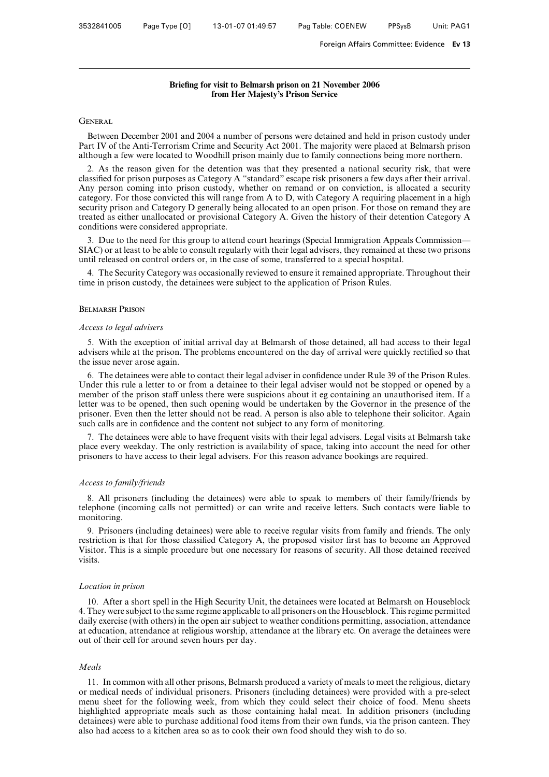# **Briefing for visit to Belmarsh prison on 21 November 2006 from Her Majesty's Prison Service**

# **GENERAL**

Between December 2001 and 2004 a number of persons were detained and held in prison custody under Part IV of the Anti-Terrorism Crime and Security Act 2001. The majority were placed at Belmarsh prison although a few were located to Woodhill prison mainly due to family connections being more northern.

2. As the reason given for the detention was that they presented a national security risk, that were classified for prison purposes as Category A "standard" escape risk prisoners a few days after their arrival. Any person coming into prison custody, whether on remand or on conviction, is allocated a security category. For those convicted this will range from A to D, with Category A requiring placement in a high security prison and Category D generally being allocated to an open prison. For those on remand they are treated as either unallocated or provisional Category A. Given the history of their detention Category A conditions were considered appropriate.

3. Due to the need for this group to attend court hearings (Special Immigration Appeals Commission— SIAC) or at least to be able to consult regularly with their legal advisers, they remained at these two prisons until released on control orders or, in the case of some, transferred to a special hospital.

4. The Security Category was occasionally reviewed to ensure it remained appropriate. Throughout their time in prison custody, the detainees were subject to the application of Prison Rules.

### Belmarsh Prison

### *Access to legal advisers*

5. With the exception of initial arrival day at Belmarsh of those detained, all had access to their legal advisers while at the prison. The problems encountered on the day of arrival were quickly rectified so that the issue never arose again.

6. The detainees were able to contact their legal adviser in confidence under Rule 39 of the Prison Rules. Under this rule a letter to or from a detainee to their legal adviser would not be stopped or opened by a member of the prison staff unless there were suspicions about it eg containing an unauthorised item. If a letter was to be opened, then such opening would be undertaken by the Governor in the presence of the prisoner. Even then the letter should not be read. A person is also able to telephone their solicitor. Again such calls are in confidence and the content not subject to any form of monitoring.

7. The detainees were able to have frequent visits with their legal advisers. Legal visits at Belmarsh take place every weekday. The only restriction is availability of space, taking into account the need for other prisoners to have access to their legal advisers. For this reason advance bookings are required.

### *Access to family/friends*

8. All prisoners (including the detainees) were able to speak to members of their family/friends by telephone (incoming calls not permitted) or can write and receive letters. Such contacts were liable to monitoring.

9. Prisoners (including detainees) were able to receive regular visits from family and friends. The only restriction is that for those classified Category A, the proposed visitor first has to become an Approved Visitor. This is a simple procedure but one necessary for reasons of security. All those detained received visits.

# *Location in prison*

10. After a short spell in the High Security Unit, the detainees were located at Belmarsh on Houseblock 4. They were subject to the same regime applicable to all prisoners on the Houseblock. This regime permitted daily exercise (with others) in the open air subject to weather conditions permitting, association, attendance at education, attendance at religious worship, attendance at the library etc. On average the detainees were out of their cell for around seven hours per day.

#### *Meals*

11. In common with all other prisons, Belmarsh produced a variety of meals to meet the religious, dietary or medical needs of individual prisoners. Prisoners (including detainees) were provided with a pre-select menu sheet for the following week, from which they could select their choice of food. Menu sheets highlighted appropriate meals such as those containing halal meat. In addition prisoners (including detainees) were able to purchase additional food items from their own funds, via the prison canteen. They also had access to a kitchen area so as to cook their own food should they wish to do so.